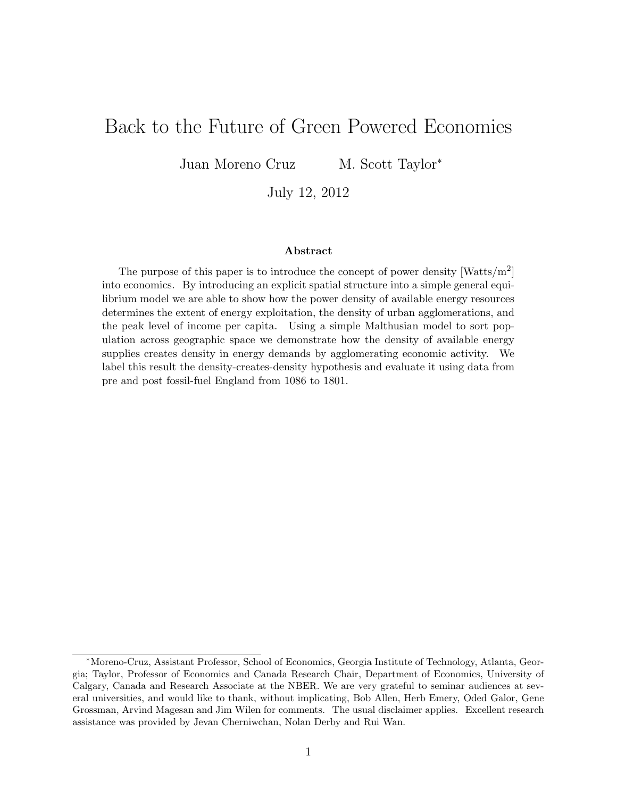# Back to the Future of Green Powered Economies

Juan Moreno Cruz M. Scott Taylor<sup>\*</sup>

July 12, 2012

#### Abstract

The purpose of this paper is to introduce the concept of power density  $\text{[Watts/m}^2\text{]}$ into economics. By introducing an explicit spatial structure into a simple general equilibrium model we are able to show how the power density of available energy resources determines the extent of energy exploitation, the density of urban agglomerations, and the peak level of income per capita. Using a simple Malthusian model to sort population across geographic space we demonstrate how the density of available energy supplies creates density in energy demands by agglomerating economic activity. We label this result the density-creates-density hypothesis and evaluate it using data from pre and post fossil-fuel England from 1086 to 1801.

<sup>∗</sup>Moreno-Cruz, Assistant Professor, School of Economics, Georgia Institute of Technology, Atlanta, Georgia; Taylor, Professor of Economics and Canada Research Chair, Department of Economics, University of Calgary, Canada and Research Associate at the NBER. We are very grateful to seminar audiences at several universities, and would like to thank, without implicating, Bob Allen, Herb Emery, Oded Galor, Gene Grossman, Arvind Magesan and Jim Wilen for comments. The usual disclaimer applies. Excellent research assistance was provided by Jevan Cherniwchan, Nolan Derby and Rui Wan.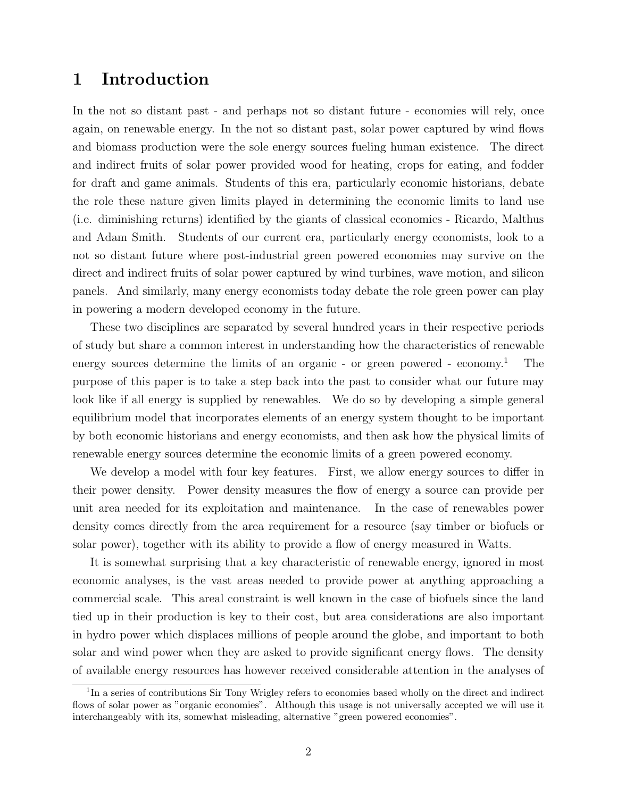## 1 Introduction

In the not so distant past - and perhaps not so distant future - economies will rely, once again, on renewable energy. In the not so distant past, solar power captured by wind flows and biomass production were the sole energy sources fueling human existence. The direct and indirect fruits of solar power provided wood for heating, crops for eating, and fodder for draft and game animals. Students of this era, particularly economic historians, debate the role these nature given limits played in determining the economic limits to land use (i.e. diminishing returns) identified by the giants of classical economics - Ricardo, Malthus and Adam Smith. Students of our current era, particularly energy economists, look to a not so distant future where post-industrial green powered economies may survive on the direct and indirect fruits of solar power captured by wind turbines, wave motion, and silicon panels. And similarly, many energy economists today debate the role green power can play in powering a modern developed economy in the future.

These two disciplines are separated by several hundred years in their respective periods of study but share a common interest in understanding how the characteristics of renewable energy sources determine the limits of an organic - or green powered - economy.<sup>1</sup> The purpose of this paper is to take a step back into the past to consider what our future may look like if all energy is supplied by renewables. We do so by developing a simple general equilibrium model that incorporates elements of an energy system thought to be important by both economic historians and energy economists, and then ask how the physical limits of renewable energy sources determine the economic limits of a green powered economy.

We develop a model with four key features. First, we allow energy sources to differ in their power density. Power density measures the flow of energy a source can provide per unit area needed for its exploitation and maintenance. In the case of renewables power density comes directly from the area requirement for a resource (say timber or biofuels or solar power), together with its ability to provide a flow of energy measured in Watts.

It is somewhat surprising that a key characteristic of renewable energy, ignored in most economic analyses, is the vast areas needed to provide power at anything approaching a commercial scale. This areal constraint is well known in the case of biofuels since the land tied up in their production is key to their cost, but area considerations are also important in hydro power which displaces millions of people around the globe, and important to both solar and wind power when they are asked to provide significant energy flows. The density of available energy resources has however received considerable attention in the analyses of

<sup>&</sup>lt;sup>1</sup>In a series of contributions Sir Tony Wrigley refers to economies based wholly on the direct and indirect flows of solar power as "organic economies". Although this usage is not universally accepted we will use it interchangeably with its, somewhat misleading, alternative "green powered economies".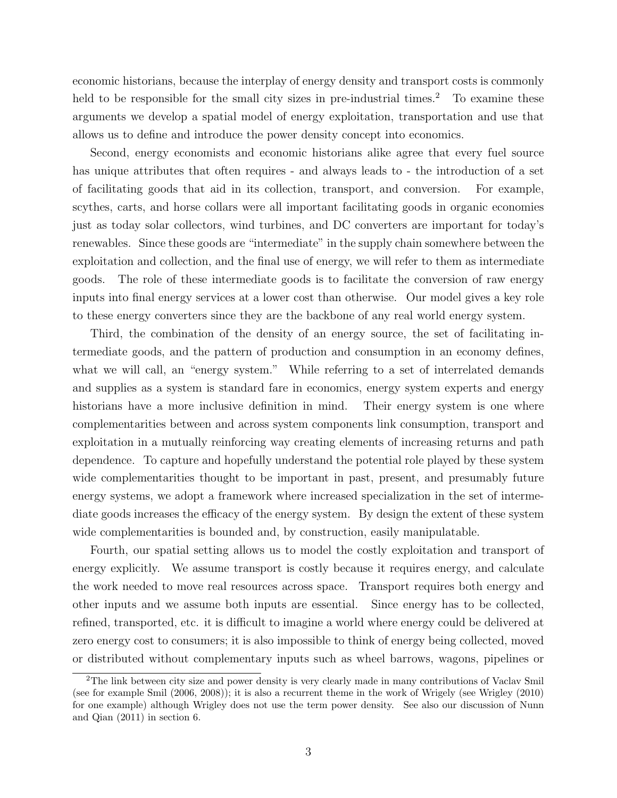economic historians, because the interplay of energy density and transport costs is commonly held to be responsible for the small city sizes in pre-industrial times.<sup>2</sup> To examine these arguments we develop a spatial model of energy exploitation, transportation and use that allows us to define and introduce the power density concept into economics.

Second, energy economists and economic historians alike agree that every fuel source has unique attributes that often requires - and always leads to - the introduction of a set of facilitating goods that aid in its collection, transport, and conversion. For example, scythes, carts, and horse collars were all important facilitating goods in organic economies just as today solar collectors, wind turbines, and DC converters are important for today's renewables. Since these goods are "intermediate" in the supply chain somewhere between the exploitation and collection, and the final use of energy, we will refer to them as intermediate goods. The role of these intermediate goods is to facilitate the conversion of raw energy inputs into final energy services at a lower cost than otherwise. Our model gives a key role to these energy converters since they are the backbone of any real world energy system.

Third, the combination of the density of an energy source, the set of facilitating intermediate goods, and the pattern of production and consumption in an economy defines, what we will call, an "energy system." While referring to a set of interrelated demands and supplies as a system is standard fare in economics, energy system experts and energy historians have a more inclusive definition in mind. Their energy system is one where complementarities between and across system components link consumption, transport and exploitation in a mutually reinforcing way creating elements of increasing returns and path dependence. To capture and hopefully understand the potential role played by these system wide complementarities thought to be important in past, present, and presumably future energy systems, we adopt a framework where increased specialization in the set of intermediate goods increases the efficacy of the energy system. By design the extent of these system wide complementarities is bounded and, by construction, easily manipulatable.

Fourth, our spatial setting allows us to model the costly exploitation and transport of energy explicitly. We assume transport is costly because it requires energy, and calculate the work needed to move real resources across space. Transport requires both energy and other inputs and we assume both inputs are essential. Since energy has to be collected, refined, transported, etc. it is difficult to imagine a world where energy could be delivered at zero energy cost to consumers; it is also impossible to think of energy being collected, moved or distributed without complementary inputs such as wheel barrows, wagons, pipelines or

<sup>2</sup>The link between city size and power density is very clearly made in many contributions of Vaclav Smil (see for example Smil (2006, 2008)); it is also a recurrent theme in the work of Wrigely (see Wrigley (2010) for one example) although Wrigley does not use the term power density. See also our discussion of Nunn and Qian (2011) in section 6.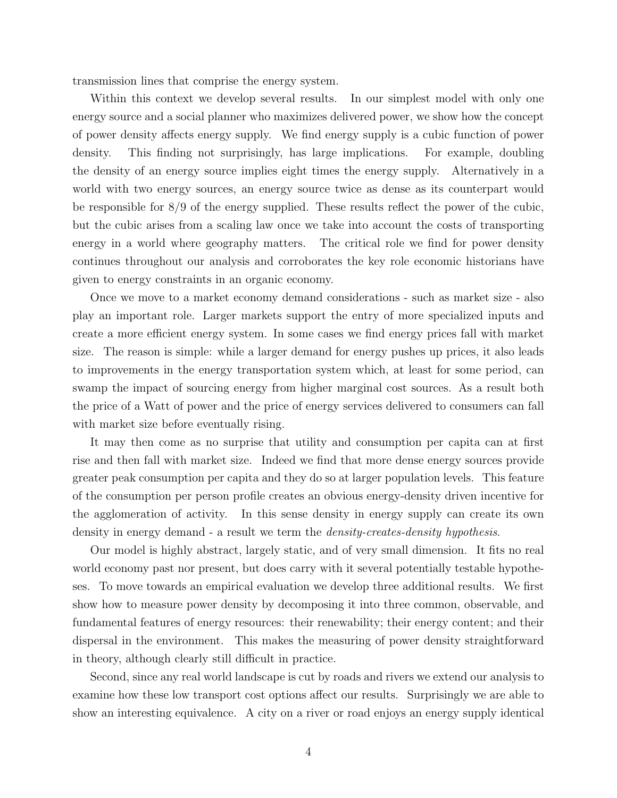transmission lines that comprise the energy system.

Within this context we develop several results. In our simplest model with only one energy source and a social planner who maximizes delivered power, we show how the concept of power density affects energy supply. We find energy supply is a cubic function of power density. This finding not surprisingly, has large implications. For example, doubling the density of an energy source implies eight times the energy supply. Alternatively in a world with two energy sources, an energy source twice as dense as its counterpart would be responsible for 8/9 of the energy supplied. These results reflect the power of the cubic, but the cubic arises from a scaling law once we take into account the costs of transporting energy in a world where geography matters. The critical role we find for power density continues throughout our analysis and corroborates the key role economic historians have given to energy constraints in an organic economy.

Once we move to a market economy demand considerations - such as market size - also play an important role. Larger markets support the entry of more specialized inputs and create a more efficient energy system. In some cases we find energy prices fall with market size. The reason is simple: while a larger demand for energy pushes up prices, it also leads to improvements in the energy transportation system which, at least for some period, can swamp the impact of sourcing energy from higher marginal cost sources. As a result both the price of a Watt of power and the price of energy services delivered to consumers can fall with market size before eventually rising.

It may then come as no surprise that utility and consumption per capita can at first rise and then fall with market size. Indeed we find that more dense energy sources provide greater peak consumption per capita and they do so at larger population levels. This feature of the consumption per person profile creates an obvious energy-density driven incentive for the agglomeration of activity. In this sense density in energy supply can create its own density in energy demand - a result we term the density-creates-density hypothesis.

Our model is highly abstract, largely static, and of very small dimension. It fits no real world economy past nor present, but does carry with it several potentially testable hypotheses. To move towards an empirical evaluation we develop three additional results. We first show how to measure power density by decomposing it into three common, observable, and fundamental features of energy resources: their renewability; their energy content; and their dispersal in the environment. This makes the measuring of power density straightforward in theory, although clearly still difficult in practice.

Second, since any real world landscape is cut by roads and rivers we extend our analysis to examine how these low transport cost options affect our results. Surprisingly we are able to show an interesting equivalence. A city on a river or road enjoys an energy supply identical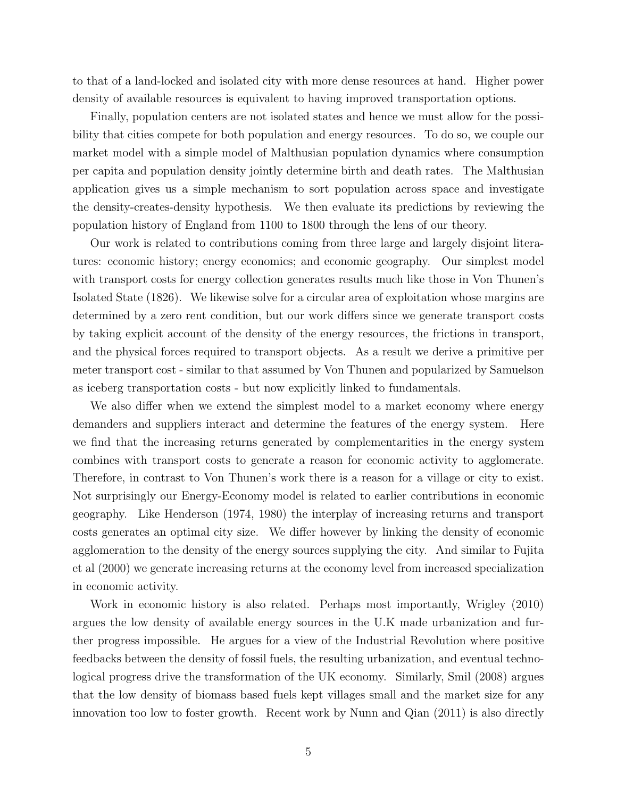to that of a land-locked and isolated city with more dense resources at hand. Higher power density of available resources is equivalent to having improved transportation options.

Finally, population centers are not isolated states and hence we must allow for the possibility that cities compete for both population and energy resources. To do so, we couple our market model with a simple model of Malthusian population dynamics where consumption per capita and population density jointly determine birth and death rates. The Malthusian application gives us a simple mechanism to sort population across space and investigate the density-creates-density hypothesis. We then evaluate its predictions by reviewing the population history of England from 1100 to 1800 through the lens of our theory.

Our work is related to contributions coming from three large and largely disjoint literatures: economic history; energy economics; and economic geography. Our simplest model with transport costs for energy collection generates results much like those in Von Thunen's Isolated State (1826). We likewise solve for a circular area of exploitation whose margins are determined by a zero rent condition, but our work differs since we generate transport costs by taking explicit account of the density of the energy resources, the frictions in transport, and the physical forces required to transport objects. As a result we derive a primitive per meter transport cost - similar to that assumed by Von Thunen and popularized by Samuelson as iceberg transportation costs - but now explicitly linked to fundamentals.

We also differ when we extend the simplest model to a market economy where energy demanders and suppliers interact and determine the features of the energy system. Here we find that the increasing returns generated by complementarities in the energy system combines with transport costs to generate a reason for economic activity to agglomerate. Therefore, in contrast to Von Thunen's work there is a reason for a village or city to exist. Not surprisingly our Energy-Economy model is related to earlier contributions in economic geography. Like Henderson (1974, 1980) the interplay of increasing returns and transport costs generates an optimal city size. We differ however by linking the density of economic agglomeration to the density of the energy sources supplying the city. And similar to Fujita et al (2000) we generate increasing returns at the economy level from increased specialization in economic activity.

Work in economic history is also related. Perhaps most importantly, Wrigley (2010) argues the low density of available energy sources in the U.K made urbanization and further progress impossible. He argues for a view of the Industrial Revolution where positive feedbacks between the density of fossil fuels, the resulting urbanization, and eventual technological progress drive the transformation of the UK economy. Similarly, Smil (2008) argues that the low density of biomass based fuels kept villages small and the market size for any innovation too low to foster growth. Recent work by Nunn and Qian (2011) is also directly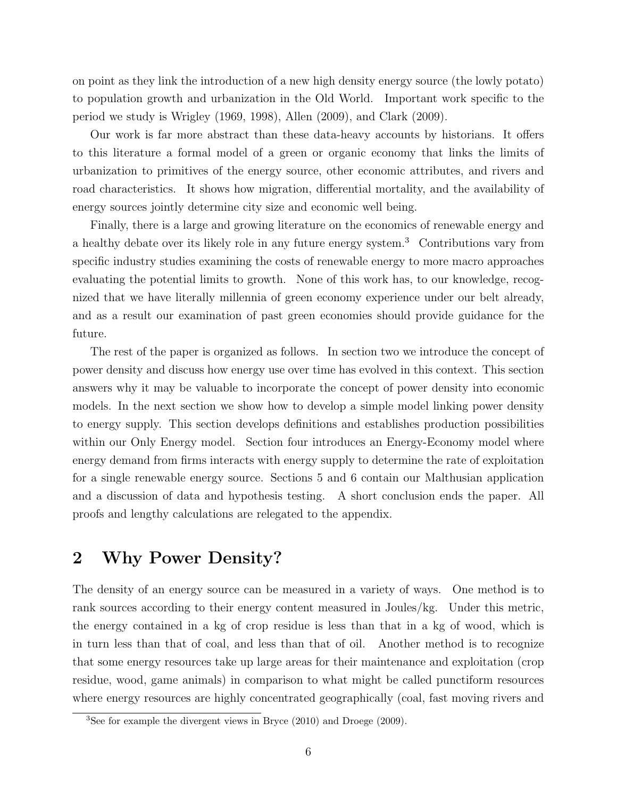on point as they link the introduction of a new high density energy source (the lowly potato) to population growth and urbanization in the Old World. Important work specific to the period we study is Wrigley (1969, 1998), Allen (2009), and Clark (2009).

Our work is far more abstract than these data-heavy accounts by historians. It offers to this literature a formal model of a green or organic economy that links the limits of urbanization to primitives of the energy source, other economic attributes, and rivers and road characteristics. It shows how migration, differential mortality, and the availability of energy sources jointly determine city size and economic well being.

Finally, there is a large and growing literature on the economics of renewable energy and a healthy debate over its likely role in any future energy system.<sup>3</sup> Contributions vary from specific industry studies examining the costs of renewable energy to more macro approaches evaluating the potential limits to growth. None of this work has, to our knowledge, recognized that we have literally millennia of green economy experience under our belt already, and as a result our examination of past green economies should provide guidance for the future.

The rest of the paper is organized as follows. In section two we introduce the concept of power density and discuss how energy use over time has evolved in this context. This section answers why it may be valuable to incorporate the concept of power density into economic models. In the next section we show how to develop a simple model linking power density to energy supply. This section develops definitions and establishes production possibilities within our Only Energy model. Section four introduces an Energy-Economy model where energy demand from firms interacts with energy supply to determine the rate of exploitation for a single renewable energy source. Sections 5 and 6 contain our Malthusian application and a discussion of data and hypothesis testing. A short conclusion ends the paper. All proofs and lengthy calculations are relegated to the appendix.

## 2 Why Power Density?

The density of an energy source can be measured in a variety of ways. One method is to rank sources according to their energy content measured in Joules/kg. Under this metric, the energy contained in a kg of crop residue is less than that in a kg of wood, which is in turn less than that of coal, and less than that of oil. Another method is to recognize that some energy resources take up large areas for their maintenance and exploitation (crop residue, wood, game animals) in comparison to what might be called punctiform resources where energy resources are highly concentrated geographically (coal, fast moving rivers and

<sup>3</sup>See for example the divergent views in Bryce (2010) and Droege (2009).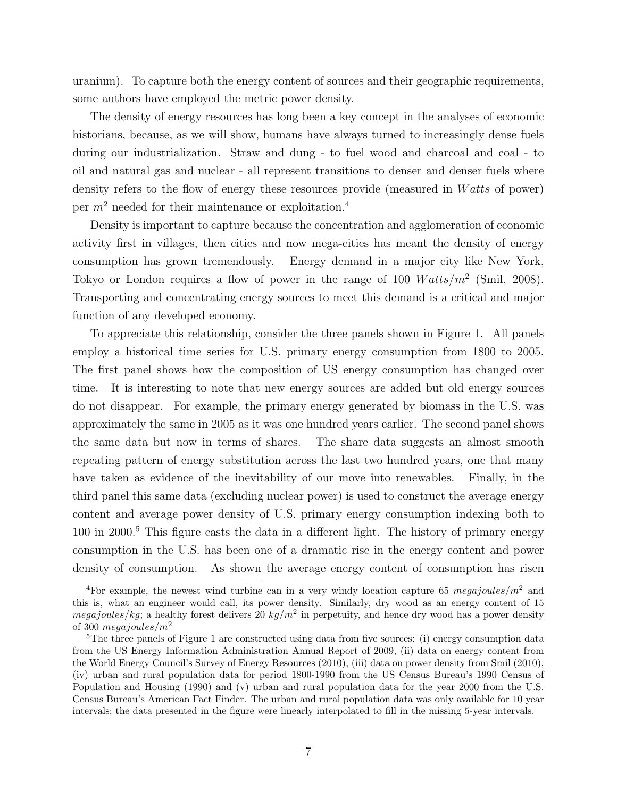uranium). To capture both the energy content of sources and their geographic requirements, some authors have employed the metric power density.

The density of energy resources has long been a key concept in the analyses of economic historians, because, as we will show, humans have always turned to increasingly dense fuels during our industrialization. Straw and dung - to fuel wood and charcoal and coal - to oil and natural gas and nuclear - all represent transitions to denser and denser fuels where density refers to the flow of energy these resources provide (measured in Watts of power) per  $m^2$  needed for their maintenance or exploitation.<sup>4</sup>

Density is important to capture because the concentration and agglomeration of economic activity first in villages, then cities and now mega-cities has meant the density of energy consumption has grown tremendously. Energy demand in a major city like New York, Tokyo or London requires a flow of power in the range of 100  $Watts/m^2$  (Smil, 2008). Transporting and concentrating energy sources to meet this demand is a critical and major function of any developed economy.

To appreciate this relationship, consider the three panels shown in Figure 1. All panels employ a historical time series for U.S. primary energy consumption from 1800 to 2005. The first panel shows how the composition of US energy consumption has changed over time. It is interesting to note that new energy sources are added but old energy sources do not disappear. For example, the primary energy generated by biomass in the U.S. was approximately the same in 2005 as it was one hundred years earlier. The second panel shows the same data but now in terms of shares. The share data suggests an almost smooth repeating pattern of energy substitution across the last two hundred years, one that many have taken as evidence of the inevitability of our move into renewables. Finally, in the third panel this same data (excluding nuclear power) is used to construct the average energy content and average power density of U.S. primary energy consumption indexing both to  $100$  in 2000.<sup>5</sup> This figure casts the data in a different light. The history of primary energy consumption in the U.S. has been one of a dramatic rise in the energy content and power density of consumption. As shown the average energy content of consumption has risen

<sup>&</sup>lt;sup>4</sup>For example, the newest wind turbine can in a very windy location capture 65 megajoules/ $m^2$  and this is, what an engineer would call, its power density. Similarly, dry wood as an energy content of 15 *megajoules/kg*; a healthy forest delivers 20  $kg/m^2$  in perpetuity, and hence dry wood has a power density of 300 megajoules/ $m^2$ 

<sup>5</sup>The three panels of Figure 1 are constructed using data from five sources: (i) energy consumption data from the US Energy Information Administration Annual Report of 2009, (ii) data on energy content from the World Energy Council's Survey of Energy Resources (2010), (iii) data on power density from Smil (2010), (iv) urban and rural population data for period 1800-1990 from the US Census Bureau's 1990 Census of Population and Housing (1990) and (v) urban and rural population data for the year 2000 from the U.S. Census Bureau's American Fact Finder. The urban and rural population data was only available for 10 year intervals; the data presented in the figure were linearly interpolated to fill in the missing 5-year intervals.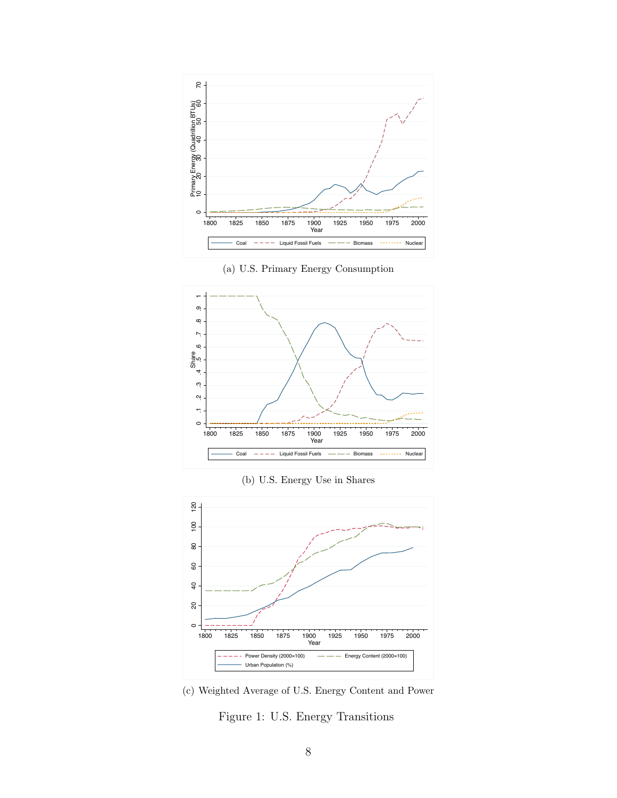

(a) U.S. Primary Energy Consumption



(b) U.S. Energy Use in Shares





Figure 1: U.S. Energy Transitions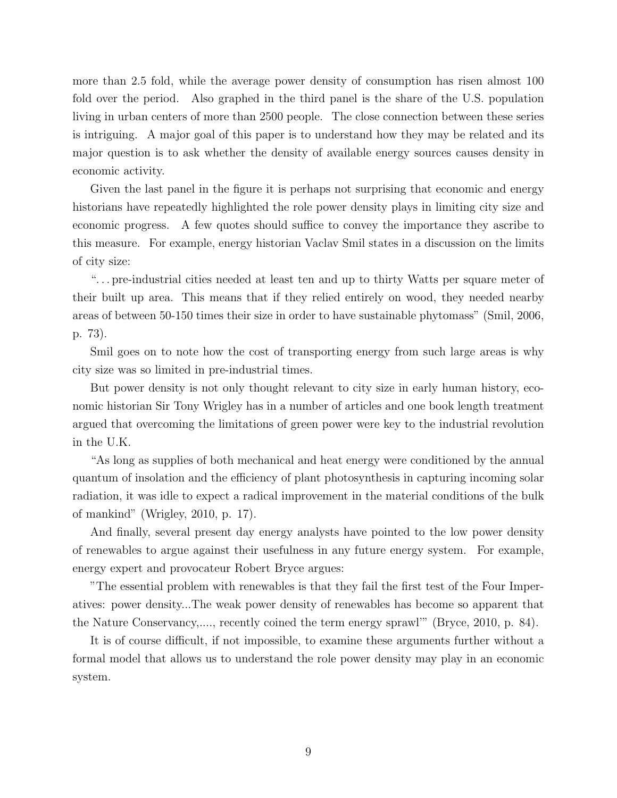more than 2.5 fold, while the average power density of consumption has risen almost 100 fold over the period. Also graphed in the third panel is the share of the U.S. population living in urban centers of more than 2500 people. The close connection between these series is intriguing. A major goal of this paper is to understand how they may be related and its major question is to ask whether the density of available energy sources causes density in economic activity.

Given the last panel in the figure it is perhaps not surprising that economic and energy historians have repeatedly highlighted the role power density plays in limiting city size and economic progress. A few quotes should suffice to convey the importance they ascribe to this measure. For example, energy historian Vaclav Smil states in a discussion on the limits of city size:

". . . pre-industrial cities needed at least ten and up to thirty Watts per square meter of their built up area. This means that if they relied entirely on wood, they needed nearby areas of between 50-150 times their size in order to have sustainable phytomass" (Smil, 2006, p. 73).

Smil goes on to note how the cost of transporting energy from such large areas is why city size was so limited in pre-industrial times.

But power density is not only thought relevant to city size in early human history, economic historian Sir Tony Wrigley has in a number of articles and one book length treatment argued that overcoming the limitations of green power were key to the industrial revolution in the U.K.

"As long as supplies of both mechanical and heat energy were conditioned by the annual quantum of insolation and the efficiency of plant photosynthesis in capturing incoming solar radiation, it was idle to expect a radical improvement in the material conditions of the bulk of mankind" (Wrigley, 2010, p. 17).

And finally, several present day energy analysts have pointed to the low power density of renewables to argue against their usefulness in any future energy system. For example, energy expert and provocateur Robert Bryce argues:

"The essential problem with renewables is that they fail the first test of the Four Imperatives: power density...The weak power density of renewables has become so apparent that the Nature Conservancy,...., recently coined the term energy sprawl'" (Bryce, 2010, p. 84).

It is of course difficult, if not impossible, to examine these arguments further without a formal model that allows us to understand the role power density may play in an economic system.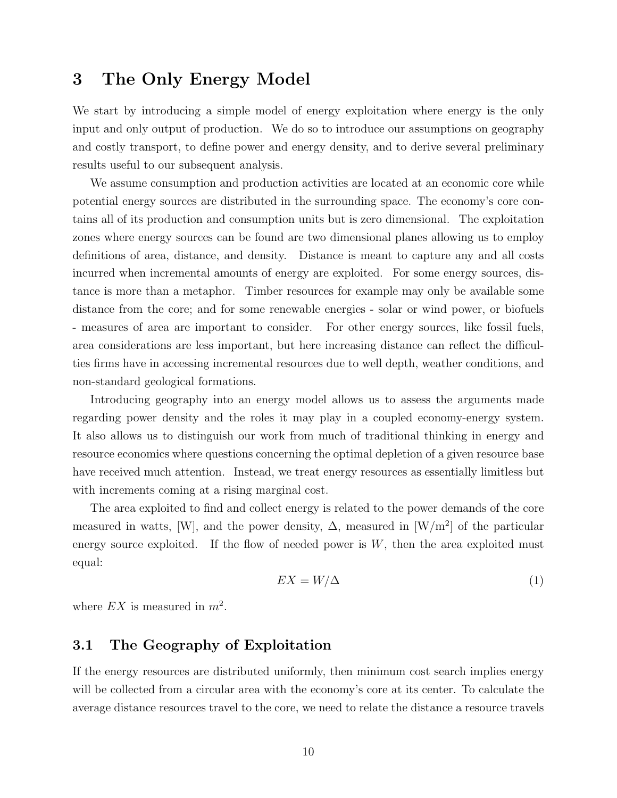## 3 The Only Energy Model

We start by introducing a simple model of energy exploitation where energy is the only input and only output of production. We do so to introduce our assumptions on geography and costly transport, to define power and energy density, and to derive several preliminary results useful to our subsequent analysis.

We assume consumption and production activities are located at an economic core while potential energy sources are distributed in the surrounding space. The economy's core contains all of its production and consumption units but is zero dimensional. The exploitation zones where energy sources can be found are two dimensional planes allowing us to employ definitions of area, distance, and density. Distance is meant to capture any and all costs incurred when incremental amounts of energy are exploited. For some energy sources, distance is more than a metaphor. Timber resources for example may only be available some distance from the core; and for some renewable energies - solar or wind power, or biofuels - measures of area are important to consider. For other energy sources, like fossil fuels, area considerations are less important, but here increasing distance can reflect the difficulties firms have in accessing incremental resources due to well depth, weather conditions, and non-standard geological formations.

Introducing geography into an energy model allows us to assess the arguments made regarding power density and the roles it may play in a coupled economy-energy system. It also allows us to distinguish our work from much of traditional thinking in energy and resource economics where questions concerning the optimal depletion of a given resource base have received much attention. Instead, we treat energy resources as essentially limitless but with increments coming at a rising marginal cost.

The area exploited to find and collect energy is related to the power demands of the core measured in watts, [W], and the power density,  $\Delta$ , measured in [W/m<sup>2</sup>] of the particular energy source exploited. If the flow of needed power is  $W$ , then the area exploited must equal:

$$
EX = W/\Delta \tag{1}
$$

where  $EX$  is measured in  $m^2$ .

### 3.1 The Geography of Exploitation

If the energy resources are distributed uniformly, then minimum cost search implies energy will be collected from a circular area with the economy's core at its center. To calculate the average distance resources travel to the core, we need to relate the distance a resource travels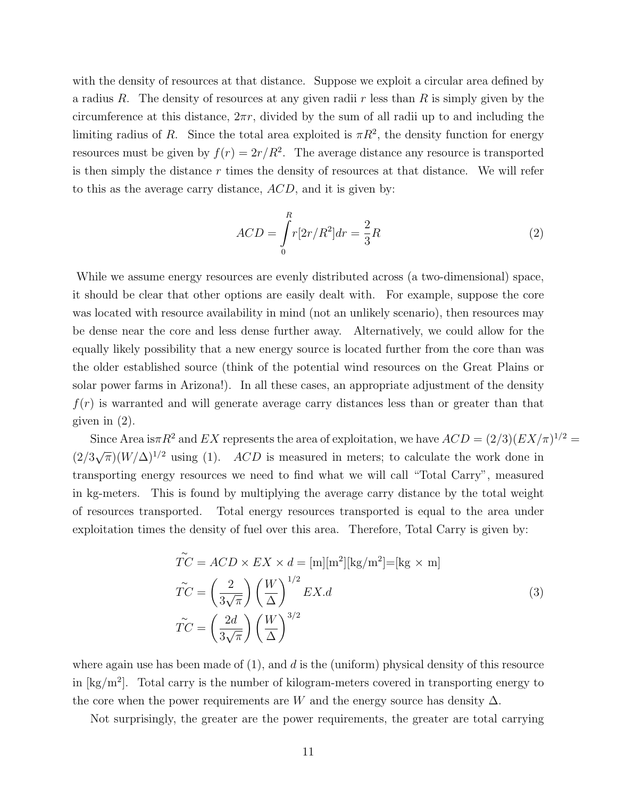with the density of resources at that distance. Suppose we exploit a circular area defined by a radius R. The density of resources at any given radii r less than R is simply given by the circumference at this distance,  $2\pi r$ , divided by the sum of all radii up to and including the limiting radius of R. Since the total area exploited is  $\pi R^2$ , the density function for energy resources must be given by  $f(r) = 2r/R^2$ . The average distance any resource is transported is then simply the distance  $r$  times the density of resources at that distance. We will refer to this as the average carry distance, ACD, and it is given by:

$$
ACD = \int_{0}^{R} r[2r/R^{2}]dr = \frac{2}{3}R
$$
 (2)

While we assume energy resources are evenly distributed across (a two-dimensional) space, it should be clear that other options are easily dealt with. For example, suppose the core was located with resource availability in mind (not an unlikely scenario), then resources may be dense near the core and less dense further away. Alternatively, we could allow for the equally likely possibility that a new energy source is located further from the core than was the older established source (think of the potential wind resources on the Great Plains or solar power farms in Arizona!). In all these cases, an appropriate adjustment of the density  $f(r)$  is warranted and will generate average carry distances less than or greater than that given in (2).

Since Area is $\pi R^2$  and EX represents the area of exploitation, we have  $ACD = (2/3)(EX/\pi)^{1/2}$ (2/3  $\sqrt{\pi}$ )( $W/\Delta$ )<sup>1/2</sup> using (1). ACD is measured in meters; to calculate the work done in transporting energy resources we need to find what we will call "Total Carry", measured in kg-meters. This is found by multiplying the average carry distance by the total weight of resources transported. Total energy resources transported is equal to the area under exploitation times the density of fuel over this area. Therefore, Total Carry is given by:

$$
\widetilde{TC} = ACD \times EX \times d = [\text{m}][\text{m}^2][\text{kg}/\text{m}^2] = [\text{kg} \times \text{m}]
$$
  

$$
\widetilde{TC} = \left(\frac{2}{3\sqrt{\pi}}\right) \left(\frac{W}{\Delta}\right)^{1/2} EX. d
$$
 (3)  

$$
\widetilde{TC} = \left(\frac{2d}{3\sqrt{\pi}}\right) \left(\frac{W}{\Delta}\right)^{3/2}
$$

where again use has been made of  $(1)$ , and d is the (uniform) physical density of this resource in  $\text{[kg/m}^2\text{]}$ . Total carry is the number of kilogram-meters covered in transporting energy to the core when the power requirements are W and the energy source has density  $\Delta$ .

Not surprisingly, the greater are the power requirements, the greater are total carrying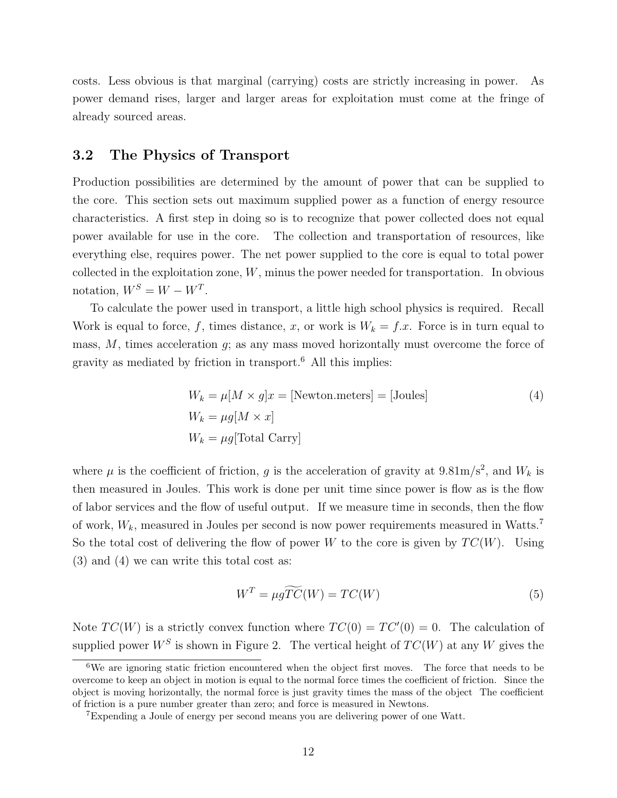costs. Less obvious is that marginal (carrying) costs are strictly increasing in power. As power demand rises, larger and larger areas for exploitation must come at the fringe of already sourced areas.

### 3.2 The Physics of Transport

Production possibilities are determined by the amount of power that can be supplied to the core. This section sets out maximum supplied power as a function of energy resource characteristics. A first step in doing so is to recognize that power collected does not equal power available for use in the core. The collection and transportation of resources, like everything else, requires power. The net power supplied to the core is equal to total power collected in the exploitation zone,  $W$ , minus the power needed for transportation. In obvious notation,  $W^S = W - W^T$ .

To calculate the power used in transport, a little high school physics is required. Recall Work is equal to force, f, times distance, x, or work is  $W_k = f.x$ . Force is in turn equal to mass,  $M$ , times acceleration  $g$ ; as any mass moved horizontally must overcome the force of gravity as mediated by friction in transport.<sup>6</sup> All this implies:

$$
W_k = \mu[M \times g]x = [\text{Newton}.\text{meters}] = [\text{Joules}]
$$
  
\n
$$
W_k = \mu g[M \times x]
$$
  
\n
$$
W_k = \mu g[\text{Total Carry}]
$$
\n(4)

where  $\mu$  is the coefficient of friction, g is the acceleration of gravity at 9.81m/s<sup>2</sup>, and  $W_k$  is then measured in Joules. This work is done per unit time since power is flow as is the flow of labor services and the flow of useful output. If we measure time in seconds, then the flow of work,  $W_k$ , measured in Joules per second is now power requirements measured in Watts.<sup>7</sup> So the total cost of delivering the flow of power W to the core is given by  $TC(W)$ . Using (3) and (4) we can write this total cost as:

$$
W^T = \mu g \widetilde{TC}(W) = TC(W)
$$
\n<sup>(5)</sup>

Note  $TC(W)$  is a strictly convex function where  $TC(0) = TC'(0) = 0$ . The calculation of supplied power  $W^S$  is shown in Figure 2. The vertical height of  $TC(W)$  at any W gives the

<sup>&</sup>lt;sup>6</sup>We are ignoring static friction encountered when the object first moves. The force that needs to be overcome to keep an object in motion is equal to the normal force times the coefficient of friction. Since the object is moving horizontally, the normal force is just gravity times the mass of the object The coefficient of friction is a pure number greater than zero; and force is measured in Newtons.

<sup>7</sup>Expending a Joule of energy per second means you are delivering power of one Watt.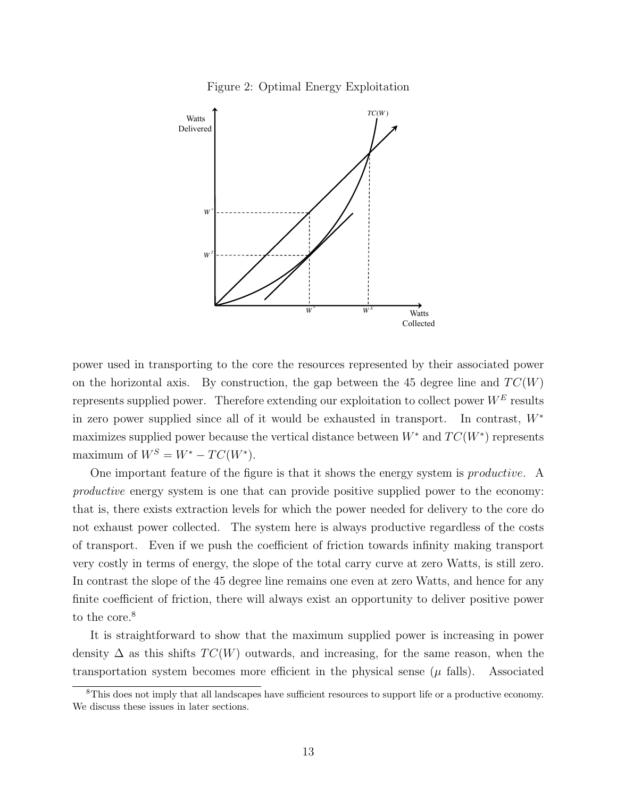



power used in transporting to the core the resources represented by their associated power on the horizontal axis. By construction, the gap between the 45 degree line and  $TC(W)$ represents supplied power. Therefore extending our exploitation to collect power  $W<sup>E</sup>$  results in zero power supplied since all of it would be exhausted in transport. In contrast, W<sup>∗</sup> maximizes supplied power because the vertical distance between  $W^*$  and  $TC(W^*)$  represents maximum of  $W^S = W^* - TC(W^*)$ .

One important feature of the figure is that it shows the energy system is *productive*. A productive energy system is one that can provide positive supplied power to the economy: that is, there exists extraction levels for which the power needed for delivery to the core do not exhaust power collected. The system here is always productive regardless of the costs of transport. Even if we push the coefficient of friction towards infinity making transport very costly in terms of energy, the slope of the total carry curve at zero Watts, is still zero. In contrast the slope of the 45 degree line remains one even at zero Watts, and hence for any finite coefficient of friction, there will always exist an opportunity to deliver positive power to the core.<sup>8</sup>

It is straightforward to show that the maximum supplied power is increasing in power density  $\Delta$  as this shifts  $TC(W)$  outwards, and increasing, for the same reason, when the transportation system becomes more efficient in the physical sense  $(\mu \text{ falls})$ . Associated

<sup>8</sup>This does not imply that all landscapes have sufficient resources to support life or a productive economy. We discuss these issues in later sections.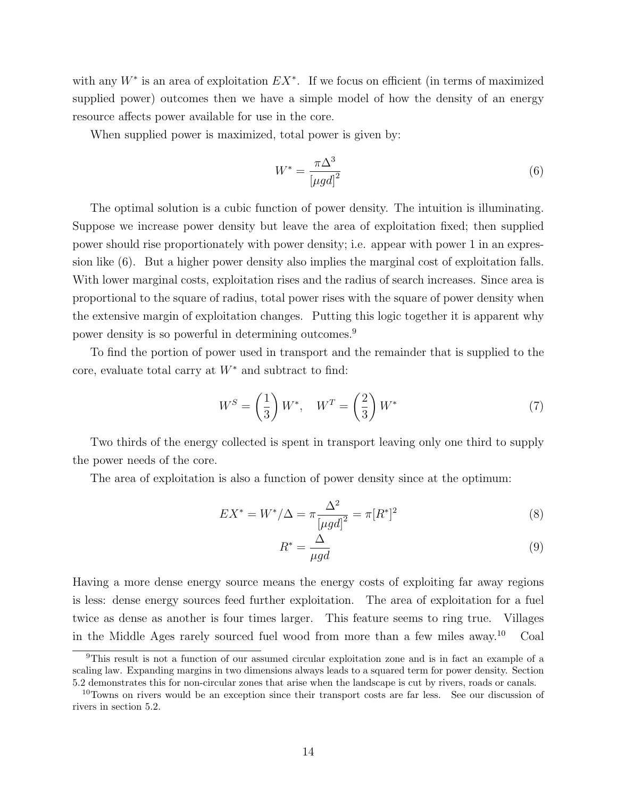with any  $W^*$  is an area of exploitation  $EX^*$ . If we focus on efficient (in terms of maximized supplied power) outcomes then we have a simple model of how the density of an energy resource affects power available for use in the core.

When supplied power is maximized, total power is given by:

$$
W^* = \frac{\pi \Delta^3}{\left[\mu g d\right]^2} \tag{6}
$$

The optimal solution is a cubic function of power density. The intuition is illuminating. Suppose we increase power density but leave the area of exploitation fixed; then supplied power should rise proportionately with power density; i.e. appear with power 1 in an expression like (6). But a higher power density also implies the marginal cost of exploitation falls. With lower marginal costs, exploitation rises and the radius of search increases. Since area is proportional to the square of radius, total power rises with the square of power density when the extensive margin of exploitation changes. Putting this logic together it is apparent why power density is so powerful in determining outcomes.<sup>9</sup>

To find the portion of power used in transport and the remainder that is supplied to the core, evaluate total carry at  $W^*$  and subtract to find:

$$
W^S = \left(\frac{1}{3}\right)W^*, \quad W^T = \left(\frac{2}{3}\right)W^*
$$
\n<sup>(7)</sup>

Two thirds of the energy collected is spent in transport leaving only one third to supply the power needs of the core.

The area of exploitation is also a function of power density since at the optimum:

$$
EX^* = W^* / \Delta = \pi \frac{\Delta^2}{[\mu gd]^2} = \pi [R^*]^2
$$
\n(8)

$$
R^* = \frac{\Delta}{\mu g d} \tag{9}
$$

Having a more dense energy source means the energy costs of exploiting far away regions is less: dense energy sources feed further exploitation. The area of exploitation for a fuel twice as dense as another is four times larger. This feature seems to ring true. Villages in the Middle Ages rarely sourced fuel wood from more than a few miles away.<sup>10</sup> Coal

<sup>9</sup>This result is not a function of our assumed circular exploitation zone and is in fact an example of a scaling law. Expanding margins in two dimensions always leads to a squared term for power density. Section 5.2 demonstrates this for non-circular zones that arise when the landscape is cut by rivers, roads or canals.

<sup>&</sup>lt;sup>10</sup>Towns on rivers would be an exception since their transport costs are far less. See our discussion of rivers in section 5.2.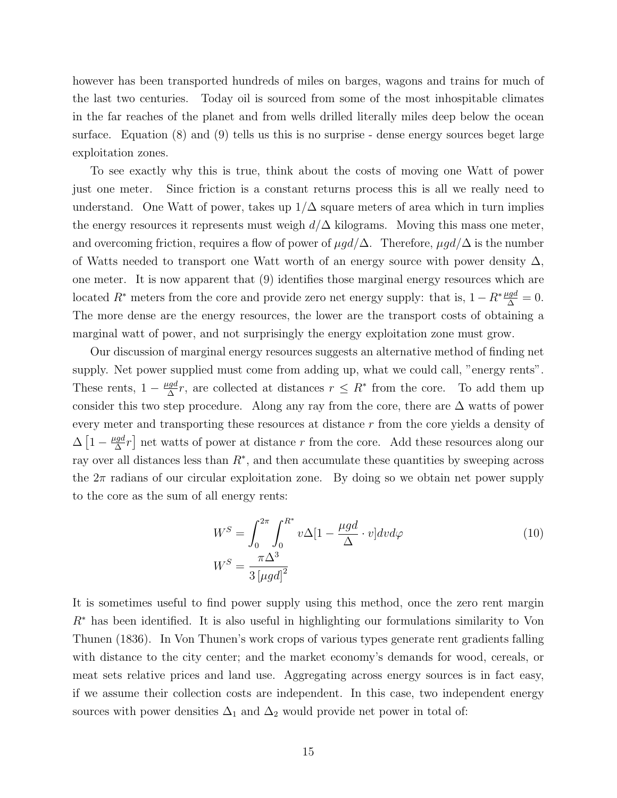however has been transported hundreds of miles on barges, wagons and trains for much of the last two centuries. Today oil is sourced from some of the most inhospitable climates in the far reaches of the planet and from wells drilled literally miles deep below the ocean surface. Equation (8) and (9) tells us this is no surprise - dense energy sources beget large exploitation zones.

To see exactly why this is true, think about the costs of moving one Watt of power just one meter. Since friction is a constant returns process this is all we really need to understand. One Watt of power, takes up  $1/\Delta$  square meters of area which in turn implies the energy resources it represents must weigh  $d/\Delta$  kilograms. Moving this mass one meter, and overcoming friction, requires a flow of power of  $\mu gd/\Delta$ . Therefore,  $\mu gd/\Delta$  is the number of Watts needed to transport one Watt worth of an energy source with power density  $\Delta$ . one meter. It is now apparent that (9) identifies those marginal energy resources which are located  $R^*$  meters from the core and provide zero net energy supply: that is,  $1 - R^* \frac{\mu g d}{\Delta} = 0$ . The more dense are the energy resources, the lower are the transport costs of obtaining a marginal watt of power, and not surprisingly the energy exploitation zone must grow.

Our discussion of marginal energy resources suggests an alternative method of finding net supply. Net power supplied must come from adding up, what we could call, "energy rents". These rents,  $1 - \frac{\mu gd}{\Delta}$  $\frac{qgd}{\Delta}r$ , are collected at distances  $r \leq R^*$  from the core. To add them up consider this two step procedure. Along any ray from the core, there are  $\Delta$  watts of power every meter and transporting these resources at distance r from the core yields a density of  $\Delta \left[1 - \frac{\mu gd}{\Delta}\right]$  $\frac{lgd}{\Delta}r$  net watts of power at distance r from the core. Add these resources along our ray over all distances less than  $R^*$ , and then accumulate these quantities by sweeping across the  $2\pi$  radians of our circular exploitation zone. By doing so we obtain net power supply to the core as the sum of all energy rents:

$$
W^{S} = \int_{0}^{2\pi} \int_{0}^{R^{*}} v\Delta[1 - \frac{\mu gd}{\Delta} \cdot v]dv d\varphi
$$
  

$$
W^{S} = \frac{\pi \Delta^{3}}{3\left[\mu gd\right]^{2}}
$$
 (10)

It is sometimes useful to find power supply using this method, once the zero rent margin  $R<sup>*</sup>$  has been identified. It is also useful in highlighting our formulations similarity to Von Thunen (1836). In Von Thunen's work crops of various types generate rent gradients falling with distance to the city center; and the market economy's demands for wood, cereals, or meat sets relative prices and land use. Aggregating across energy sources is in fact easy, if we assume their collection costs are independent. In this case, two independent energy sources with power densities  $\Delta_1$  and  $\Delta_2$  would provide net power in total of: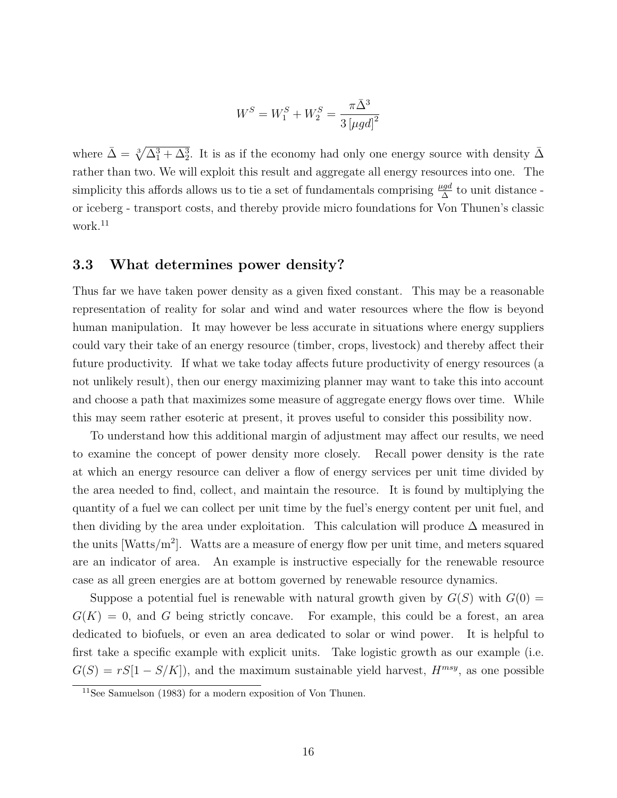$$
W^{S} = W_{1}^{S} + W_{2}^{S} = \frac{\pi \bar{\Delta}^{3}}{3 \left[\mu g d\right]^{2}}
$$

where  $\bar{\Delta} = \sqrt[3]{\Delta_1^3 + \Delta_2^3}$ . It is as if the economy had only one energy source with density  $\bar{\Delta}$ rather than two. We will exploit this result and aggregate all energy resources into one. The simplicity this affords allows us to tie a set of fundamentals comprising  $\frac{\mu gd}{\Delta}$  to unit distance or iceberg - transport costs, and thereby provide micro foundations for Von Thunen's classic work.<sup>11</sup>

#### 3.3 What determines power density?

Thus far we have taken power density as a given fixed constant. This may be a reasonable representation of reality for solar and wind and water resources where the flow is beyond human manipulation. It may however be less accurate in situations where energy suppliers could vary their take of an energy resource (timber, crops, livestock) and thereby affect their future productivity. If what we take today affects future productivity of energy resources (a not unlikely result), then our energy maximizing planner may want to take this into account and choose a path that maximizes some measure of aggregate energy flows over time. While this may seem rather esoteric at present, it proves useful to consider this possibility now.

To understand how this additional margin of adjustment may affect our results, we need to examine the concept of power density more closely. Recall power density is the rate at which an energy resource can deliver a flow of energy services per unit time divided by the area needed to find, collect, and maintain the resource. It is found by multiplying the quantity of a fuel we can collect per unit time by the fuel's energy content per unit fuel, and then dividing by the area under exploitation. This calculation will produce  $\Delta$  measured in the units [Watts/m<sup>2</sup> ]. Watts are a measure of energy flow per unit time, and meters squared are an indicator of area. An example is instructive especially for the renewable resource case as all green energies are at bottom governed by renewable resource dynamics.

Suppose a potential fuel is renewable with natural growth given by  $G(S)$  with  $G(0)$  =  $G(K) = 0$ , and G being strictly concave. For example, this could be a forest, an area dedicated to biofuels, or even an area dedicated to solar or wind power. It is helpful to first take a specific example with explicit units. Take logistic growth as our example (i.e.  $G(S) = rS[1 - S/K]$ , and the maximum sustainable yield harvest,  $H^{msy}$ , as one possible

 $11$ See Samuelson (1983) for a modern exposition of Von Thunen.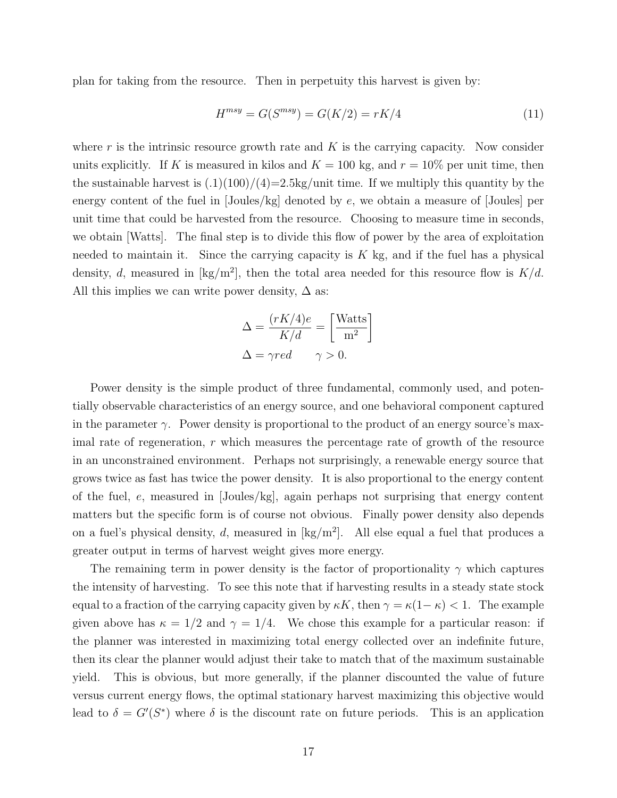plan for taking from the resource. Then in perpetuity this harvest is given by:

$$
H^{msy} = G(S^{msy}) = G(K/2) = rK/4
$$
\n
$$
(11)
$$

where r is the intrinsic resource growth rate and  $K$  is the carrying capacity. Now consider units explicitly. If K is measured in kilos and  $K = 100$  kg, and  $r = 10\%$  per unit time, then the sustainable harvest is  $(0.1)(100)/(4)=2.5\text{kg/min}$  time. If we multiply this quantity by the energy content of the fuel in  $Joules/kg$  denoted by e, we obtain a measure of  $Joules$  per unit time that could be harvested from the resource. Choosing to measure time in seconds, we obtain [Watts]. The final step is to divide this flow of power by the area of exploitation needed to maintain it. Since the carrying capacity is  $K$  kg, and if the fuel has a physical density, d, measured in  $[\text{kg/m}^2]$ , then the total area needed for this resource flow is  $K/d$ . All this implies we can write power density,  $\Delta$  as:

$$
\Delta = \frac{(rK/4)e}{K/d} = \left[\frac{\text{Watts}}{\text{m}^2}\right]
$$

$$
\Delta = \gamma red \qquad \gamma > 0.
$$

Power density is the simple product of three fundamental, commonly used, and potentially observable characteristics of an energy source, and one behavioral component captured in the parameter  $\gamma$ . Power density is proportional to the product of an energy source's maximal rate of regeneration,  $r$  which measures the percentage rate of growth of the resource in an unconstrained environment. Perhaps not surprisingly, a renewable energy source that grows twice as fast has twice the power density. It is also proportional to the energy content of the fuel, e, measured in [Joules/kg], again perhaps not surprising that energy content matters but the specific form is of course not obvious. Finally power density also depends on a fuel's physical density, d, measured in  $\text{[kg/m}^2\text{]}$ . All else equal a fuel that produces a greater output in terms of harvest weight gives more energy.

The remaining term in power density is the factor of proportionality  $\gamma$  which captures the intensity of harvesting. To see this note that if harvesting results in a steady state stock equal to a fraction of the carrying capacity given by  $\kappa K$ , then  $\gamma = \kappa (1 - \kappa) < 1$ . The example given above has  $\kappa = 1/2$  and  $\gamma = 1/4$ . We chose this example for a particular reason: if the planner was interested in maximizing total energy collected over an indefinite future, then its clear the planner would adjust their take to match that of the maximum sustainable yield. This is obvious, but more generally, if the planner discounted the value of future versus current energy flows, the optimal stationary harvest maximizing this objective would lead to  $\delta = G'(S^*)$  where  $\delta$  is the discount rate on future periods. This is an application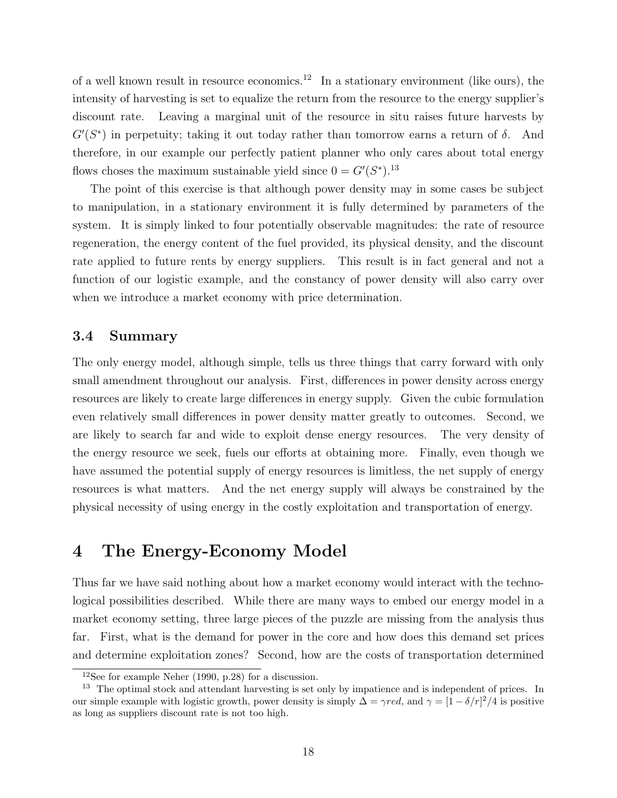of a well known result in resource economics.<sup>12</sup> In a stationary environment (like ours), the intensity of harvesting is set to equalize the return from the resource to the energy supplier's discount rate. Leaving a marginal unit of the resource in situ raises future harvests by  $G'(S^*)$  in perpetuity; taking it out today rather than tomorrow earns a return of  $\delta$ . And therefore, in our example our perfectly patient planner who only cares about total energy flows choses the maximum sustainable yield since  $0 = G'(S^*)$ .<sup>13</sup>

The point of this exercise is that although power density may in some cases be subject to manipulation, in a stationary environment it is fully determined by parameters of the system. It is simply linked to four potentially observable magnitudes: the rate of resource regeneration, the energy content of the fuel provided, its physical density, and the discount rate applied to future rents by energy suppliers. This result is in fact general and not a function of our logistic example, and the constancy of power density will also carry over when we introduce a market economy with price determination.

#### 3.4 Summary

The only energy model, although simple, tells us three things that carry forward with only small amendment throughout our analysis. First, differences in power density across energy resources are likely to create large differences in energy supply. Given the cubic formulation even relatively small differences in power density matter greatly to outcomes. Second, we are likely to search far and wide to exploit dense energy resources. The very density of the energy resource we seek, fuels our efforts at obtaining more. Finally, even though we have assumed the potential supply of energy resources is limitless, the net supply of energy resources is what matters. And the net energy supply will always be constrained by the physical necessity of using energy in the costly exploitation and transportation of energy.

## 4 The Energy-Economy Model

Thus far we have said nothing about how a market economy would interact with the technological possibilities described. While there are many ways to embed our energy model in a market economy setting, three large pieces of the puzzle are missing from the analysis thus far. First, what is the demand for power in the core and how does this demand set prices and determine exploitation zones? Second, how are the costs of transportation determined

 $12$ See for example Neher (1990, p.28) for a discussion.

<sup>&</sup>lt;sup>13</sup> The optimal stock and attendant harvesting is set only by impatience and is independent of prices. In our simple example with logistic growth, power density is simply  $\Delta = \gamma red$ , and  $\gamma = \frac{1 - \delta}{r^2/4}$  is positive as long as suppliers discount rate is not too high.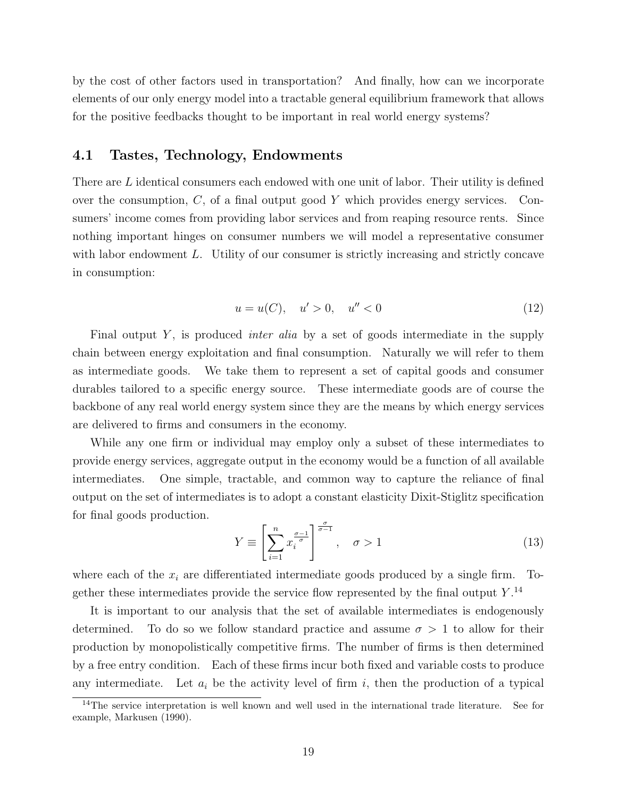by the cost of other factors used in transportation? And finally, how can we incorporate elements of our only energy model into a tractable general equilibrium framework that allows for the positive feedbacks thought to be important in real world energy systems?

### 4.1 Tastes, Technology, Endowments

There are L identical consumers each endowed with one unit of labor. Their utility is defined over the consumption,  $C$ , of a final output good Y which provides energy services. Consumers' income comes from providing labor services and from reaping resource rents. Since nothing important hinges on consumer numbers we will model a representative consumer with labor endowment L. Utility of our consumer is strictly increasing and strictly concave in consumption:

$$
u = u(C), \quad u' > 0, \quad u'' < 0 \tag{12}
$$

Final output Y, is produced *inter alia* by a set of goods intermediate in the supply chain between energy exploitation and final consumption. Naturally we will refer to them as intermediate goods. We take them to represent a set of capital goods and consumer durables tailored to a specific energy source. These intermediate goods are of course the backbone of any real world energy system since they are the means by which energy services are delivered to firms and consumers in the economy.

While any one firm or individual may employ only a subset of these intermediates to provide energy services, aggregate output in the economy would be a function of all available intermediates. One simple, tractable, and common way to capture the reliance of final output on the set of intermediates is to adopt a constant elasticity Dixit-Stiglitz specification for final goods production.

$$
Y \equiv \left[ \sum_{i=1}^{n} x_i^{\frac{\sigma-1}{\sigma}} \right]^{\frac{\sigma}{\sigma-1}}, \quad \sigma > 1 \tag{13}
$$

where each of the  $x_i$  are differentiated intermediate goods produced by a single firm. Together these intermediates provide the service flow represented by the final output  $Y$ .<sup>14</sup>

It is important to our analysis that the set of available intermediates is endogenously determined. To do so we follow standard practice and assume  $\sigma > 1$  to allow for their production by monopolistically competitive firms. The number of firms is then determined by a free entry condition. Each of these firms incur both fixed and variable costs to produce any intermediate. Let  $a_i$  be the activity level of firm i, then the production of a typical

<sup>&</sup>lt;sup>14</sup>The service interpretation is well known and well used in the international trade literature. See for example, Markusen (1990).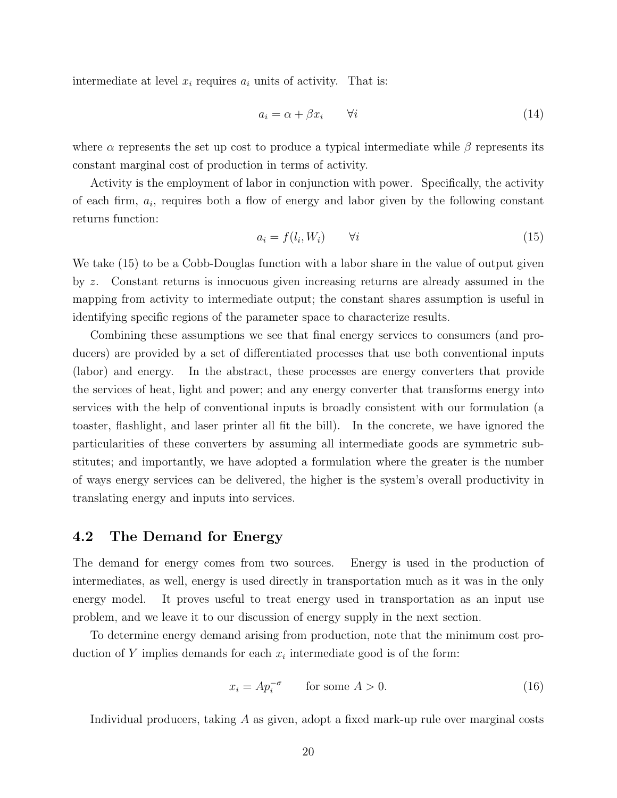intermediate at level  $x_i$  requires  $a_i$  units of activity. That is:

$$
a_i = \alpha + \beta x_i \qquad \forall i \tag{14}
$$

where  $\alpha$  represents the set up cost to produce a typical intermediate while  $\beta$  represents its constant marginal cost of production in terms of activity.

Activity is the employment of labor in conjunction with power. Specifically, the activity of each firm,  $a_i$ , requires both a flow of energy and labor given by the following constant returns function:

$$
a_i = f(l_i, W_i) \qquad \forall i \tag{15}
$$

We take (15) to be a Cobb-Douglas function with a labor share in the value of output given by z. Constant returns is innocuous given increasing returns are already assumed in the mapping from activity to intermediate output; the constant shares assumption is useful in identifying specific regions of the parameter space to characterize results.

Combining these assumptions we see that final energy services to consumers (and producers) are provided by a set of differentiated processes that use both conventional inputs (labor) and energy. In the abstract, these processes are energy converters that provide the services of heat, light and power; and any energy converter that transforms energy into services with the help of conventional inputs is broadly consistent with our formulation (a toaster, flashlight, and laser printer all fit the bill). In the concrete, we have ignored the particularities of these converters by assuming all intermediate goods are symmetric substitutes; and importantly, we have adopted a formulation where the greater is the number of ways energy services can be delivered, the higher is the system's overall productivity in translating energy and inputs into services.

#### 4.2 The Demand for Energy

The demand for energy comes from two sources. Energy is used in the production of intermediates, as well, energy is used directly in transportation much as it was in the only energy model. It proves useful to treat energy used in transportation as an input use problem, and we leave it to our discussion of energy supply in the next section.

To determine energy demand arising from production, note that the minimum cost production of Y implies demands for each  $x_i$  intermediate good is of the form:

$$
x_i = Ap_i^{-\sigma} \qquad \text{for some } A > 0. \tag{16}
$$

Individual producers, taking A as given, adopt a fixed mark-up rule over marginal costs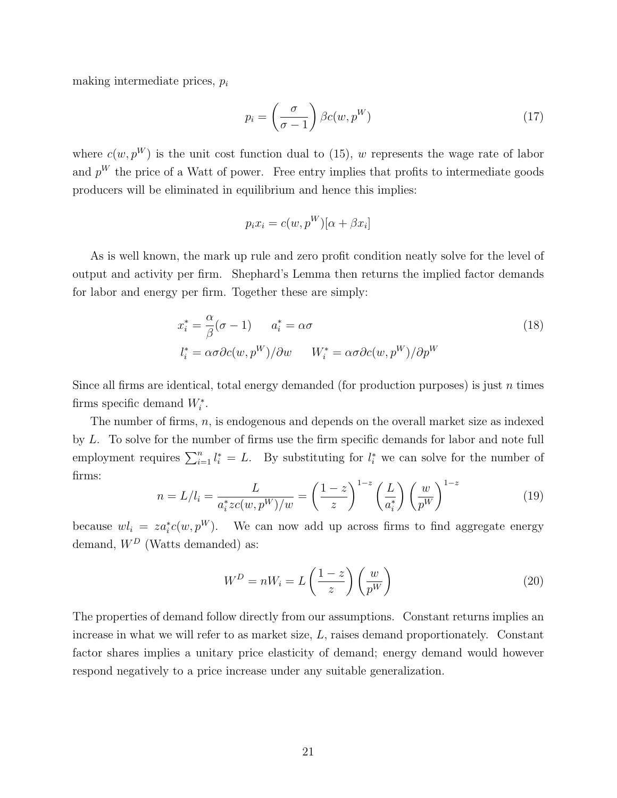making intermediate prices,  $p_i$ 

$$
p_i = \left(\frac{\sigma}{\sigma - 1}\right) \beta c(w, p^W) \tag{17}
$$

where  $c(w, p^W)$  is the unit cost function dual to (15), w represents the wage rate of labor and  $p<sup>W</sup>$  the price of a Watt of power. Free entry implies that profits to intermediate goods producers will be eliminated in equilibrium and hence this implies:

$$
p_i x_i = c(w, p^W)[\alpha + \beta x_i]
$$

As is well known, the mark up rule and zero profit condition neatly solve for the level of output and activity per firm. Shephard's Lemma then returns the implied factor demands for labor and energy per firm. Together these are simply:

$$
x_i^* = \frac{\alpha}{\beta}(\sigma - 1) \qquad a_i^* = \alpha \sigma
$$
  

$$
l_i^* = \alpha \sigma \partial c(w, p^W) / \partial w \qquad W_i^* = \alpha \sigma \partial c(w, p^W) / \partial p^W
$$
 (18)

Since all firms are identical, total energy demanded (for production purposes) is just n times firms specific demand  $W_i^*$ .

The number of firms,  $n$ , is endogenous and depends on the overall market size as indexed by L. To solve for the number of firms use the firm specific demands for labor and note full employment requires  $\sum_{i=1}^n l_i^* = L$ . By substituting for  $l_i^*$  we can solve for the number of firms:

$$
n = L/l_i = \frac{L}{a_i^* z c(w, p^W)/w} = \left(\frac{1-z}{z}\right)^{1-z} \left(\frac{L}{a_i^*}\right) \left(\frac{w}{p^W}\right)^{1-z}
$$
(19)

because  $wl_i = za_i^*(c(w, p^W)$ . We can now add up across firms to find aggregate energy demand,  $W^D$  (Watts demanded) as:

$$
W^D = nW_i = L\left(\frac{1-z}{z}\right)\left(\frac{w}{p^W}\right) \tag{20}
$$

The properties of demand follow directly from our assumptions. Constant returns implies an increase in what we will refer to as market size, L, raises demand proportionately. Constant factor shares implies a unitary price elasticity of demand; energy demand would however respond negatively to a price increase under any suitable generalization.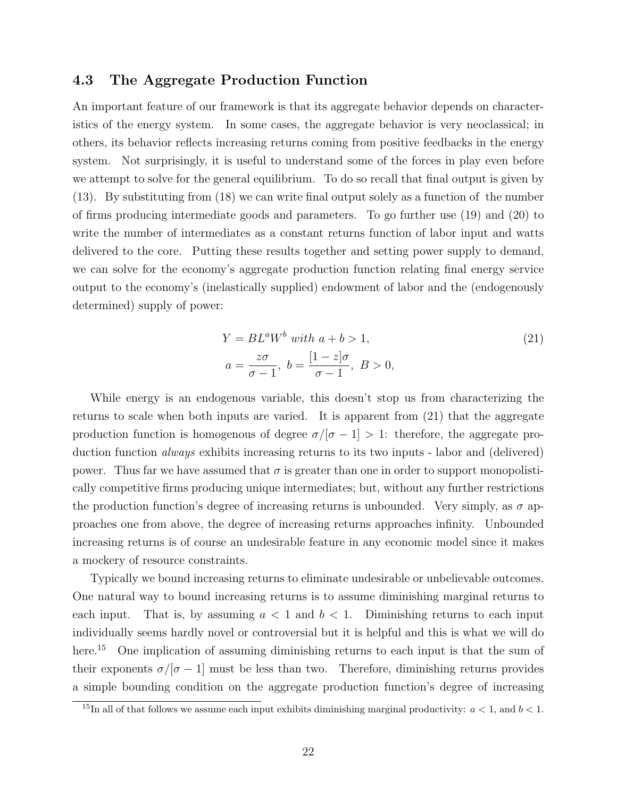### 4.3 The Aggregate Production Function

An important feature of our framework is that its aggregate behavior depends on characteristics of the energy system. In some cases, the aggregate behavior is very neoclassical; in others, its behavior reflects increasing returns coming from positive feedbacks in the energy system. Not surprisingly, it is useful to understand some of the forces in play even before we attempt to solve for the general equilibrium. To do so recall that final output is given by (13). By substituting from (18) we can write final output solely as a function of the number of firms producing intermediate goods and parameters. To go further use (19) and (20) to write the number of intermediates as a constant returns function of labor input and watts delivered to the core. Putting these results together and setting power supply to demand, we can solve for the economy's aggregate production function relating final energy service output to the economy's (inelastically supplied) endowment of labor and the (endogenously determined) supply of power:

$$
Y = BLaWb with a + b > 1,
$$
  
\n
$$
a = \frac{z\sigma}{\sigma - 1}, b = \frac{[1 - z]\sigma}{\sigma - 1}, B > 0,
$$
\n(21)

While energy is an endogenous variable, this doesn't stop us from characterizing the returns to scale when both inputs are varied. It is apparent from (21) that the aggregate production function is homogenous of degree  $\sigma/|\sigma - 1| > 1$ : therefore, the aggregate production function always exhibits increasing returns to its two inputs - labor and (delivered) power. Thus far we have assumed that  $\sigma$  is greater than one in order to support monopolistically competitive firms producing unique intermediates; but, without any further restrictions the production function's degree of increasing returns is unbounded. Very simply, as  $\sigma$  approaches one from above, the degree of increasing returns approaches infinity. Unbounded increasing returns is of course an undesirable feature in any economic model since it makes a mockery of resource constraints.

Typically we bound increasing returns to eliminate undesirable or unbelievable outcomes. One natural way to bound increasing returns is to assume diminishing marginal returns to each input. That is, by assuming  $a < 1$  and  $b < 1$ . Diminishing returns to each input individually seems hardly novel or controversial but it is helpful and this is what we will do here.<sup>15</sup> One implication of assuming diminishing returns to each input is that the sum of their exponents  $\sigma/[\sigma - 1]$  must be less than two. Therefore, diminishing returns provides a simple bounding condition on the aggregate production function's degree of increasing

<sup>&</sup>lt;sup>15</sup>In all of that follows we assume each input exhibits diminishing marginal productivity:  $a < 1$ , and  $b < 1$ .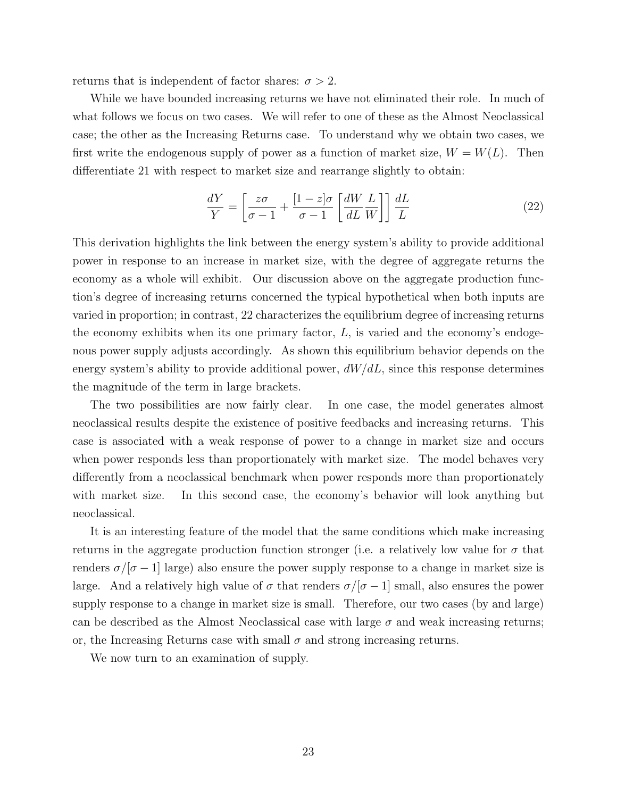returns that is independent of factor shares:  $\sigma > 2$ .

While we have bounded increasing returns we have not eliminated their role. In much of what follows we focus on two cases. We will refer to one of these as the Almost Neoclassical case; the other as the Increasing Returns case. To understand why we obtain two cases, we first write the endogenous supply of power as a function of market size,  $W = W(L)$ . Then differentiate 21 with respect to market size and rearrange slightly to obtain:

$$
\frac{dY}{Y} = \left[\frac{z\sigma}{\sigma - 1} + \frac{[1 - z]\sigma}{\sigma - 1} \left[\frac{dW}{dL} \frac{L}{W}\right]\right] \frac{dL}{L}
$$
\n(22)

This derivation highlights the link between the energy system's ability to provide additional power in response to an increase in market size, with the degree of aggregate returns the economy as a whole will exhibit. Our discussion above on the aggregate production function's degree of increasing returns concerned the typical hypothetical when both inputs are varied in proportion; in contrast, 22 characterizes the equilibrium degree of increasing returns the economy exhibits when its one primary factor,  $L$ , is varied and the economy's endogenous power supply adjusts accordingly. As shown this equilibrium behavior depends on the energy system's ability to provide additional power,  $dW/dL$ , since this response determines the magnitude of the term in large brackets.

The two possibilities are now fairly clear. In one case, the model generates almost neoclassical results despite the existence of positive feedbacks and increasing returns. This case is associated with a weak response of power to a change in market size and occurs when power responds less than proportionately with market size. The model behaves very differently from a neoclassical benchmark when power responds more than proportionately with market size. In this second case, the economy's behavior will look anything but neoclassical.

It is an interesting feature of the model that the same conditions which make increasing returns in the aggregate production function stronger (i.e. a relatively low value for  $\sigma$  that renders  $\sigma/|\sigma - 1|$  large) also ensure the power supply response to a change in market size is large. And a relatively high value of  $\sigma$  that renders  $\sigma/|\sigma-1|$  small, also ensures the power supply response to a change in market size is small. Therefore, our two cases (by and large) can be described as the Almost Neoclassical case with large  $\sigma$  and weak increasing returns; or, the Increasing Returns case with small  $\sigma$  and strong increasing returns.

We now turn to an examination of supply.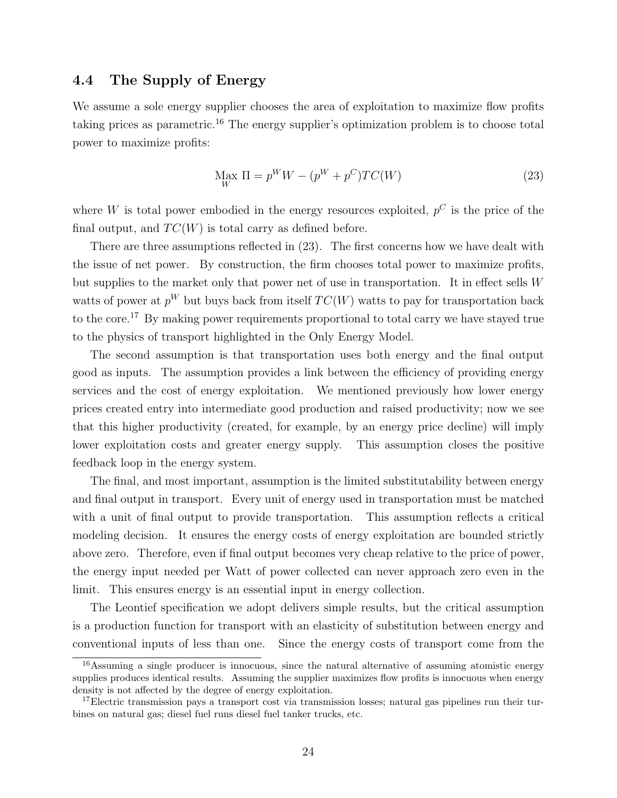### 4.4 The Supply of Energy

We assume a sole energy supplier chooses the area of exploitation to maximize flow profits taking prices as parametric.<sup>16</sup> The energy supplier's optimization problem is to choose total power to maximize profits:

$$
\underset{W}{\text{Max}} \Pi = p^W W - (p^W + p^C) T C(W) \tag{23}
$$

where W is total power embodied in the energy resources exploited,  $p^C$  is the price of the final output, and  $TC(W)$  is total carry as defined before.

There are three assumptions reflected in (23). The first concerns how we have dealt with the issue of net power. By construction, the firm chooses total power to maximize profits, but supplies to the market only that power net of use in transportation. It in effect sells W watts of power at  $p^W$  but buys back from itself  $TC(W)$  watts to pay for transportation back to the core.<sup>17</sup> By making power requirements proportional to total carry we have stayed true to the physics of transport highlighted in the Only Energy Model.

The second assumption is that transportation uses both energy and the final output good as inputs. The assumption provides a link between the efficiency of providing energy services and the cost of energy exploitation. We mentioned previously how lower energy prices created entry into intermediate good production and raised productivity; now we see that this higher productivity (created, for example, by an energy price decline) will imply lower exploitation costs and greater energy supply. This assumption closes the positive feedback loop in the energy system.

The final, and most important, assumption is the limited substitutability between energy and final output in transport. Every unit of energy used in transportation must be matched with a unit of final output to provide transportation. This assumption reflects a critical modeling decision. It ensures the energy costs of energy exploitation are bounded strictly above zero. Therefore, even if final output becomes very cheap relative to the price of power, the energy input needed per Watt of power collected can never approach zero even in the limit. This ensures energy is an essential input in energy collection.

The Leontief specification we adopt delivers simple results, but the critical assumption is a production function for transport with an elasticity of substitution between energy and conventional inputs of less than one. Since the energy costs of transport come from the

<sup>&</sup>lt;sup>16</sup>Assuming a single producer is innocuous, since the natural alternative of assuming atomistic energy supplies produces identical results. Assuming the supplier maximizes flow profits is innocuous when energy density is not affected by the degree of energy exploitation.

<sup>&</sup>lt;sup>17</sup>Electric transmission pays a transport cost via transmission losses; natural gas pipelines run their turbines on natural gas; diesel fuel runs diesel fuel tanker trucks, etc.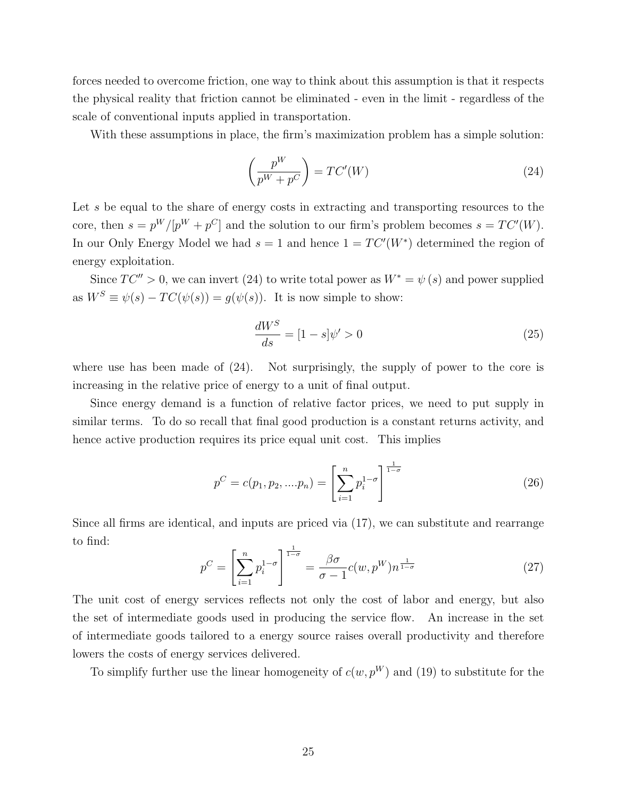forces needed to overcome friction, one way to think about this assumption is that it respects the physical reality that friction cannot be eliminated - even in the limit - regardless of the scale of conventional inputs applied in transportation.

With these assumptions in place, the firm's maximization problem has a simple solution:

$$
\left(\frac{p^W}{p^W + p^C}\right) = TC'(W) \tag{24}
$$

Let s be equal to the share of energy costs in extracting and transporting resources to the core, then  $s = p^W/[p^W + p^C]$  and the solution to our firm's problem becomes  $s = TC'(W)$ . In our Only Energy Model we had  $s = 1$  and hence  $1 = TC'(W^*)$  determined the region of energy exploitation.

Since  $TC'' > 0$ , we can invert (24) to write total power as  $W^* = \psi(s)$  and power supplied as  $W^S \equiv \psi(s) - TC(\psi(s)) = g(\psi(s))$ . It is now simple to show:

$$
\frac{dW^S}{ds} = [1 - s]\psi' > 0\tag{25}
$$

where use has been made of (24). Not surprisingly, the supply of power to the core is increasing in the relative price of energy to a unit of final output.

Since energy demand is a function of relative factor prices, we need to put supply in similar terms. To do so recall that final good production is a constant returns activity, and hence active production requires its price equal unit cost. This implies

$$
p^{C} = c(p_1, p_2, \dots, p_n) = \left[\sum_{i=1}^{n} p_i^{1-\sigma}\right]^{\frac{1}{1-\sigma}}
$$
\n(26)

Since all firms are identical, and inputs are priced via (17), we can substitute and rearrange to find:

$$
p^C = \left[\sum_{i=1}^n p_i^{1-\sigma}\right]^{\frac{1}{1-\sigma}} = \frac{\beta\sigma}{\sigma-1}c(w,p^W)n^{\frac{1}{1-\sigma}}
$$
(27)

The unit cost of energy services reflects not only the cost of labor and energy, but also the set of intermediate goods used in producing the service flow. An increase in the set of intermediate goods tailored to a energy source raises overall productivity and therefore lowers the costs of energy services delivered.

To simplify further use the linear homogeneity of  $c(w, p^W)$  and (19) to substitute for the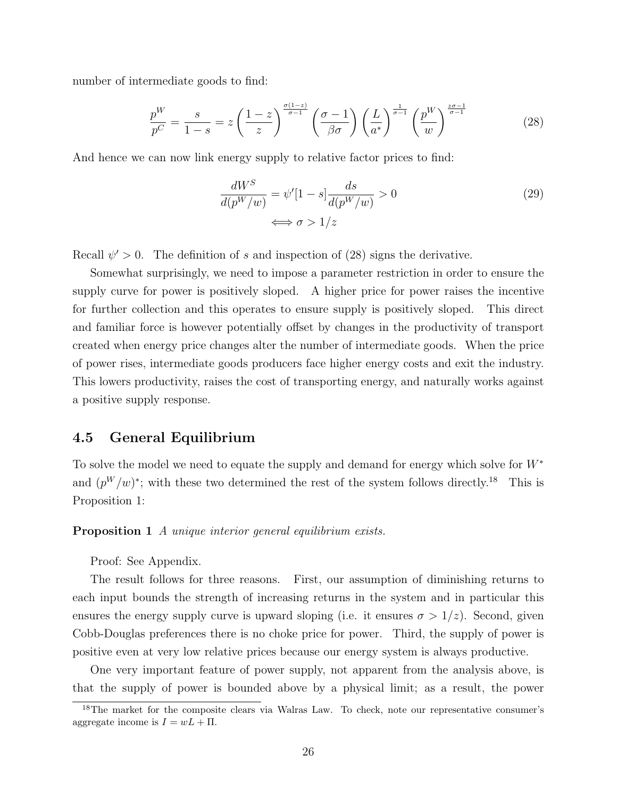number of intermediate goods to find:

$$
\frac{p^{W}}{p^{C}} = \frac{s}{1-s} = z \left(\frac{1-z}{z}\right)^{\frac{\sigma(1-z)}{\sigma-1}} \left(\frac{\sigma-1}{\beta\sigma}\right) \left(\frac{L}{a^{*}}\right)^{\frac{1}{\sigma-1}} \left(\frac{p^{W}}{w}\right)^{\frac{z\sigma-1}{\sigma-1}} \tag{28}
$$

And hence we can now link energy supply to relative factor prices to find:

$$
\frac{dW^S}{d(p^W/w)} = \psi'[1-s] \frac{ds}{d(p^W/w)} > 0
$$
\n
$$
\iff \sigma > 1/z
$$
\n(29)

Recall  $\psi' > 0$ . The definition of s and inspection of (28) signs the derivative.

Somewhat surprisingly, we need to impose a parameter restriction in order to ensure the supply curve for power is positively sloped. A higher price for power raises the incentive for further collection and this operates to ensure supply is positively sloped. This direct and familiar force is however potentially offset by changes in the productivity of transport created when energy price changes alter the number of intermediate goods. When the price of power rises, intermediate goods producers face higher energy costs and exit the industry. This lowers productivity, raises the cost of transporting energy, and naturally works against a positive supply response.

### 4.5 General Equilibrium

To solve the model we need to equate the supply and demand for energy which solve for  $W^*$ and  $(p^W/w)^*$ ; with these two determined the rest of the system follows directly.<sup>18</sup> This is Proposition 1:

**Proposition 1** A unique interior general equilibrium exists.

Proof: See Appendix.

The result follows for three reasons. First, our assumption of diminishing returns to each input bounds the strength of increasing returns in the system and in particular this ensures the energy supply curve is upward sloping (i.e. it ensures  $\sigma > 1/z$ ). Second, given Cobb-Douglas preferences there is no choke price for power. Third, the supply of power is positive even at very low relative prices because our energy system is always productive.

One very important feature of power supply, not apparent from the analysis above, is that the supply of power is bounded above by a physical limit; as a result, the power

<sup>&</sup>lt;sup>18</sup>The market for the composite clears via Walras Law. To check, note our representative consumer's aggregate income is  $I = wL + \Pi$ .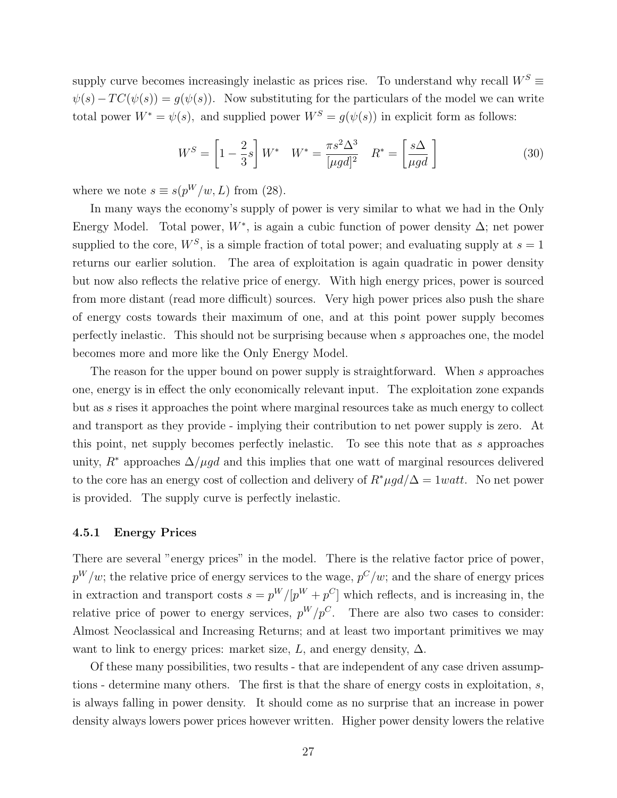supply curve becomes increasingly inelastic as prices rise. To understand why recall  $W^S$  $\psi(s)-TC(\psi(s)) = g(\psi(s)).$  Now substituting for the particulars of the model we can write total power  $W^* = \psi(s)$ , and supplied power  $W^S = g(\psi(s))$  in explicit form as follows:

$$
W^{S} = \left[1 - \frac{2}{3}s\right]W^* \quad W^* = \frac{\pi s^2 \Delta^3}{[\mu gd]^2} \quad R^* = \left[\frac{s\Delta}{\mu gd}\right]
$$
(30)

where we note  $s \equiv s(p^W/w, L)$  from (28).

In many ways the economy's supply of power is very similar to what we had in the Only Energy Model. Total power,  $W^*$ , is again a cubic function of power density  $\Delta$ ; net power supplied to the core,  $W^S$ , is a simple fraction of total power; and evaluating supply at  $s = 1$ returns our earlier solution. The area of exploitation is again quadratic in power density but now also reflects the relative price of energy. With high energy prices, power is sourced from more distant (read more difficult) sources. Very high power prices also push the share of energy costs towards their maximum of one, and at this point power supply becomes perfectly inelastic. This should not be surprising because when s approaches one, the model becomes more and more like the Only Energy Model.

The reason for the upper bound on power supply is straightforward. When s approaches one, energy is in effect the only economically relevant input. The exploitation zone expands but as s rises it approaches the point where marginal resources take as much energy to collect and transport as they provide - implying their contribution to net power supply is zero. At this point, net supply becomes perfectly inelastic. To see this note that as s approaches unity,  $R^*$  approaches  $\Delta/\mu gd$  and this implies that one watt of marginal resources delivered to the core has an energy cost of collection and delivery of  $R^* \mu g d/\Delta = 1 w a t t$ . No net power is provided. The supply curve is perfectly inelastic.

#### 4.5.1 Energy Prices

There are several "energy prices" in the model. There is the relative factor price of power,  $p^W/w$ ; the relative price of energy services to the wage,  $p^C/w$ ; and the share of energy prices in extraction and transport costs  $s = p^W/[p^W + p^C]$  which reflects, and is increasing in, the relative price of power to energy services,  $p^W/p^C$ . There are also two cases to consider: Almost Neoclassical and Increasing Returns; and at least two important primitives we may want to link to energy prices: market size, L, and energy density,  $\Delta$ .

Of these many possibilities, two results - that are independent of any case driven assumptions - determine many others. The first is that the share of energy costs in exploitation, s, is always falling in power density. It should come as no surprise that an increase in power density always lowers power prices however written. Higher power density lowers the relative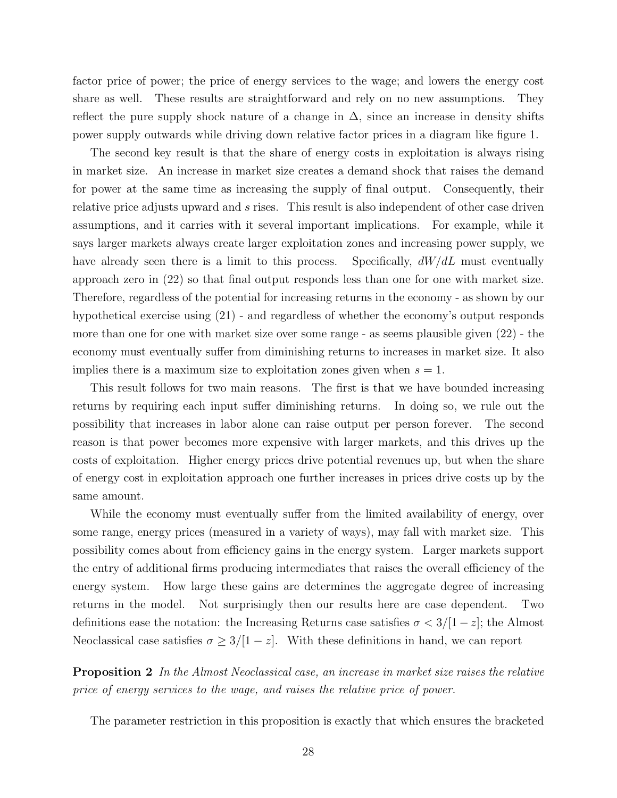factor price of power; the price of energy services to the wage; and lowers the energy cost share as well. These results are straightforward and rely on no new assumptions. They reflect the pure supply shock nature of a change in  $\Delta$ , since an increase in density shifts power supply outwards while driving down relative factor prices in a diagram like figure 1.

The second key result is that the share of energy costs in exploitation is always rising in market size. An increase in market size creates a demand shock that raises the demand for power at the same time as increasing the supply of final output. Consequently, their relative price adjusts upward and s rises. This result is also independent of other case driven assumptions, and it carries with it several important implications. For example, while it says larger markets always create larger exploitation zones and increasing power supply, we have already seen there is a limit to this process. Specifically,  $dW/dL$  must eventually approach zero in (22) so that final output responds less than one for one with market size. Therefore, regardless of the potential for increasing returns in the economy - as shown by our hypothetical exercise using (21) - and regardless of whether the economy's output responds more than one for one with market size over some range - as seems plausible given (22) - the economy must eventually suffer from diminishing returns to increases in market size. It also implies there is a maximum size to exploitation zones given when  $s = 1$ .

This result follows for two main reasons. The first is that we have bounded increasing returns by requiring each input suffer diminishing returns. In doing so, we rule out the possibility that increases in labor alone can raise output per person forever. The second reason is that power becomes more expensive with larger markets, and this drives up the costs of exploitation. Higher energy prices drive potential revenues up, but when the share of energy cost in exploitation approach one further increases in prices drive costs up by the same amount.

While the economy must eventually suffer from the limited availability of energy, over some range, energy prices (measured in a variety of ways), may fall with market size. This possibility comes about from efficiency gains in the energy system. Larger markets support the entry of additional firms producing intermediates that raises the overall efficiency of the energy system. How large these gains are determines the aggregate degree of increasing returns in the model. Not surprisingly then our results here are case dependent. Two definitions ease the notation: the Increasing Returns case satisfies  $\sigma < 3/[1-z]$ ; the Almost Neoclassical case satisfies  $\sigma \geq 3/[1-z]$ . With these definitions in hand, we can report

Proposition 2 In the Almost Neoclassical case, an increase in market size raises the relative price of energy services to the wage, and raises the relative price of power.

The parameter restriction in this proposition is exactly that which ensures the bracketed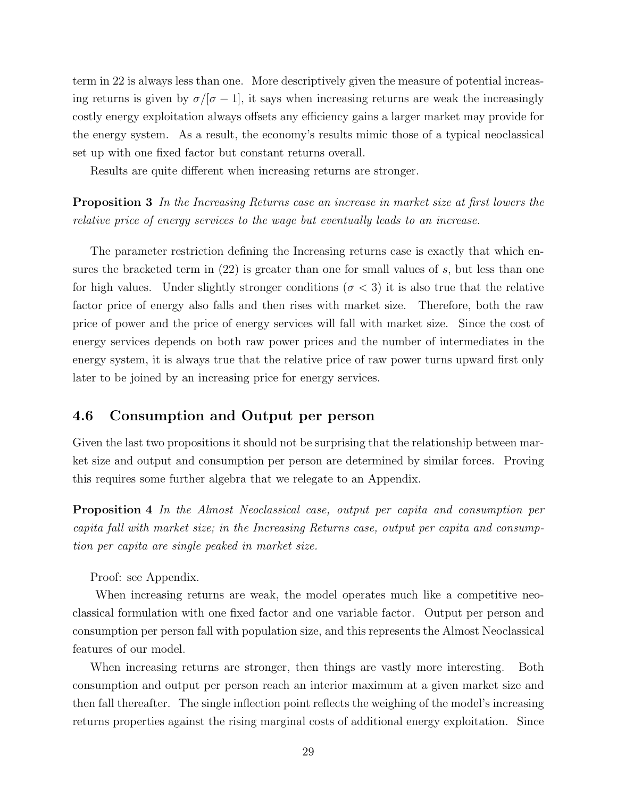term in 22 is always less than one. More descriptively given the measure of potential increasing returns is given by  $\sigma/[\sigma - 1]$ , it says when increasing returns are weak the increasingly costly energy exploitation always offsets any efficiency gains a larger market may provide for the energy system. As a result, the economy's results mimic those of a typical neoclassical set up with one fixed factor but constant returns overall.

Results are quite different when increasing returns are stronger.

Proposition 3 In the Increasing Returns case an increase in market size at first lowers the relative price of energy services to the wage but eventually leads to an increase.

The parameter restriction defining the Increasing returns case is exactly that which ensures the bracketed term in  $(22)$  is greater than one for small values of s, but less than one for high values. Under slightly stronger conditions ( $\sigma$  < 3) it is also true that the relative factor price of energy also falls and then rises with market size. Therefore, both the raw price of power and the price of energy services will fall with market size. Since the cost of energy services depends on both raw power prices and the number of intermediates in the energy system, it is always true that the relative price of raw power turns upward first only later to be joined by an increasing price for energy services.

### 4.6 Consumption and Output per person

Given the last two propositions it should not be surprising that the relationship between market size and output and consumption per person are determined by similar forces. Proving this requires some further algebra that we relegate to an Appendix.

Proposition 4 In the Almost Neoclassical case, output per capita and consumption per capita fall with market size; in the Increasing Returns case, output per capita and consumption per capita are single peaked in market size.

Proof: see Appendix.

When increasing returns are weak, the model operates much like a competitive neoclassical formulation with one fixed factor and one variable factor. Output per person and consumption per person fall with population size, and this represents the Almost Neoclassical features of our model.

When increasing returns are stronger, then things are vastly more interesting. Both consumption and output per person reach an interior maximum at a given market size and then fall thereafter. The single inflection point reflects the weighing of the model's increasing returns properties against the rising marginal costs of additional energy exploitation. Since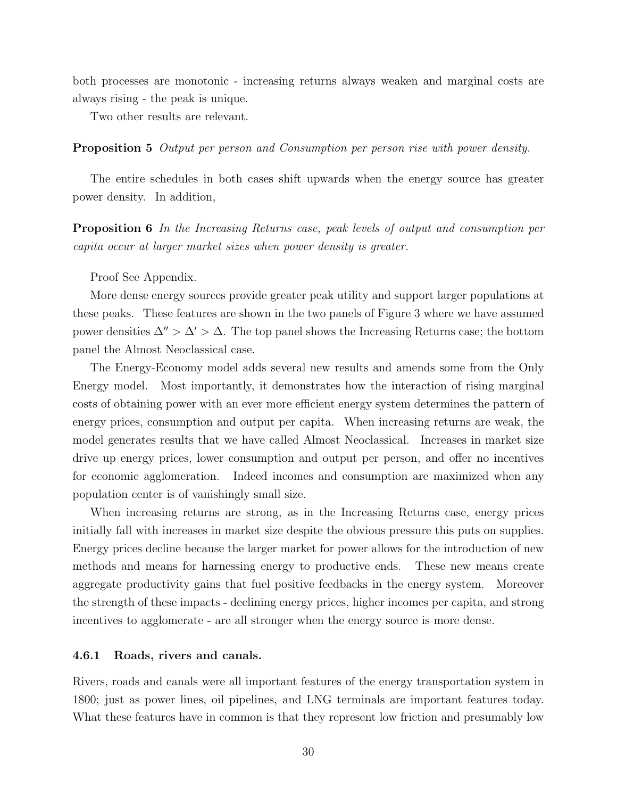both processes are monotonic - increasing returns always weaken and marginal costs are always rising - the peak is unique.

Two other results are relevant.

#### Proposition 5 Output per person and Consumption per person rise with power density.

The entire schedules in both cases shift upwards when the energy source has greater power density. In addition,

Proposition 6 In the Increasing Returns case, peak levels of output and consumption per capita occur at larger market sizes when power density is greater.

Proof See Appendix.

More dense energy sources provide greater peak utility and support larger populations at these peaks. These features are shown in the two panels of Figure 3 where we have assumed power densities  $\Delta'' > \Delta' > \Delta$ . The top panel shows the Increasing Returns case; the bottom panel the Almost Neoclassical case.

The Energy-Economy model adds several new results and amends some from the Only Energy model. Most importantly, it demonstrates how the interaction of rising marginal costs of obtaining power with an ever more efficient energy system determines the pattern of energy prices, consumption and output per capita. When increasing returns are weak, the model generates results that we have called Almost Neoclassical. Increases in market size drive up energy prices, lower consumption and output per person, and offer no incentives for economic agglomeration. Indeed incomes and consumption are maximized when any population center is of vanishingly small size.

When increasing returns are strong, as in the Increasing Returns case, energy prices initially fall with increases in market size despite the obvious pressure this puts on supplies. Energy prices decline because the larger market for power allows for the introduction of new methods and means for harnessing energy to productive ends. These new means create aggregate productivity gains that fuel positive feedbacks in the energy system. Moreover the strength of these impacts - declining energy prices, higher incomes per capita, and strong incentives to agglomerate - are all stronger when the energy source is more dense.

#### 4.6.1 Roads, rivers and canals.

Rivers, roads and canals were all important features of the energy transportation system in 1800; just as power lines, oil pipelines, and LNG terminals are important features today. What these features have in common is that they represent low friction and presumably low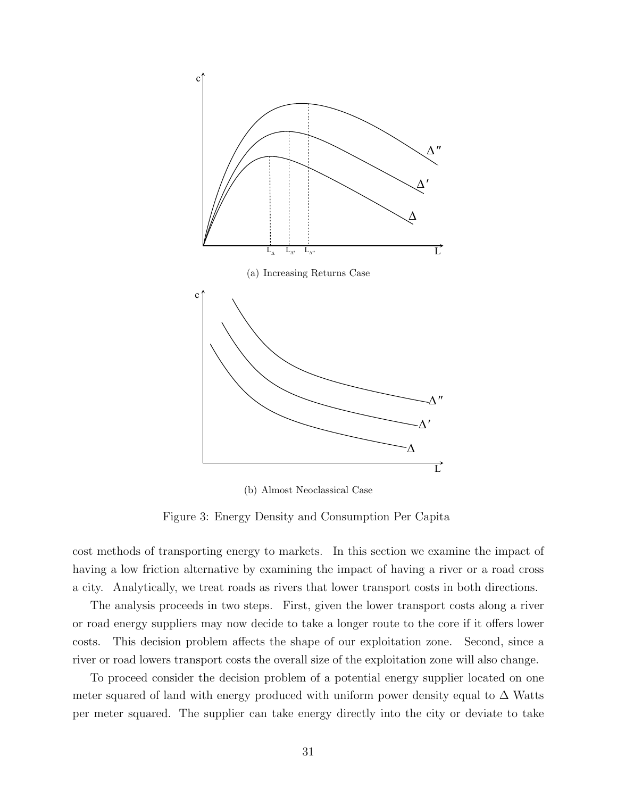

(b) Almost Neoclassical Case

Figure 3: Energy Density and Consumption Per Capita

cost methods of transporting energy to markets. In this section we examine the impact of having a low friction alternative by examining the impact of having a river or a road cross a city. Analytically, we treat roads as rivers that lower transport costs in both directions.

The analysis proceeds in two steps. First, given the lower transport costs along a river or road energy suppliers may now decide to take a longer route to the core if it offers lower costs. This decision problem affects the shape of our exploitation zone. Second, since a river or road lowers transport costs the overall size of the exploitation zone will also change.

To proceed consider the decision problem of a potential energy supplier located on one meter squared of land with energy produced with uniform power density equal to  $\Delta$  Watts per meter squared. The supplier can take energy directly into the city or deviate to take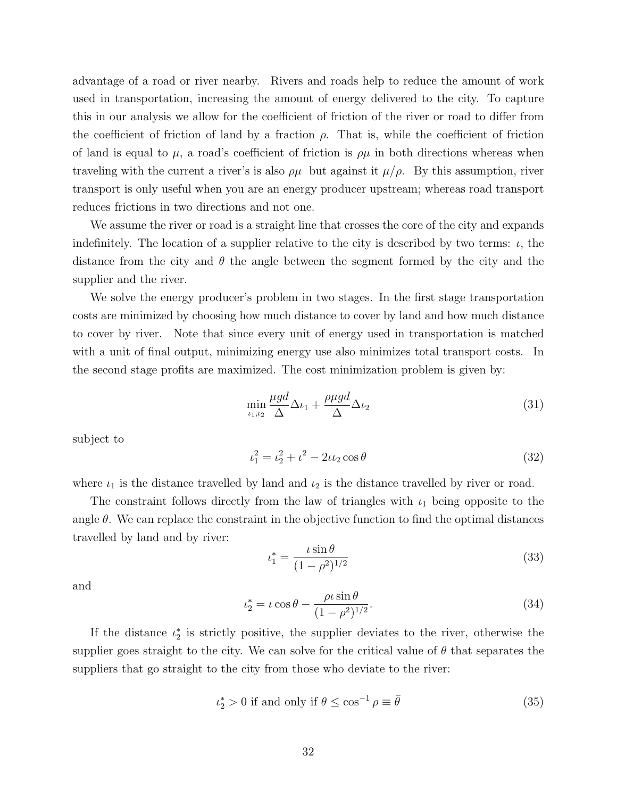advantage of a road or river nearby. Rivers and roads help to reduce the amount of work used in transportation, increasing the amount of energy delivered to the city. To capture this in our analysis we allow for the coefficient of friction of the river or road to differ from the coefficient of friction of land by a fraction  $\rho$ . That is, while the coefficient of friction of land is equal to  $\mu$ , a road's coefficient of friction is  $\rho\mu$  in both directions whereas when traveling with the current a river's is also  $\rho\mu$  but against it  $\mu/\rho$ . By this assumption, river transport is only useful when you are an energy producer upstream; whereas road transport reduces frictions in two directions and not one.

We assume the river or road is a straight line that crosses the core of the city and expands indefinitely. The location of a supplier relative to the city is described by two terms:  $\iota$ , the distance from the city and  $\theta$  the angle between the segment formed by the city and the supplier and the river.

We solve the energy producer's problem in two stages. In the first stage transportation costs are minimized by choosing how much distance to cover by land and how much distance to cover by river. Note that since every unit of energy used in transportation is matched with a unit of final output, minimizing energy use also minimizes total transport costs. In the second stage profits are maximized. The cost minimization problem is given by:

$$
\min_{\iota_1, \iota_2} \frac{\mu g d}{\Delta} \Delta \iota_1 + \frac{\rho \mu g d}{\Delta} \Delta \iota_2 \tag{31}
$$

subject to

$$
t_1^2 = t_2^2 + t^2 - 2t_2 \cos \theta \tag{32}
$$

where  $\iota_1$  is the distance travelled by land and  $\iota_2$  is the distance travelled by river or road.

The constraint follows directly from the law of triangles with  $\iota_1$  being opposite to the angle  $\theta$ . We can replace the constraint in the objective function to find the optimal distances travelled by land and by river:

$$
t_1^* = \frac{\iota \sin \theta}{(1 - \rho^2)^{1/2}}\tag{33}
$$

and

$$
\iota_2^* = \iota \cos \theta - \frac{\rho \iota \sin \theta}{(1 - \rho^2)^{1/2}}.
$$
\n(34)

If the distance  $\iota_2^*$  is strictly positive, the supplier deviates to the river, otherwise the supplier goes straight to the city. We can solve for the critical value of  $\theta$  that separates the suppliers that go straight to the city from those who deviate to the river:

$$
\iota_2^* > 0 \text{ if and only if } \theta \le \cos^{-1} \rho \equiv \bar{\theta} \tag{35}
$$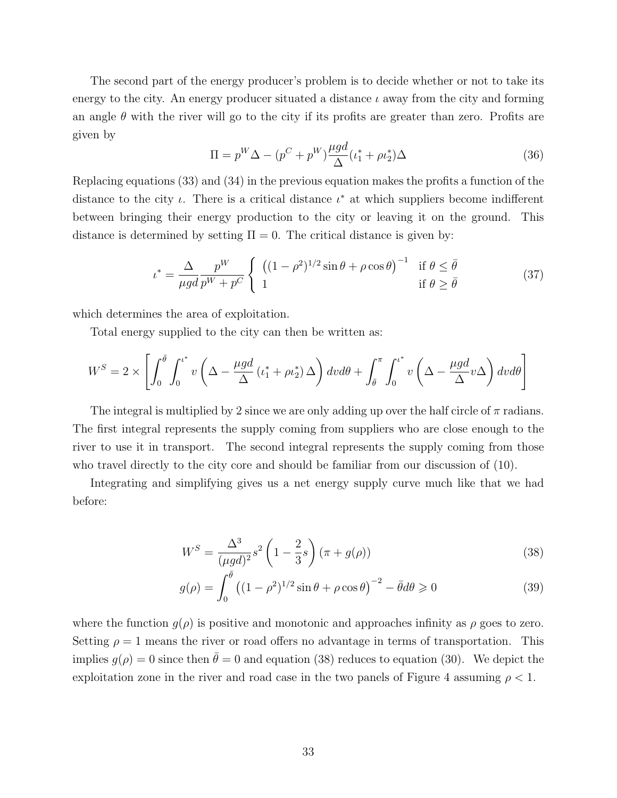The second part of the energy producer's problem is to decide whether or not to take its energy to the city. An energy producer situated a distance  $\iota$  away from the city and forming an angle  $\theta$  with the river will go to the city if its profits are greater than zero. Profits are given by

$$
\Pi = p^W \Delta - (p^C + p^W) \frac{\mu g d}{\Delta} (t_1^* + \rho t_2^*) \Delta \tag{36}
$$

Replacing equations (33) and (34) in the previous equation makes the profits a function of the distance to the city  $\iota$ . There is a critical distance  $\iota^*$  at which suppliers become indifferent between bringing their energy production to the city or leaving it on the ground. This distance is determined by setting  $\Pi = 0$ . The critical distance is given by:

$$
\iota^* = \frac{\Delta}{\mu gd} \frac{p^W}{p^W + p^C} \begin{cases} \left( (1 - \rho^2)^{1/2} \sin \theta + \rho \cos \theta \right)^{-1} & \text{if } \theta \le \bar{\theta} \\ 1 & \text{if } \theta \ge \bar{\theta} \end{cases} \tag{37}
$$

which determines the area of exploitation.

Total energy supplied to the city can then be written as:

$$
W^{S} = 2 \times \left[ \int_{0}^{\bar{\theta}} \int_{0}^{t^{*}} v \left( \Delta - \frac{\mu g d}{\Delta} \left( t_{1}^{*} + \rho t_{2}^{*} \right) \Delta \right) dv d\theta + \int_{\bar{\theta}}^{\pi} \int_{0}^{t^{*}} v \left( \Delta - \frac{\mu g d}{\Delta} v \Delta \right) dv d\theta \right]
$$

The integral is multiplied by 2 since we are only adding up over the half circle of  $\pi$  radians. The first integral represents the supply coming from suppliers who are close enough to the river to use it in transport. The second integral represents the supply coming from those who travel directly to the city core and should be familiar from our discussion of (10).

Integrating and simplifying gives us a net energy supply curve much like that we had before:

$$
W^{S} = \frac{\Delta^{3}}{(\mu gd)^{2}} s^{2} \left(1 - \frac{2}{3}s\right) (\pi + g(\rho))
$$
\n(38)

$$
g(\rho) = \int_0^{\bar{\theta}} \left( (1 - \rho^2)^{1/2} \sin \theta + \rho \cos \theta \right)^{-2} - \bar{\theta} d\theta \ge 0 \tag{39}
$$

where the function  $g(\rho)$  is positive and monotonic and approaches infinity as  $\rho$  goes to zero. Setting  $\rho = 1$  means the river or road offers no advantage in terms of transportation. This implies  $g(\rho) = 0$  since then  $\bar{\theta} = 0$  and equation (38) reduces to equation (30). We depict the exploitation zone in the river and road case in the two panels of Figure 4 assuming  $\rho < 1$ .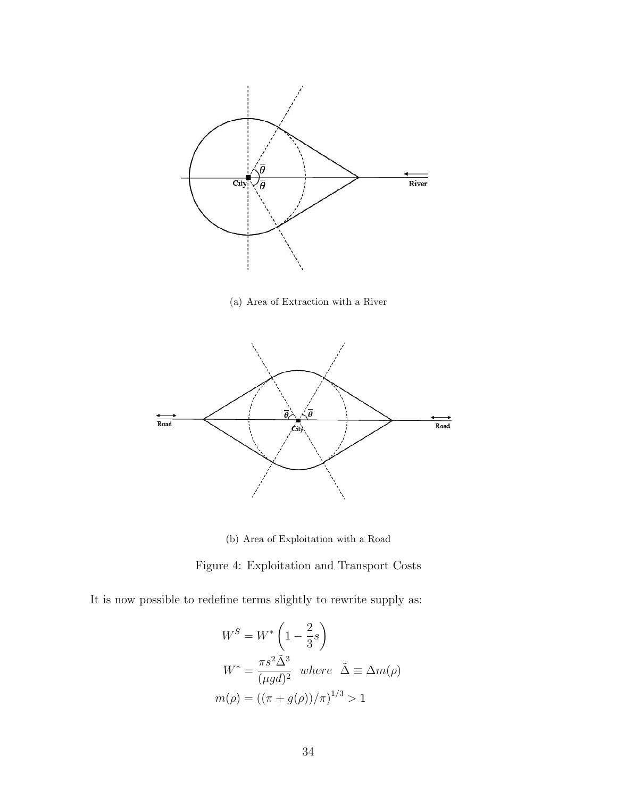

(a) Area of Extraction with a River



(b) Area of Exploitation with a Road

Figure 4: Exploitation and Transport Costs

It is now possible to redefine terms slightly to rewrite supply as:

$$
W^{S} = W^{*} \left( 1 - \frac{2}{3}s \right)
$$
  

$$
W^{*} = \frac{\pi s^{2} \tilde{\Delta}^{3}}{(\mu gd)^{2}} \quad where \quad \tilde{\Delta} \equiv \Delta m(\rho)
$$
  

$$
m(\rho) = ((\pi + g(\rho))/\pi)^{1/3} > 1
$$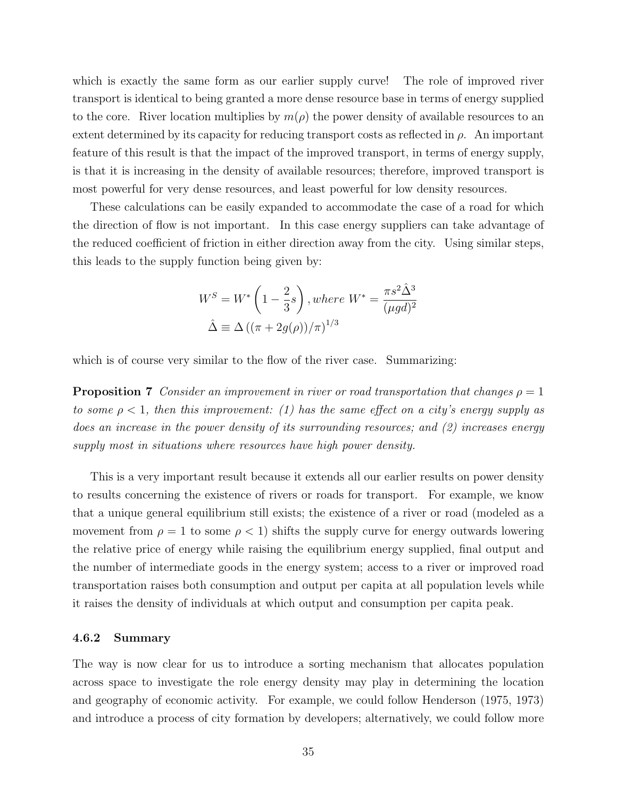which is exactly the same form as our earlier supply curve! The role of improved river transport is identical to being granted a more dense resource base in terms of energy supplied to the core. River location multiplies by  $m(\rho)$  the power density of available resources to an extent determined by its capacity for reducing transport costs as reflected in  $\rho$ . An important feature of this result is that the impact of the improved transport, in terms of energy supply, is that it is increasing in the density of available resources; therefore, improved transport is most powerful for very dense resources, and least powerful for low density resources.

These calculations can be easily expanded to accommodate the case of a road for which the direction of flow is not important. In this case energy suppliers can take advantage of the reduced coefficient of friction in either direction away from the city. Using similar steps, this leads to the supply function being given by:

$$
W^{S} = W^{*} \left( 1 - \frac{2}{3}s \right), where W^{*} = \frac{\pi s^{2} \hat{\Delta}^{3}}{(\mu gd)^{2}}
$$

$$
\hat{\Delta} \equiv \Delta \left( (\pi + 2g(\rho))/\pi \right)^{1/3}
$$

which is of course very similar to the flow of the river case. Summarizing:

**Proposition 7** Consider an improvement in river or road transportation that changes  $\rho = 1$ to some  $\rho < 1$ , then this improvement: (1) has the same effect on a city's energy supply as does an increase in the power density of its surrounding resources; and (2) increases energy supply most in situations where resources have high power density.

This is a very important result because it extends all our earlier results on power density to results concerning the existence of rivers or roads for transport. For example, we know that a unique general equilibrium still exists; the existence of a river or road (modeled as a movement from  $\rho = 1$  to some  $\rho < 1$ ) shifts the supply curve for energy outwards lowering the relative price of energy while raising the equilibrium energy supplied, final output and the number of intermediate goods in the energy system; access to a river or improved road transportation raises both consumption and output per capita at all population levels while it raises the density of individuals at which output and consumption per capita peak.

#### 4.6.2 Summary

The way is now clear for us to introduce a sorting mechanism that allocates population across space to investigate the role energy density may play in determining the location and geography of economic activity. For example, we could follow Henderson (1975, 1973) and introduce a process of city formation by developers; alternatively, we could follow more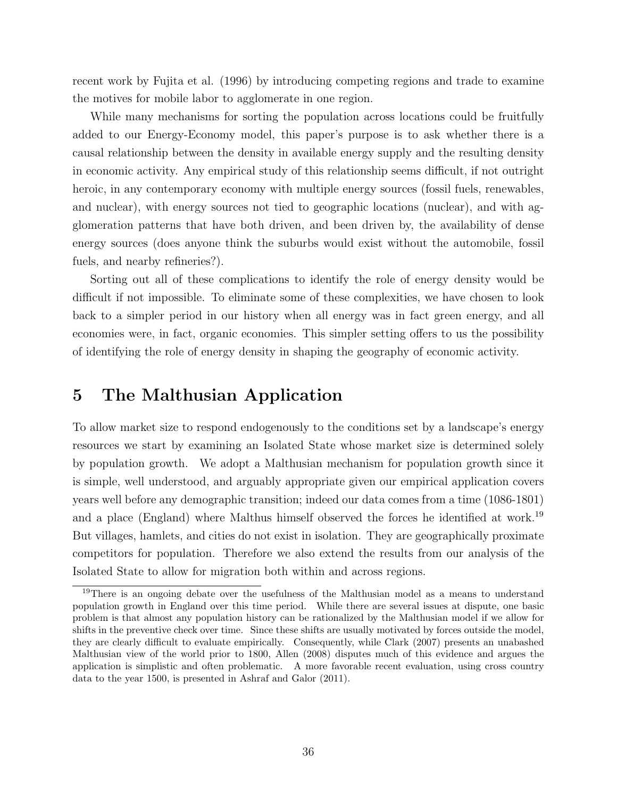recent work by Fujita et al. (1996) by introducing competing regions and trade to examine the motives for mobile labor to agglomerate in one region.

While many mechanisms for sorting the population across locations could be fruitfully added to our Energy-Economy model, this paper's purpose is to ask whether there is a causal relationship between the density in available energy supply and the resulting density in economic activity. Any empirical study of this relationship seems difficult, if not outright heroic, in any contemporary economy with multiple energy sources (fossil fuels, renewables, and nuclear), with energy sources not tied to geographic locations (nuclear), and with agglomeration patterns that have both driven, and been driven by, the availability of dense energy sources (does anyone think the suburbs would exist without the automobile, fossil fuels, and nearby refineries?).

Sorting out all of these complications to identify the role of energy density would be difficult if not impossible. To eliminate some of these complexities, we have chosen to look back to a simpler period in our history when all energy was in fact green energy, and all economies were, in fact, organic economies. This simpler setting offers to us the possibility of identifying the role of energy density in shaping the geography of economic activity.

## 5 The Malthusian Application

To allow market size to respond endogenously to the conditions set by a landscape's energy resources we start by examining an Isolated State whose market size is determined solely by population growth. We adopt a Malthusian mechanism for population growth since it is simple, well understood, and arguably appropriate given our empirical application covers years well before any demographic transition; indeed our data comes from a time (1086-1801) and a place (England) where Malthus himself observed the forces he identified at work.<sup>19</sup> But villages, hamlets, and cities do not exist in isolation. They are geographically proximate competitors for population. Therefore we also extend the results from our analysis of the Isolated State to allow for migration both within and across regions.

<sup>&</sup>lt;sup>19</sup>There is an ongoing debate over the usefulness of the Malthusian model as a means to understand population growth in England over this time period. While there are several issues at dispute, one basic problem is that almost any population history can be rationalized by the Malthusian model if we allow for shifts in the preventive check over time. Since these shifts are usually motivated by forces outside the model, they are clearly difficult to evaluate empirically. Consequently, while Clark (2007) presents an unabashed Malthusian view of the world prior to 1800, Allen (2008) disputes much of this evidence and argues the application is simplistic and often problematic. A more favorable recent evaluation, using cross country data to the year 1500, is presented in Ashraf and Galor (2011).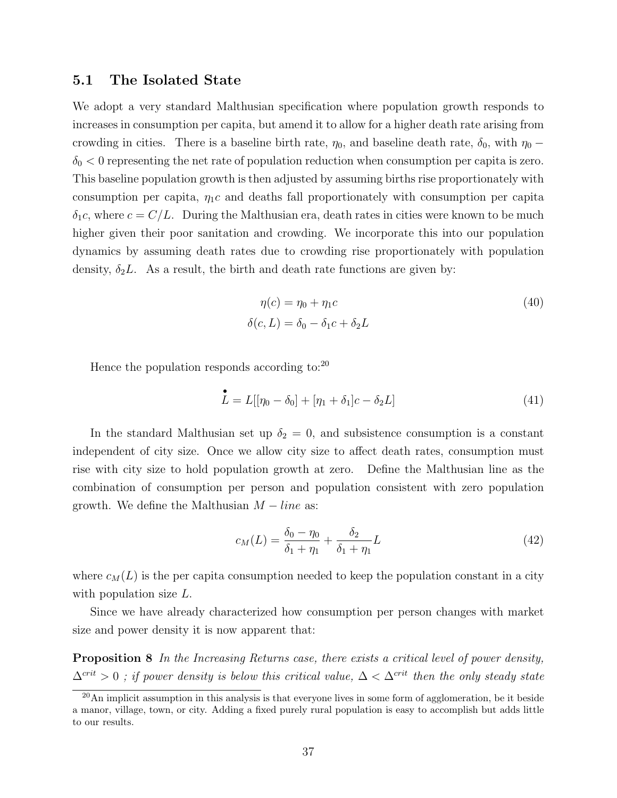### 5.1 The Isolated State

We adopt a very standard Malthusian specification where population growth responds to increases in consumption per capita, but amend it to allow for a higher death rate arising from crowding in cities. There is a baseline birth rate,  $\eta_0$ , and baseline death rate,  $\delta_0$ , with  $\eta_0$  −  $\delta_0$  < 0 representing the net rate of population reduction when consumption per capita is zero. This baseline population growth is then adjusted by assuming births rise proportionately with consumption per capita,  $\eta_1 c$  and deaths fall proportionately with consumption per capita  $\delta_1c$ , where  $c = C/L$ . During the Malthusian era, death rates in cities were known to be much higher given their poor sanitation and crowding. We incorporate this into our population dynamics by assuming death rates due to crowding rise proportionately with population density,  $\delta_2 L$ . As a result, the birth and death rate functions are given by:

$$
\eta(c) = \eta_0 + \eta_1 c \tag{40}
$$
\n
$$
\delta(c, L) = \delta_0 - \delta_1 c + \delta_2 L
$$

Hence the population responds according to: $^{20}$ 

$$
\stackrel{\bullet}{L} = L[[\eta_0 - \delta_0] + [\eta_1 + \delta_1]c - \delta_2 L] \tag{41}
$$

In the standard Malthusian set up  $\delta_2 = 0$ , and subsistence consumption is a constant independent of city size. Once we allow city size to affect death rates, consumption must rise with city size to hold population growth at zero. Define the Malthusian line as the combination of consumption per person and population consistent with zero population growth. We define the Malthusian  $M - line$  as:

$$
c_M(L) = \frac{\delta_0 - \eta_0}{\delta_1 + \eta_1} + \frac{\delta_2}{\delta_1 + \eta_1}L\tag{42}
$$

where  $c_M(L)$  is the per capita consumption needed to keep the population constant in a city with population size L.

Since we have already characterized how consumption per person changes with market size and power density it is now apparent that:

Proposition 8 In the Increasing Returns case, there exists a critical level of power density,  $\Delta^{crit} > 0$ ; if power density is below this critical value,  $\Delta < \Delta^{crit}$  then the only steady state

 $20$ An implicit assumption in this analysis is that everyone lives in some form of agglomeration, be it beside a manor, village, town, or city. Adding a fixed purely rural population is easy to accomplish but adds little to our results.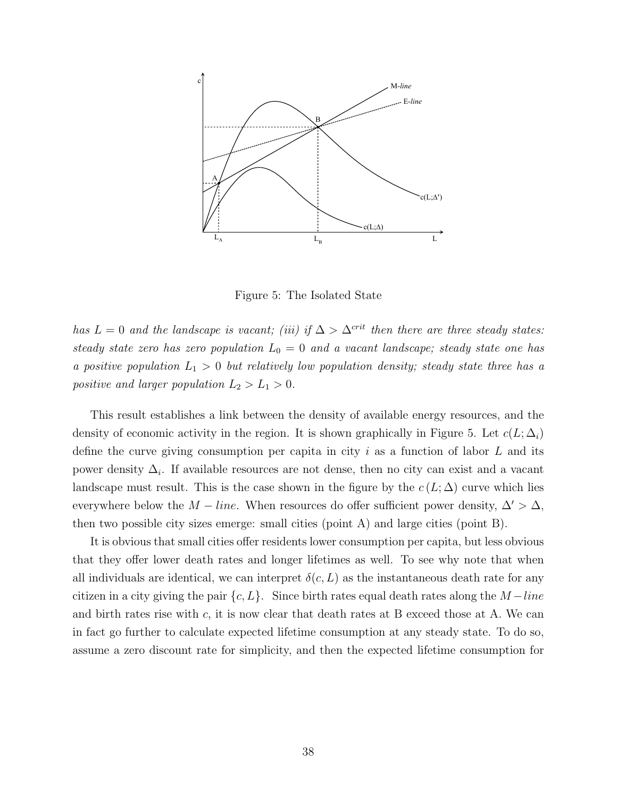

Figure 5: The Isolated State

has  $L = 0$  and the landscape is vacant; (iii) if  $\Delta > \Delta^{crit}$  then there are three steady states: steady state zero has zero population  $L_0 = 0$  and a vacant landscape; steady state one has a positive population  $L_1 > 0$  but relatively low population density; steady state three has a positive and larger population  $L_2 > L_1 > 0$ .

This result establishes a link between the density of available energy resources, and the density of economic activity in the region. It is shown graphically in Figure 5. Let  $c(L; \Delta_i)$ define the curve giving consumption per capita in city i as a function of labor  $L$  and its power density  $\Delta_i$ . If available resources are not dense, then no city can exist and a vacant landscape must result. This is the case shown in the figure by the  $c(L; \Delta)$  curve which lies everywhere below the  $M - line$ . When resources do offer sufficient power density,  $\Delta' > \Delta$ , then two possible city sizes emerge: small cities (point A) and large cities (point B).

It is obvious that small cities offer residents lower consumption per capita, but less obvious that they offer lower death rates and longer lifetimes as well. To see why note that when all individuals are identical, we can interpret  $\delta(c, L)$  as the instantaneous death rate for any citizen in a city giving the pair  $\{c, L\}$ . Since birth rates equal death rates along the  $M$  –line and birth rates rise with c, it is now clear that death rates at B exceed those at A. We can in fact go further to calculate expected lifetime consumption at any steady state. To do so, assume a zero discount rate for simplicity, and then the expected lifetime consumption for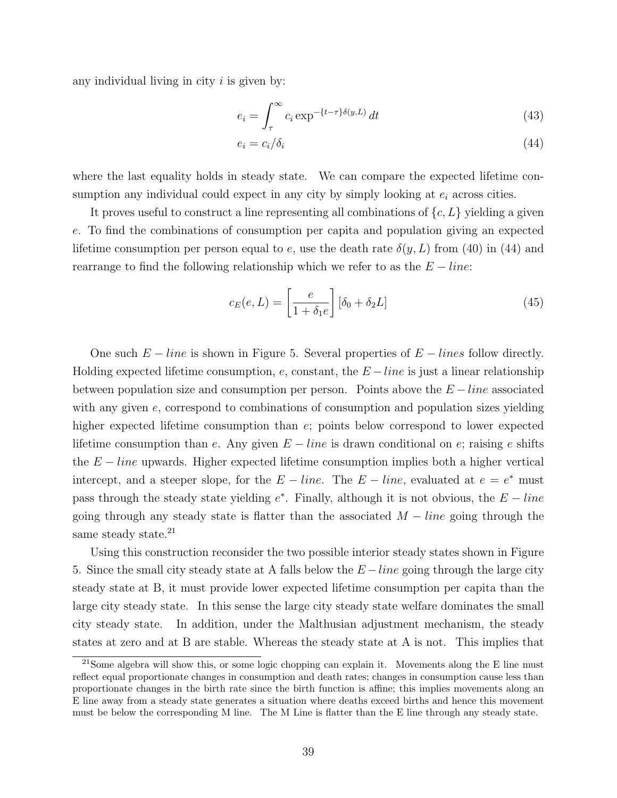any individual living in city  $i$  is given by:

$$
e_i = \int_{\tau}^{\infty} c_i \exp^{-\{t-\tau\}\delta(y,L)} dt
$$
 (43)

$$
e_i = c_i / \delta_i \tag{44}
$$

where the last equality holds in steady state. We can compare the expected lifetime consumption any individual could expect in any city by simply looking at  $e_i$  across cities.

It proves useful to construct a line representing all combinations of  ${c, L}$  yielding a given e. To find the combinations of consumption per capita and population giving an expected lifetime consumption per person equal to e, use the death rate  $\delta(y, L)$  from (40) in (44) and rearrange to find the following relationship which we refer to as the  $E - line$ :

$$
c_E(e, L) = \left[\frac{e}{1 + \delta_1 e}\right] [\delta_0 + \delta_2 L] \tag{45}
$$

One such  $E - line$  is shown in Figure 5. Several properties of  $E - lines$  follow directly. Holding expected lifetime consumption, e, constant, the  $E - line$  is just a linear relationship between population size and consumption per person. Points above the  $E - line$  associated with any given e, correspond to combinations of consumption and population sizes yielding higher expected lifetime consumption than  $e$ ; points below correspond to lower expected lifetime consumption than e. Any given  $E - line$  is drawn conditional on e; raising e shifts the  $E - line$  upwards. Higher expected lifetime consumption implies both a higher vertical intercept, and a steeper slope, for the  $E$  – line. The  $E$  – line, evaluated at  $e = e^*$  must pass through the steady state yielding  $e^*$ . Finally, although it is not obvious, the  $E$  – line going through any steady state is flatter than the associated  $M - line$  going through the same steady state.<sup>21</sup>

Using this construction reconsider the two possible interior steady states shown in Figure 5. Since the small city steady state at A falls below the  $E$  – line going through the large city steady state at B, it must provide lower expected lifetime consumption per capita than the large city steady state. In this sense the large city steady state welfare dominates the small city steady state. In addition, under the Malthusian adjustment mechanism, the steady states at zero and at B are stable. Whereas the steady state at A is not. This implies that

 $21$ Some algebra will show this, or some logic chopping can explain it. Movements along the E line must reflect equal proportionate changes in consumption and death rates; changes in consumption cause less than proportionate changes in the birth rate since the birth function is affine; this implies movements along an E line away from a steady state generates a situation where deaths exceed births and hence this movement must be below the corresponding M line. The M Line is flatter than the E line through any steady state.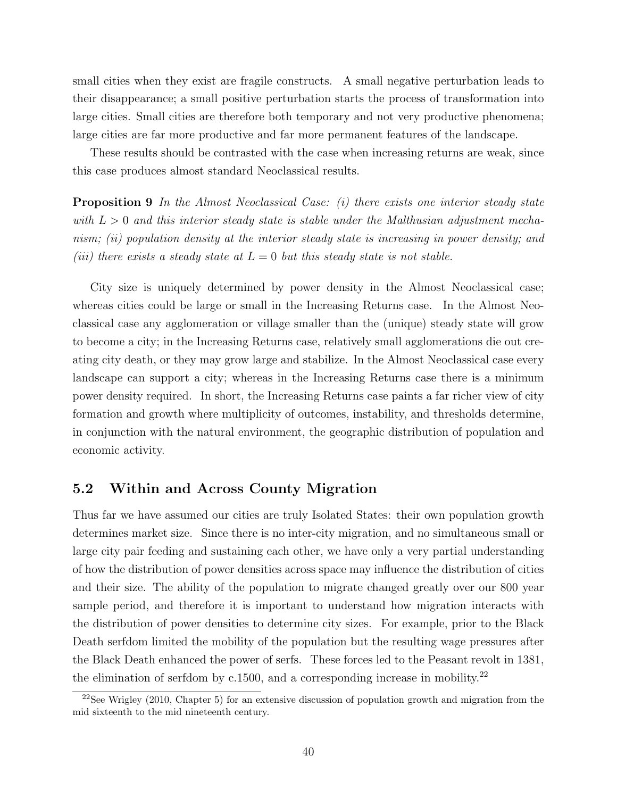small cities when they exist are fragile constructs. A small negative perturbation leads to their disappearance; a small positive perturbation starts the process of transformation into large cities. Small cities are therefore both temporary and not very productive phenomena; large cities are far more productive and far more permanent features of the landscape.

These results should be contrasted with the case when increasing returns are weak, since this case produces almost standard Neoclassical results.

**Proposition 9** In the Almost Neoclassical Case: (i) there exists one interior steady state with  $L > 0$  and this interior steady state is stable under the Malthusian adjustment mechanism; (ii) population density at the interior steady state is increasing in power density; and (iii) there exists a steady state at  $L = 0$  but this steady state is not stable.

City size is uniquely determined by power density in the Almost Neoclassical case; whereas cities could be large or small in the Increasing Returns case. In the Almost Neoclassical case any agglomeration or village smaller than the (unique) steady state will grow to become a city; in the Increasing Returns case, relatively small agglomerations die out creating city death, or they may grow large and stabilize. In the Almost Neoclassical case every landscape can support a city; whereas in the Increasing Returns case there is a minimum power density required. In short, the Increasing Returns case paints a far richer view of city formation and growth where multiplicity of outcomes, instability, and thresholds determine, in conjunction with the natural environment, the geographic distribution of population and economic activity.

## 5.2 Within and Across County Migration

Thus far we have assumed our cities are truly Isolated States: their own population growth determines market size. Since there is no inter-city migration, and no simultaneous small or large city pair feeding and sustaining each other, we have only a very partial understanding of how the distribution of power densities across space may influence the distribution of cities and their size. The ability of the population to migrate changed greatly over our 800 year sample period, and therefore it is important to understand how migration interacts with the distribution of power densities to determine city sizes. For example, prior to the Black Death serfdom limited the mobility of the population but the resulting wage pressures after the Black Death enhanced the power of serfs. These forces led to the Peasant revolt in 1381, the elimination of serfdom by c.1500, and a corresponding increase in mobility.<sup>22</sup>

<sup>&</sup>lt;sup>22</sup>See Wrigley (2010, Chapter 5) for an extensive discussion of population growth and migration from the mid sixteenth to the mid nineteenth century.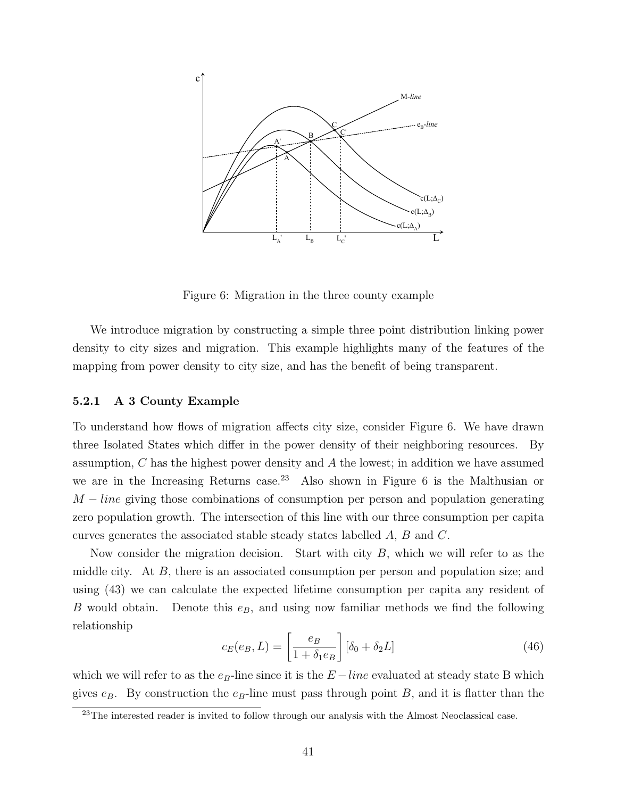

Figure 6: Migration in the three county example

We introduce migration by constructing a simple three point distribution linking power density to city sizes and migration. This example highlights many of the features of the mapping from power density to city size, and has the benefit of being transparent.

#### 5.2.1 A 3 County Example

To understand how flows of migration affects city size, consider Figure 6. We have drawn three Isolated States which differ in the power density of their neighboring resources. By assumption, C has the highest power density and A the lowest; in addition we have assumed we are in the Increasing Returns case.<sup>23</sup> Also shown in Figure 6 is the Malthusian or  $M - line$  giving those combinations of consumption per person and population generating zero population growth. The intersection of this line with our three consumption per capita curves generates the associated stable steady states labelled A, B and C.

Now consider the migration decision. Start with city  $B$ , which we will refer to as the middle city. At B, there is an associated consumption per person and population size; and using (43) we can calculate the expected lifetime consumption per capita any resident of B would obtain. Denote this  $e_B$ , and using now familiar methods we find the following relationship

$$
c_E(e_B, L) = \left[\frac{e_B}{1 + \delta_1 e_B}\right] [\delta_0 + \delta_2 L] \tag{46}
$$

which we will refer to as the  $e_B$ -line since it is the  $E$ -line evaluated at steady state B which gives  $e_B$ . By construction the  $e_B$ -line must pass through point B, and it is flatter than the

 $^{23}$ The interested reader is invited to follow through our analysis with the Almost Neoclassical case.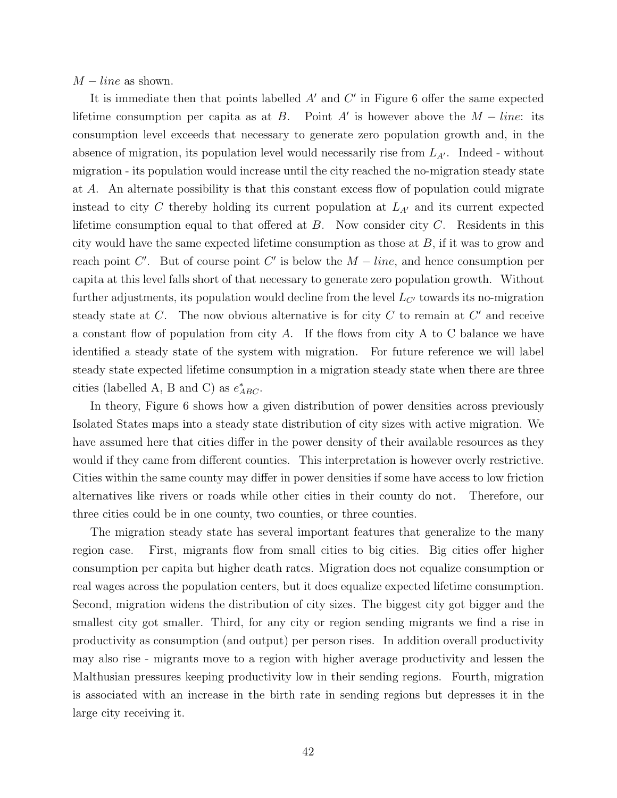$M$  – line as shown.

It is immediate then that points labelled  $A'$  and  $C'$  in Figure 6 offer the same expected lifetime consumption per capita as at B. Point A' is however above the  $M - line$ : its consumption level exceeds that necessary to generate zero population growth and, in the absence of migration, its population level would necessarily rise from  $L_{A'}$ . Indeed - without migration - its population would increase until the city reached the no-migration steady state at A. An alternate possibility is that this constant excess flow of population could migrate instead to city C thereby holding its current population at  $L_{A'}$  and its current expected lifetime consumption equal to that offered at  $B$ . Now consider city  $C$ . Residents in this city would have the same expected lifetime consumption as those at B, if it was to grow and reach point C'. But of course point C' is below the  $M$  – line, and hence consumption per capita at this level falls short of that necessary to generate zero population growth. Without further adjustments, its population would decline from the level  $L_{C}$  towards its no-migration steady state at  $C$ . The now obvious alternative is for city  $C$  to remain at  $C'$  and receive a constant flow of population from city A. If the flows from city A to C balance we have identified a steady state of the system with migration. For future reference we will label steady state expected lifetime consumption in a migration steady state when there are three cities (labelled A, B and C) as  $e^*_{ABC}$ .

In theory, Figure 6 shows how a given distribution of power densities across previously Isolated States maps into a steady state distribution of city sizes with active migration. We have assumed here that cities differ in the power density of their available resources as they would if they came from different counties. This interpretation is however overly restrictive. Cities within the same county may differ in power densities if some have access to low friction alternatives like rivers or roads while other cities in their county do not. Therefore, our three cities could be in one county, two counties, or three counties.

The migration steady state has several important features that generalize to the many region case. First, migrants flow from small cities to big cities. Big cities offer higher consumption per capita but higher death rates. Migration does not equalize consumption or real wages across the population centers, but it does equalize expected lifetime consumption. Second, migration widens the distribution of city sizes. The biggest city got bigger and the smallest city got smaller. Third, for any city or region sending migrants we find a rise in productivity as consumption (and output) per person rises. In addition overall productivity may also rise - migrants move to a region with higher average productivity and lessen the Malthusian pressures keeping productivity low in their sending regions. Fourth, migration is associated with an increase in the birth rate in sending regions but depresses it in the large city receiving it.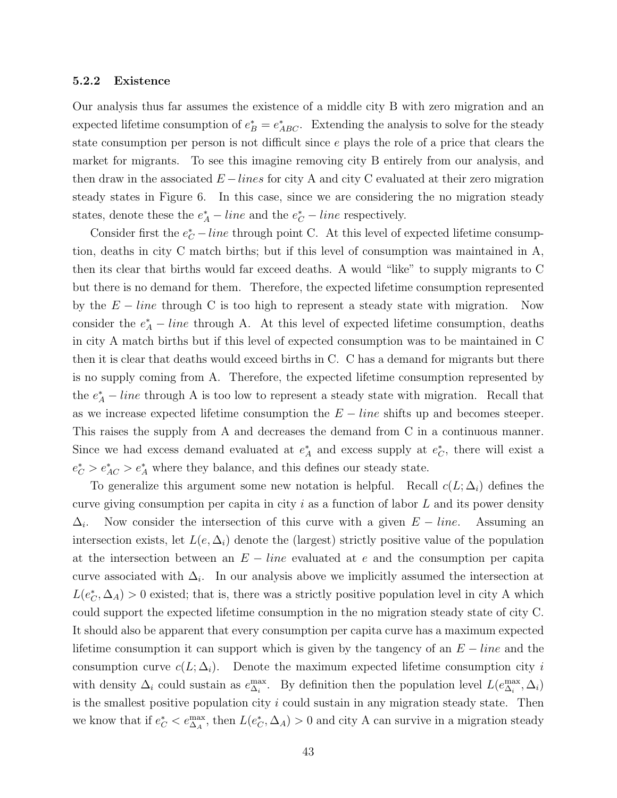#### 5.2.2 Existence

Our analysis thus far assumes the existence of a middle city B with zero migration and an expected lifetime consumption of  $e_B^* = e_{ABC}^*$ . Extending the analysis to solve for the steady state consumption per person is not difficult since e plays the role of a price that clears the market for migrants. To see this imagine removing city B entirely from our analysis, and then draw in the associated  $E - lines$  for city A and city C evaluated at their zero migration steady states in Figure 6. In this case, since we are considering the no migration steady states, denote these the  $e_A^*$  – line and the  $e_C^*$  – line respectively.

Consider first the  $e_C^*$  – line through point C. At this level of expected lifetime consumption, deaths in city C match births; but if this level of consumption was maintained in A, then its clear that births would far exceed deaths. A would "like" to supply migrants to C but there is no demand for them. Therefore, the expected lifetime consumption represented by the  $E - line$  through C is too high to represent a steady state with migration. Now consider the  $e^*_{A}$  – line through A. At this level of expected lifetime consumption, deaths in city A match births but if this level of expected consumption was to be maintained in C then it is clear that deaths would exceed births in C. C has a demand for migrants but there is no supply coming from A. Therefore, the expected lifetime consumption represented by the  $e_A^*$  – line through A is too low to represent a steady state with migration. Recall that as we increase expected lifetime consumption the  $E - line$  shifts up and becomes steeper. This raises the supply from A and decreases the demand from C in a continuous manner. Since we had excess demand evaluated at  $e_A^*$  and excess supply at  $e_C^*$ , there will exist a  $e_C^* > e_{AC}^* > e_A^*$  where they balance, and this defines our steady state.

To generalize this argument some new notation is helpful. Recall  $c(L; \Delta_i)$  defines the curve giving consumption per capita in city  $i$  as a function of labor  $L$  and its power density  $\Delta_i$ . Now consider the intersection of this curve with a given  $E - line$ . Assuming an intersection exists, let  $L(e, \Delta_i)$  denote the (largest) strictly positive value of the population at the intersection between an  $E - line$  evaluated at e and the consumption per capita curve associated with  $\Delta_i$ . In our analysis above we implicitly assumed the intersection at  $L(e_{\mathcal{C}}^*, \Delta_A) > 0$  existed; that is, there was a strictly positive population level in city A which could support the expected lifetime consumption in the no migration steady state of city C. It should also be apparent that every consumption per capita curve has a maximum expected lifetime consumption it can support which is given by the tangency of an  $E - line$  and the consumption curve  $c(L; \Delta_i)$ . Denote the maximum expected lifetime consumption city i with density  $\Delta_i$  could sustain as  $e_{\Delta_i}^{\max}$ . By definition then the population level  $L(e_{\Delta_i}^{\max}, \Delta_i)$ is the smallest positive population city  $i$  could sustain in any migration steady state. Then we know that if  $e_C^* < e_{\Delta_A}^{\max}$ , then  $L(e_C^*, \Delta_A) > 0$  and city A can survive in a migration steady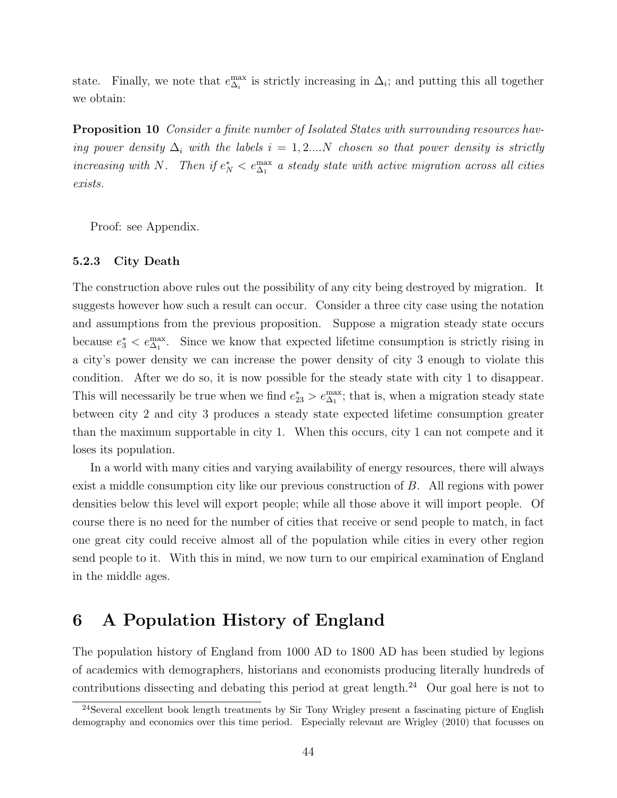state. Finally, we note that  $e_{\Delta_i}^{\text{max}}$  is strictly increasing in  $\Delta_i$ ; and putting this all together we obtain:

Proposition 10 Consider a finite number of Isolated States with surrounding resources having power density  $\Delta_i$  with the labels  $i = 1, 2,...N$  chosen so that power density is strictly increasing with N. Then if  $e_N^* < e_{\Delta_1}^{\max}$  a steady state with active migration across all cities exists.

Proof: see Appendix.

#### 5.2.3 City Death

The construction above rules out the possibility of any city being destroyed by migration. It suggests however how such a result can occur. Consider a three city case using the notation and assumptions from the previous proposition. Suppose a migration steady state occurs because  $e_3^* < e_{\Delta_1}^{\max}$ . Since we know that expected lifetime consumption is strictly rising in a city's power density we can increase the power density of city 3 enough to violate this condition. After we do so, it is now possible for the steady state with city 1 to disappear. This will necessarily be true when we find  $e_{23}^* > e_{\Delta_1}^{\max}$ ; that is, when a migration steady state between city 2 and city 3 produces a steady state expected lifetime consumption greater than the maximum supportable in city 1. When this occurs, city 1 can not compete and it loses its population.

In a world with many cities and varying availability of energy resources, there will always exist a middle consumption city like our previous construction of B. All regions with power densities below this level will export people; while all those above it will import people. Of course there is no need for the number of cities that receive or send people to match, in fact one great city could receive almost all of the population while cities in every other region send people to it. With this in mind, we now turn to our empirical examination of England in the middle ages.

## 6 A Population History of England

The population history of England from 1000 AD to 1800 AD has been studied by legions of academics with demographers, historians and economists producing literally hundreds of contributions dissecting and debating this period at great length.<sup>24</sup> Our goal here is not to

<sup>&</sup>lt;sup>24</sup>Several excellent book length treatments by Sir Tony Wrigley present a fascinating picture of English demography and economics over this time period. Especially relevant are Wrigley (2010) that focusses on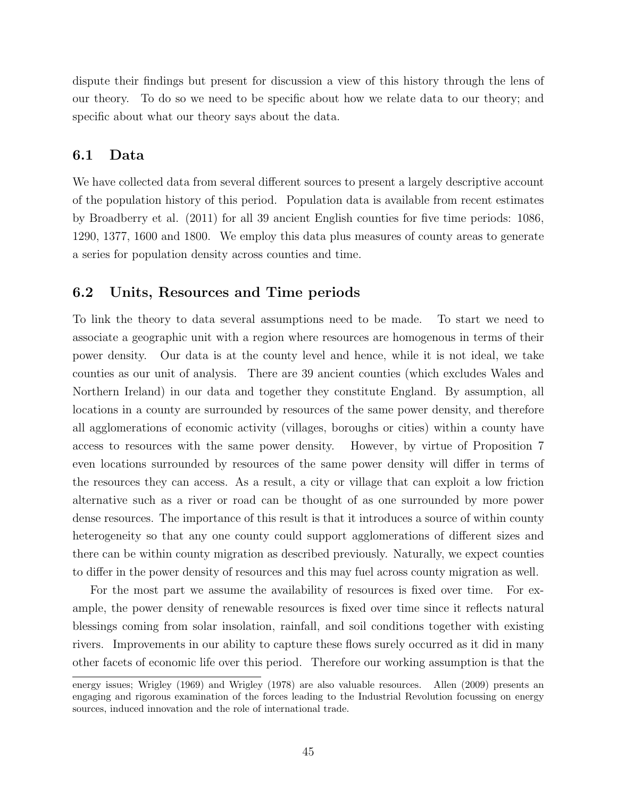dispute their findings but present for discussion a view of this history through the lens of our theory. To do so we need to be specific about how we relate data to our theory; and specific about what our theory says about the data.

## 6.1 Data

We have collected data from several different sources to present a largely descriptive account of the population history of this period. Population data is available from recent estimates by Broadberry et al. (2011) for all 39 ancient English counties for five time periods: 1086, 1290, 1377, 1600 and 1800. We employ this data plus measures of county areas to generate a series for population density across counties and time.

### 6.2 Units, Resources and Time periods

To link the theory to data several assumptions need to be made. To start we need to associate a geographic unit with a region where resources are homogenous in terms of their power density. Our data is at the county level and hence, while it is not ideal, we take counties as our unit of analysis. There are 39 ancient counties (which excludes Wales and Northern Ireland) in our data and together they constitute England. By assumption, all locations in a county are surrounded by resources of the same power density, and therefore all agglomerations of economic activity (villages, boroughs or cities) within a county have access to resources with the same power density. However, by virtue of Proposition 7 even locations surrounded by resources of the same power density will differ in terms of the resources they can access. As a result, a city or village that can exploit a low friction alternative such as a river or road can be thought of as one surrounded by more power dense resources. The importance of this result is that it introduces a source of within county heterogeneity so that any one county could support agglomerations of different sizes and there can be within county migration as described previously. Naturally, we expect counties to differ in the power density of resources and this may fuel across county migration as well.

For the most part we assume the availability of resources is fixed over time. For example, the power density of renewable resources is fixed over time since it reflects natural blessings coming from solar insolation, rainfall, and soil conditions together with existing rivers. Improvements in our ability to capture these flows surely occurred as it did in many other facets of economic life over this period. Therefore our working assumption is that the

energy issues; Wrigley (1969) and Wrigley (1978) are also valuable resources. Allen (2009) presents an engaging and rigorous examination of the forces leading to the Industrial Revolution focussing on energy sources, induced innovation and the role of international trade.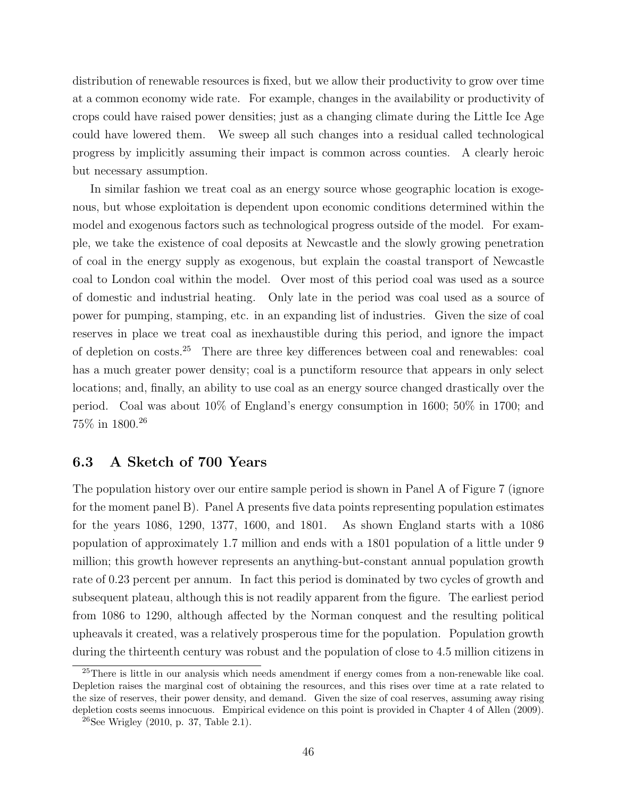distribution of renewable resources is fixed, but we allow their productivity to grow over time at a common economy wide rate. For example, changes in the availability or productivity of crops could have raised power densities; just as a changing climate during the Little Ice Age could have lowered them. We sweep all such changes into a residual called technological progress by implicitly assuming their impact is common across counties. A clearly heroic but necessary assumption.

In similar fashion we treat coal as an energy source whose geographic location is exogenous, but whose exploitation is dependent upon economic conditions determined within the model and exogenous factors such as technological progress outside of the model. For example, we take the existence of coal deposits at Newcastle and the slowly growing penetration of coal in the energy supply as exogenous, but explain the coastal transport of Newcastle coal to London coal within the model. Over most of this period coal was used as a source of domestic and industrial heating. Only late in the period was coal used as a source of power for pumping, stamping, etc. in an expanding list of industries. Given the size of coal reserves in place we treat coal as inexhaustible during this period, and ignore the impact of depletion on costs.<sup>25</sup> There are three key differences between coal and renewables: coal has a much greater power density; coal is a punctiform resource that appears in only select locations; and, finally, an ability to use coal as an energy source changed drastically over the period. Coal was about 10% of England's energy consumption in 1600; 50% in 1700; and 75% in 1800.<sup>26</sup>

## 6.3 A Sketch of 700 Years

The population history over our entire sample period is shown in Panel A of Figure 7 (ignore for the moment panel B). Panel A presents five data points representing population estimates for the years 1086, 1290, 1377, 1600, and 1801. As shown England starts with a 1086 population of approximately 1.7 million and ends with a 1801 population of a little under 9 million; this growth however represents an anything-but-constant annual population growth rate of 0.23 percent per annum. In fact this period is dominated by two cycles of growth and subsequent plateau, although this is not readily apparent from the figure. The earliest period from 1086 to 1290, although affected by the Norman conquest and the resulting political upheavals it created, was a relatively prosperous time for the population. Population growth during the thirteenth century was robust and the population of close to 4.5 million citizens in

<sup>&</sup>lt;sup>25</sup>There is little in our analysis which needs amendment if energy comes from a non-renewable like coal. Depletion raises the marginal cost of obtaining the resources, and this rises over time at a rate related to the size of reserves, their power density, and demand. Given the size of coal reserves, assuming away rising depletion costs seems innocuous. Empirical evidence on this point is provided in Chapter 4 of Allen (2009).

 $^{26}$ See Wrigley (2010, p. 37, Table 2.1).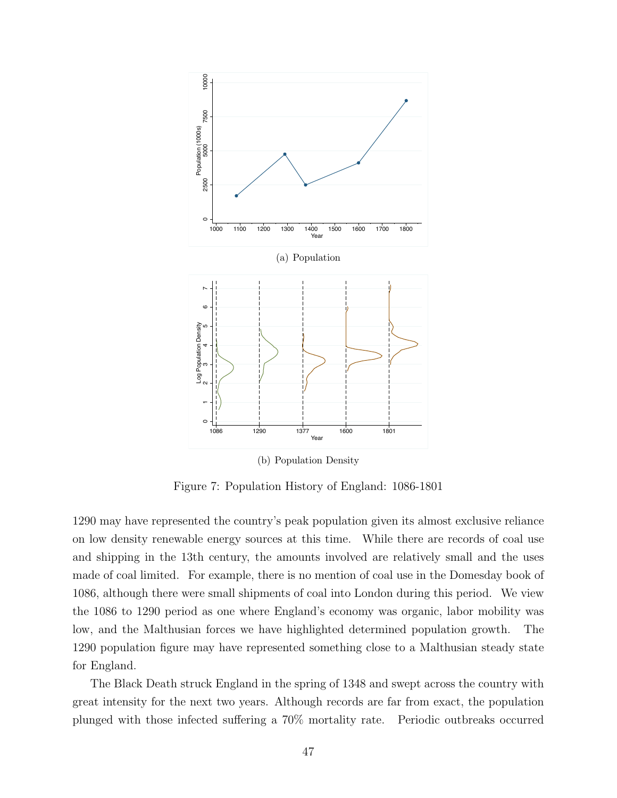

Figure 7: Population History of England: 1086-1801

1290 may have represented the country's peak population given its almost exclusive reliance on low density renewable energy sources at this time. While there are records of coal use and shipping in the 13th century, the amounts involved are relatively small and the uses made of coal limited. For example, there is no mention of coal use in the Domesday book of 1086, although there were small shipments of coal into London during this period. We view the 1086 to 1290 period as one where England's economy was organic, labor mobility was low, and the Malthusian forces we have highlighted determined population growth. The 1290 population figure may have represented something close to a Malthusian steady state for England.

The Black Death struck England in the spring of 1348 and swept across the country with great intensity for the next two years. Although records are far from exact, the population plunged with those infected suffering a 70% mortality rate. Periodic outbreaks occurred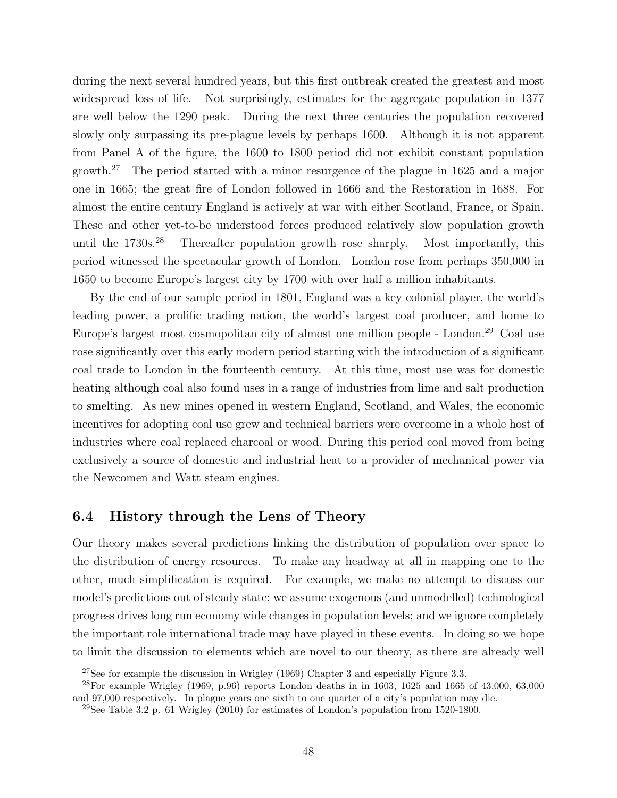during the next several hundred years, but this first outbreak created the greatest and most widespread loss of life. Not surprisingly, estimates for the aggregate population in 1377 are well below the 1290 peak. During the next three centuries the population recovered slowly only surpassing its pre-plague levels by perhaps 1600. Although it is not apparent from Panel A of the figure, the 1600 to 1800 period did not exhibit constant population growth.<sup>27</sup> The period started with a minor resurgence of the plague in 1625 and a major one in 1665; the great fire of London followed in 1666 and the Restoration in 1688. For almost the entire century England is actively at war with either Scotland, France, or Spain. These and other yet-to-be understood forces produced relatively slow population growth until the  $1730s^{28}$  Thereafter population growth rose sharply. Most importantly, this period witnessed the spectacular growth of London. London rose from perhaps 350,000 in 1650 to become Europe's largest city by 1700 with over half a million inhabitants.

By the end of our sample period in 1801, England was a key colonial player, the world's leading power, a prolific trading nation, the world's largest coal producer, and home to Europe's largest most cosmopolitan city of almost one million people - London.<sup>29</sup> Coal use rose significantly over this early modern period starting with the introduction of a significant coal trade to London in the fourteenth century. At this time, most use was for domestic heating although coal also found uses in a range of industries from lime and salt production to smelting. As new mines opened in western England, Scotland, and Wales, the economic incentives for adopting coal use grew and technical barriers were overcome in a whole host of industries where coal replaced charcoal or wood. During this period coal moved from being exclusively a source of domestic and industrial heat to a provider of mechanical power via the Newcomen and Watt steam engines.

## 6.4 History through the Lens of Theory

Our theory makes several predictions linking the distribution of population over space to the distribution of energy resources. To make any headway at all in mapping one to the other, much simplification is required. For example, we make no attempt to discuss our model's predictions out of steady state; we assume exogenous (and unmodelled) technological progress drives long run economy wide changes in population levels; and we ignore completely the important role international trade may have played in these events. In doing so we hope to limit the discussion to elements which are novel to our theory, as there are already well

<sup>&</sup>lt;sup>27</sup>See for example the discussion in Wrigley (1969) Chapter 3 and especially Figure 3.3.

<sup>&</sup>lt;sup>28</sup>For example Wrigley (1969, p.96) reports London deaths in in 1603, 1625 and 1665 of 43,000, 63,000 and 97,000 respectively. In plague years one sixth to one quarter of a city's population may die.

<sup>&</sup>lt;sup>29</sup>See Table 3.2 p. 61 Wrigley (2010) for estimates of London's population from 1520-1800.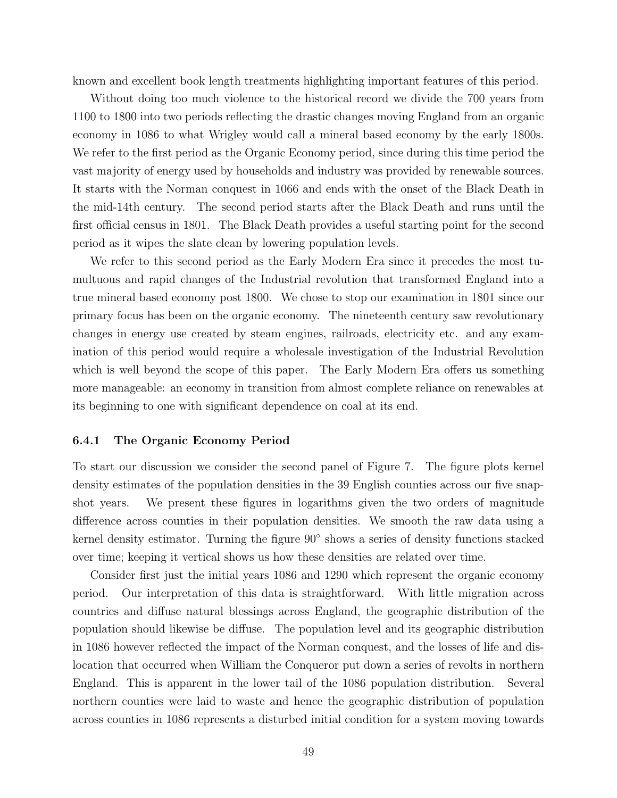known and excellent book length treatments highlighting important features of this period.

Without doing too much violence to the historical record we divide the 700 years from 1100 to 1800 into two periods reflecting the drastic changes moving England from an organic economy in 1086 to what Wrigley would call a mineral based economy by the early 1800s. We refer to the first period as the Organic Economy period, since during this time period the vast majority of energy used by households and industry was provided by renewable sources. It starts with the Norman conquest in 1066 and ends with the onset of the Black Death in the mid-14th century. The second period starts after the Black Death and runs until the first official census in 1801. The Black Death provides a useful starting point for the second period as it wipes the slate clean by lowering population levels.

We refer to this second period as the Early Modern Era since it precedes the most tumultuous and rapid changes of the Industrial revolution that transformed England into a true mineral based economy post 1800. We chose to stop our examination in 1801 since our primary focus has been on the organic economy. The nineteenth century saw revolutionary changes in energy use created by steam engines, railroads, electricity etc. and any examination of this period would require a wholesale investigation of the Industrial Revolution which is well beyond the scope of this paper. The Early Modern Era offers us something more manageable: an economy in transition from almost complete reliance on renewables at its beginning to one with significant dependence on coal at its end.

#### 6.4.1 The Organic Economy Period

To start our discussion we consider the second panel of Figure 7. The figure plots kernel density estimates of the population densities in the 39 English counties across our five snapshot years. We present these figures in logarithms given the two orders of magnitude difference across counties in their population densities. We smooth the raw data using a kernel density estimator. Turning the figure 90<sup>°</sup> shows a series of density functions stacked over time; keeping it vertical shows us how these densities are related over time.

Consider first just the initial years 1086 and 1290 which represent the organic economy period. Our interpretation of this data is straightforward. With little migration across countries and diffuse natural blessings across England, the geographic distribution of the population should likewise be diffuse. The population level and its geographic distribution in 1086 however reflected the impact of the Norman conquest, and the losses of life and dislocation that occurred when William the Conqueror put down a series of revolts in northern England. This is apparent in the lower tail of the 1086 population distribution. Several northern counties were laid to waste and hence the geographic distribution of population across counties in 1086 represents a disturbed initial condition for a system moving towards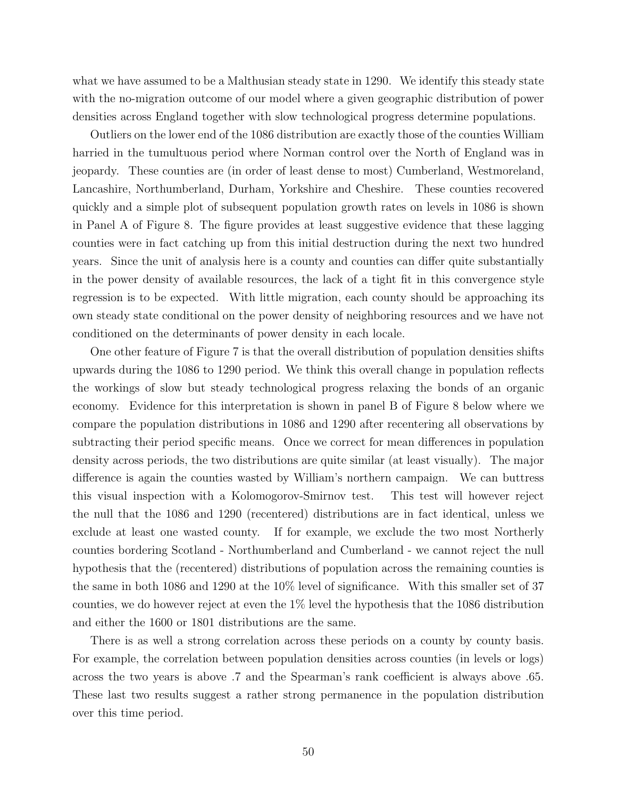what we have assumed to be a Malthusian steady state in 1290. We identify this steady state with the no-migration outcome of our model where a given geographic distribution of power densities across England together with slow technological progress determine populations.

Outliers on the lower end of the 1086 distribution are exactly those of the counties William harried in the tumultuous period where Norman control over the North of England was in jeopardy. These counties are (in order of least dense to most) Cumberland, Westmoreland, Lancashire, Northumberland, Durham, Yorkshire and Cheshire. These counties recovered quickly and a simple plot of subsequent population growth rates on levels in 1086 is shown in Panel A of Figure 8. The figure provides at least suggestive evidence that these lagging counties were in fact catching up from this initial destruction during the next two hundred years. Since the unit of analysis here is a county and counties can differ quite substantially in the power density of available resources, the lack of a tight fit in this convergence style regression is to be expected. With little migration, each county should be approaching its own steady state conditional on the power density of neighboring resources and we have not conditioned on the determinants of power density in each locale.

One other feature of Figure 7 is that the overall distribution of population densities shifts upwards during the 1086 to 1290 period. We think this overall change in population reflects the workings of slow but steady technological progress relaxing the bonds of an organic economy. Evidence for this interpretation is shown in panel B of Figure 8 below where we compare the population distributions in 1086 and 1290 after recentering all observations by subtracting their period specific means. Once we correct for mean differences in population density across periods, the two distributions are quite similar (at least visually). The major difference is again the counties wasted by William's northern campaign. We can buttress this visual inspection with a Kolomogorov-Smirnov test. This test will however reject the null that the 1086 and 1290 (recentered) distributions are in fact identical, unless we exclude at least one wasted county. If for example, we exclude the two most Northerly counties bordering Scotland - Northumberland and Cumberland - we cannot reject the null hypothesis that the (recentered) distributions of population across the remaining counties is the same in both 1086 and 1290 at the 10% level of significance. With this smaller set of 37 counties, we do however reject at even the 1% level the hypothesis that the 1086 distribution and either the 1600 or 1801 distributions are the same.

There is as well a strong correlation across these periods on a county by county basis. For example, the correlation between population densities across counties (in levels or logs) across the two years is above .7 and the Spearman's rank coefficient is always above .65. These last two results suggest a rather strong permanence in the population distribution over this time period.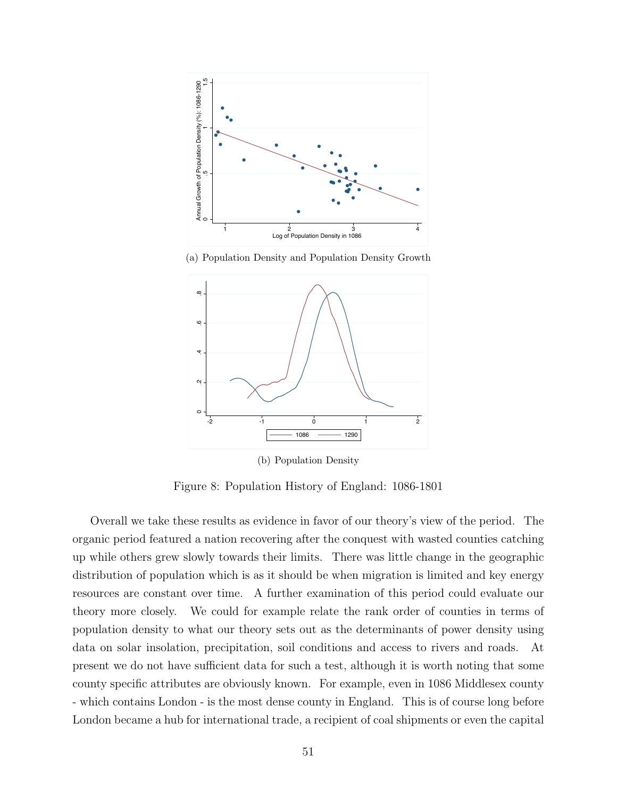

(a) Population Density and Population Density Growth



(b) Population Density

Figure 8: Population History of England: 1086-1801

Overall we take these results as evidence in favor of our theory's view of the period. The organic period featured a nation recovering after the conquest with wasted counties catching up while others grew slowly towards their limits. There was little change in the geographic distribution of population which is as it should be when migration is limited and key energy resources are constant over time. A further examination of this period could evaluate our theory more closely. We could for example relate the rank order of counties in terms of population density to what our theory sets out as the determinants of power density using data on solar insolation, precipitation, soil conditions and access to rivers and roads. At present we do not have sufficient data for such a test, although it is worth noting that some county specific attributes are obviously known. For example, even in 1086 Middlesex county - which contains London - is the most dense county in England. This is of course long before London became a hub for international trade, a recipient of coal shipments or even the capital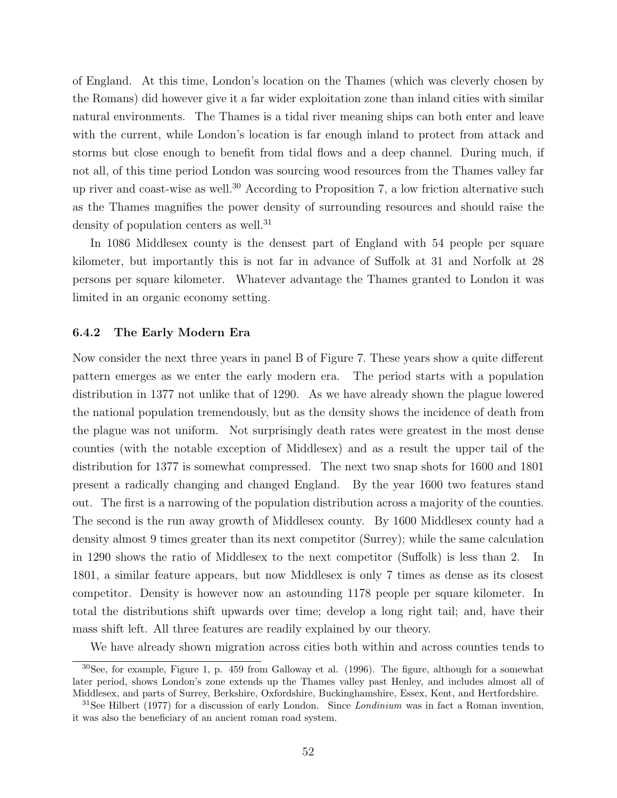of England. At this time, London's location on the Thames (which was cleverly chosen by the Romans) did however give it a far wider exploitation zone than inland cities with similar natural environments. The Thames is a tidal river meaning ships can both enter and leave with the current, while London's location is far enough inland to protect from attack and storms but close enough to benefit from tidal flows and a deep channel. During much, if not all, of this time period London was sourcing wood resources from the Thames valley far up river and coast-wise as well.<sup>30</sup> According to Proposition 7, a low friction alternative such as the Thames magnifies the power density of surrounding resources and should raise the density of population centers as well.<sup>31</sup>

In 1086 Middlesex county is the densest part of England with 54 people per square kilometer, but importantly this is not far in advance of Suffolk at 31 and Norfolk at 28 persons per square kilometer. Whatever advantage the Thames granted to London it was limited in an organic economy setting.

#### 6.4.2 The Early Modern Era

Now consider the next three years in panel B of Figure 7. These years show a quite different pattern emerges as we enter the early modern era. The period starts with a population distribution in 1377 not unlike that of 1290. As we have already shown the plague lowered the national population tremendously, but as the density shows the incidence of death from the plague was not uniform. Not surprisingly death rates were greatest in the most dense counties (with the notable exception of Middlesex) and as a result the upper tail of the distribution for 1377 is somewhat compressed. The next two snap shots for 1600 and 1801 present a radically changing and changed England. By the year 1600 two features stand out. The first is a narrowing of the population distribution across a majority of the counties. The second is the run away growth of Middlesex county. By 1600 Middlesex county had a density almost 9 times greater than its next competitor (Surrey); while the same calculation in 1290 shows the ratio of Middlesex to the next competitor (Suffolk) is less than 2. In 1801, a similar feature appears, but now Middlesex is only 7 times as dense as its closest competitor. Density is however now an astounding 1178 people per square kilometer. In total the distributions shift upwards over time; develop a long right tail; and, have their mass shift left. All three features are readily explained by our theory.

We have already shown migration across cities both within and across counties tends to

<sup>30</sup>See, for example, Figure 1, p. 459 from Galloway et al. (1996). The figure, although for a somewhat later period, shows London's zone extends up the Thames valley past Henley, and includes almost all of Middlesex, and parts of Surrey, Berkshire, Oxfordshire, Buckinghamshire, Essex, Kent, and Hertfordshire.

 $31$ See Hilbert (1977) for a discussion of early London. Since *Londinium* was in fact a Roman invention, it was also the beneficiary of an ancient roman road system.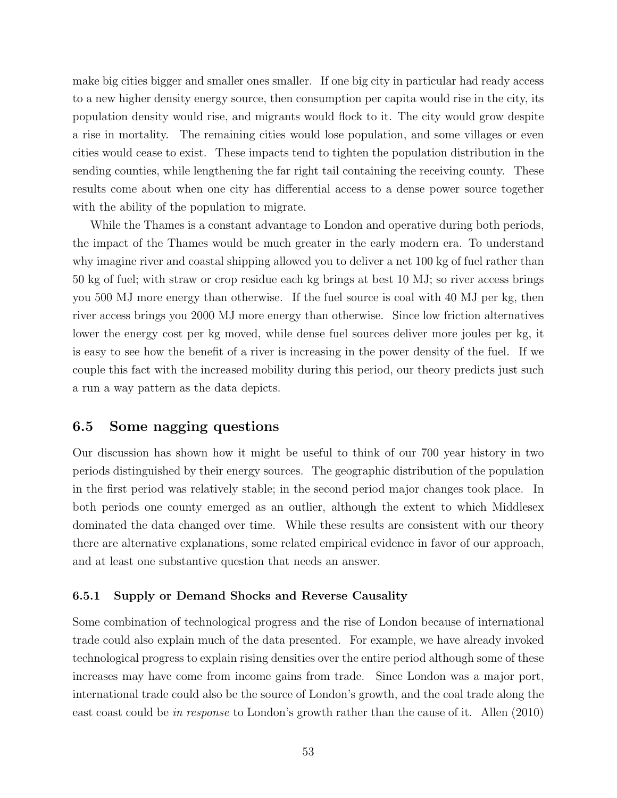make big cities bigger and smaller ones smaller. If one big city in particular had ready access to a new higher density energy source, then consumption per capita would rise in the city, its population density would rise, and migrants would flock to it. The city would grow despite a rise in mortality. The remaining cities would lose population, and some villages or even cities would cease to exist. These impacts tend to tighten the population distribution in the sending counties, while lengthening the far right tail containing the receiving county. These results come about when one city has differential access to a dense power source together with the ability of the population to migrate.

While the Thames is a constant advantage to London and operative during both periods, the impact of the Thames would be much greater in the early modern era. To understand why imagine river and coastal shipping allowed you to deliver a net 100 kg of fuel rather than 50 kg of fuel; with straw or crop residue each kg brings at best 10 MJ; so river access brings you 500 MJ more energy than otherwise. If the fuel source is coal with 40 MJ per kg, then river access brings you 2000 MJ more energy than otherwise. Since low friction alternatives lower the energy cost per kg moved, while dense fuel sources deliver more joules per kg, it is easy to see how the benefit of a river is increasing in the power density of the fuel. If we couple this fact with the increased mobility during this period, our theory predicts just such a run a way pattern as the data depicts.

## 6.5 Some nagging questions

Our discussion has shown how it might be useful to think of our 700 year history in two periods distinguished by their energy sources. The geographic distribution of the population in the first period was relatively stable; in the second period major changes took place. In both periods one county emerged as an outlier, although the extent to which Middlesex dominated the data changed over time. While these results are consistent with our theory there are alternative explanations, some related empirical evidence in favor of our approach, and at least one substantive question that needs an answer.

#### 6.5.1 Supply or Demand Shocks and Reverse Causality

Some combination of technological progress and the rise of London because of international trade could also explain much of the data presented. For example, we have already invoked technological progress to explain rising densities over the entire period although some of these increases may have come from income gains from trade. Since London was a major port, international trade could also be the source of London's growth, and the coal trade along the east coast could be in response to London's growth rather than the cause of it. Allen (2010)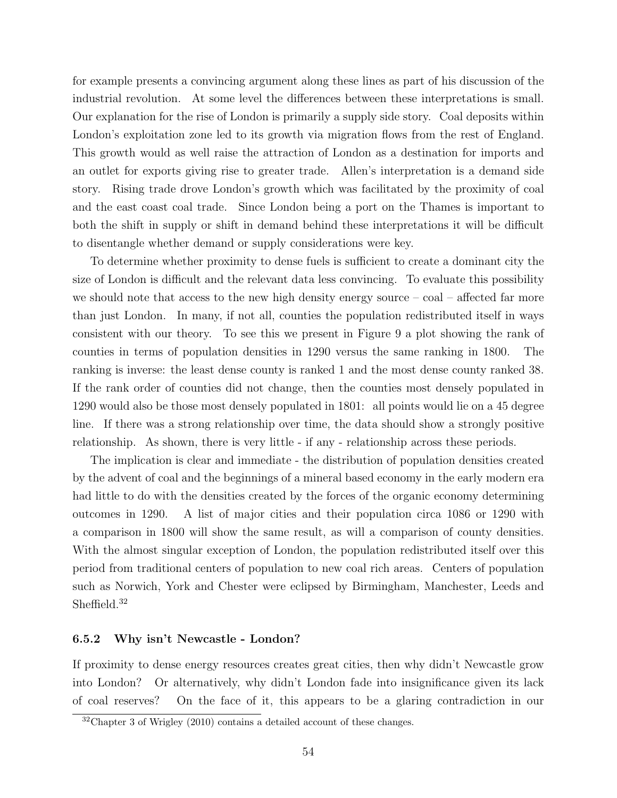for example presents a convincing argument along these lines as part of his discussion of the industrial revolution. At some level the differences between these interpretations is small. Our explanation for the rise of London is primarily a supply side story. Coal deposits within London's exploitation zone led to its growth via migration flows from the rest of England. This growth would as well raise the attraction of London as a destination for imports and an outlet for exports giving rise to greater trade. Allen's interpretation is a demand side story. Rising trade drove London's growth which was facilitated by the proximity of coal and the east coast coal trade. Since London being a port on the Thames is important to both the shift in supply or shift in demand behind these interpretations it will be difficult to disentangle whether demand or supply considerations were key.

To determine whether proximity to dense fuels is sufficient to create a dominant city the size of London is difficult and the relevant data less convincing. To evaluate this possibility we should note that access to the new high density energy source  $-\text{ coal}-\text{affected}$  far more than just London. In many, if not all, counties the population redistributed itself in ways consistent with our theory. To see this we present in Figure 9 a plot showing the rank of counties in terms of population densities in 1290 versus the same ranking in 1800. The ranking is inverse: the least dense county is ranked 1 and the most dense county ranked 38. If the rank order of counties did not change, then the counties most densely populated in 1290 would also be those most densely populated in 1801: all points would lie on a 45 degree line. If there was a strong relationship over time, the data should show a strongly positive relationship. As shown, there is very little - if any - relationship across these periods.

The implication is clear and immediate - the distribution of population densities created by the advent of coal and the beginnings of a mineral based economy in the early modern era had little to do with the densities created by the forces of the organic economy determining outcomes in 1290. A list of major cities and their population circa 1086 or 1290 with a comparison in 1800 will show the same result, as will a comparison of county densities. With the almost singular exception of London, the population redistributed itself over this period from traditional centers of population to new coal rich areas. Centers of population such as Norwich, York and Chester were eclipsed by Birmingham, Manchester, Leeds and Sheffield.<sup>32</sup>

#### 6.5.2 Why isn't Newcastle - London?

If proximity to dense energy resources creates great cities, then why didn't Newcastle grow into London? Or alternatively, why didn't London fade into insignificance given its lack of coal reserves? On the face of it, this appears to be a glaring contradiction in our

 $32$ Chapter 3 of Wrigley (2010) contains a detailed account of these changes.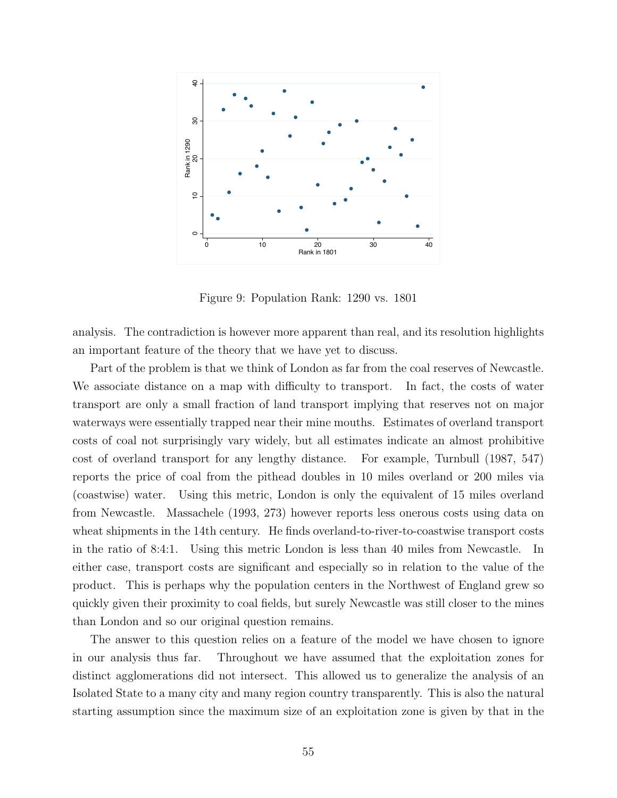

Figure 9: Population Rank: 1290 vs. 1801

analysis. The contradiction is however more apparent than real, and its resolution highlights an important feature of the theory that we have yet to discuss.

Part of the problem is that we think of London as far from the coal reserves of Newcastle. We associate distance on a map with difficulty to transport. In fact, the costs of water transport are only a small fraction of land transport implying that reserves not on major waterways were essentially trapped near their mine mouths. Estimates of overland transport costs of coal not surprisingly vary widely, but all estimates indicate an almost prohibitive cost of overland transport for any lengthy distance. For example, Turnbull (1987, 547) reports the price of coal from the pithead doubles in 10 miles overland or 200 miles via (coastwise) water. Using this metric, London is only the equivalent of 15 miles overland from Newcastle. Massachele (1993, 273) however reports less onerous costs using data on wheat shipments in the 14th century. He finds overland-to-river-to-coastwise transport costs in the ratio of 8:4:1. Using this metric London is less than 40 miles from Newcastle. In either case, transport costs are significant and especially so in relation to the value of the product. This is perhaps why the population centers in the Northwest of England grew so quickly given their proximity to coal fields, but surely Newcastle was still closer to the mines than London and so our original question remains.

The answer to this question relies on a feature of the model we have chosen to ignore in our analysis thus far. Throughout we have assumed that the exploitation zones for distinct agglomerations did not intersect. This allowed us to generalize the analysis of an Isolated State to a many city and many region country transparently. This is also the natural starting assumption since the maximum size of an exploitation zone is given by that in the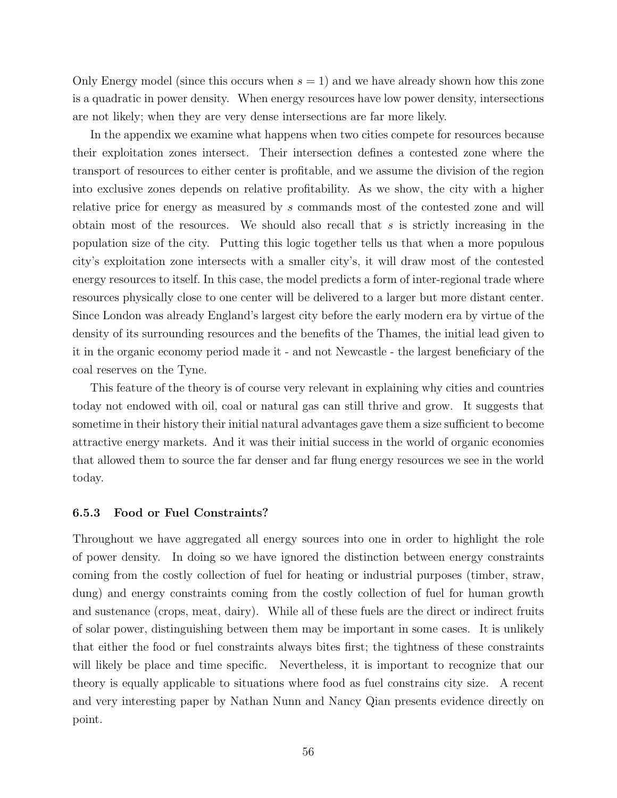Only Energy model (since this occurs when  $s = 1$ ) and we have already shown how this zone is a quadratic in power density. When energy resources have low power density, intersections are not likely; when they are very dense intersections are far more likely.

In the appendix we examine what happens when two cities compete for resources because their exploitation zones intersect. Their intersection defines a contested zone where the transport of resources to either center is profitable, and we assume the division of the region into exclusive zones depends on relative profitability. As we show, the city with a higher relative price for energy as measured by s commands most of the contested zone and will obtain most of the resources. We should also recall that  $s$  is strictly increasing in the population size of the city. Putting this logic together tells us that when a more populous city's exploitation zone intersects with a smaller city's, it will draw most of the contested energy resources to itself. In this case, the model predicts a form of inter-regional trade where resources physically close to one center will be delivered to a larger but more distant center. Since London was already England's largest city before the early modern era by virtue of the density of its surrounding resources and the benefits of the Thames, the initial lead given to it in the organic economy period made it - and not Newcastle - the largest beneficiary of the coal reserves on the Tyne.

This feature of the theory is of course very relevant in explaining why cities and countries today not endowed with oil, coal or natural gas can still thrive and grow. It suggests that sometime in their history their initial natural advantages gave them a size sufficient to become attractive energy markets. And it was their initial success in the world of organic economies that allowed them to source the far denser and far flung energy resources we see in the world today.

#### 6.5.3 Food or Fuel Constraints?

Throughout we have aggregated all energy sources into one in order to highlight the role of power density. In doing so we have ignored the distinction between energy constraints coming from the costly collection of fuel for heating or industrial purposes (timber, straw, dung) and energy constraints coming from the costly collection of fuel for human growth and sustenance (crops, meat, dairy). While all of these fuels are the direct or indirect fruits of solar power, distinguishing between them may be important in some cases. It is unlikely that either the food or fuel constraints always bites first; the tightness of these constraints will likely be place and time specific. Nevertheless, it is important to recognize that our theory is equally applicable to situations where food as fuel constrains city size. A recent and very interesting paper by Nathan Nunn and Nancy Qian presents evidence directly on point.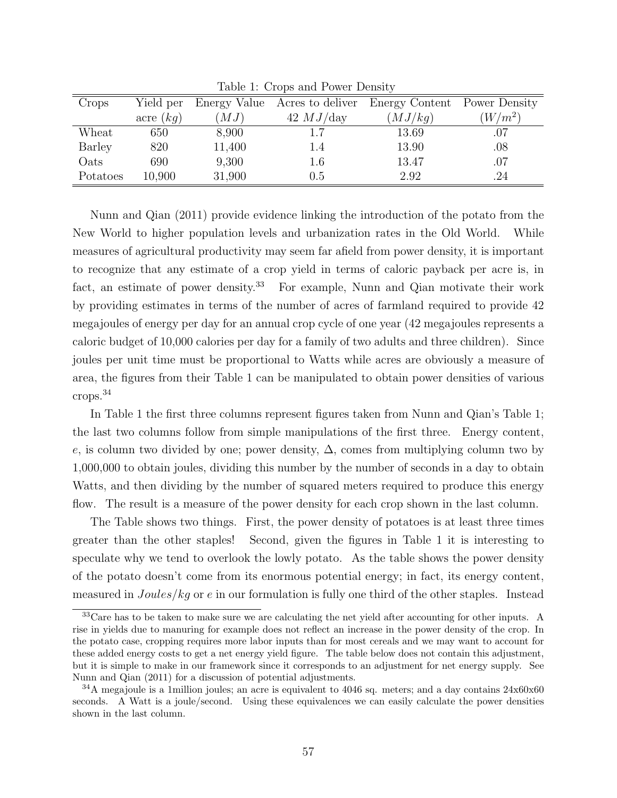| Crops    | Yield per   | Energy Value | Acres to deliver | Energy Content | Power Density |
|----------|-------------|--------------|------------------|----------------|---------------|
|          | acre $(kq)$ | (MJ)         | $42$ $MJ$ day    | (MJ/kg)        | $(W/m^2)$     |
| Wheat    | 650         | 8,900        | $1.7\,$          | 13.69          | .07           |
| Barley   | 820         | 11,400       | 1.4              | 13.90          | $.08\,$       |
| Oats     | 690         | 9,300        | 1.6              | 13.47          | .07           |
| Potatoes | 10,900      | 31,900       | 0.5              | 2.92           | .24           |

Table 1: Crops and Power Density

Nunn and Qian (2011) provide evidence linking the introduction of the potato from the New World to higher population levels and urbanization rates in the Old World. While measures of agricultural productivity may seem far afield from power density, it is important to recognize that any estimate of a crop yield in terms of caloric payback per acre is, in fact, an estimate of power density.<sup>33</sup> For example, Nunn and Qian motivate their work by providing estimates in terms of the number of acres of farmland required to provide 42 megajoules of energy per day for an annual crop cycle of one year (42 megajoules represents a caloric budget of 10,000 calories per day for a family of two adults and three children). Since joules per unit time must be proportional to Watts while acres are obviously a measure of area, the figures from their Table 1 can be manipulated to obtain power densities of various crops.<sup>34</sup>

In Table 1 the first three columns represent figures taken from Nunn and Qian's Table 1; the last two columns follow from simple manipulations of the first three. Energy content, e, is column two divided by one; power density,  $\Delta$ , comes from multiplying column two by 1,000,000 to obtain joules, dividing this number by the number of seconds in a day to obtain Watts, and then dividing by the number of squared meters required to produce this energy flow. The result is a measure of the power density for each crop shown in the last column.

The Table shows two things. First, the power density of potatoes is at least three times greater than the other staples! Second, given the figures in Table 1 it is interesting to speculate why we tend to overlook the lowly potato. As the table shows the power density of the potato doesn't come from its enormous potential energy; in fact, its energy content, measured in Joules/kg or e in our formulation is fully one third of the other staples. Instead

<sup>&</sup>lt;sup>33</sup>Care has to be taken to make sure we are calculating the net yield after accounting for other inputs. A rise in yields due to manuring for example does not reflect an increase in the power density of the crop. In the potato case, cropping requires more labor inputs than for most cereals and we may want to account for these added energy costs to get a net energy yield figure. The table below does not contain this adjustment, but it is simple to make in our framework since it corresponds to an adjustment for net energy supply. See Nunn and Qian (2011) for a discussion of potential adjustments.

<sup>&</sup>lt;sup>34</sup>A megajoule is a 1million joules; an acre is equivalent to 4046 sq. meters; and a day contains 24x60x60 seconds. A Watt is a joule/second. Using these equivalences we can easily calculate the power densities shown in the last column.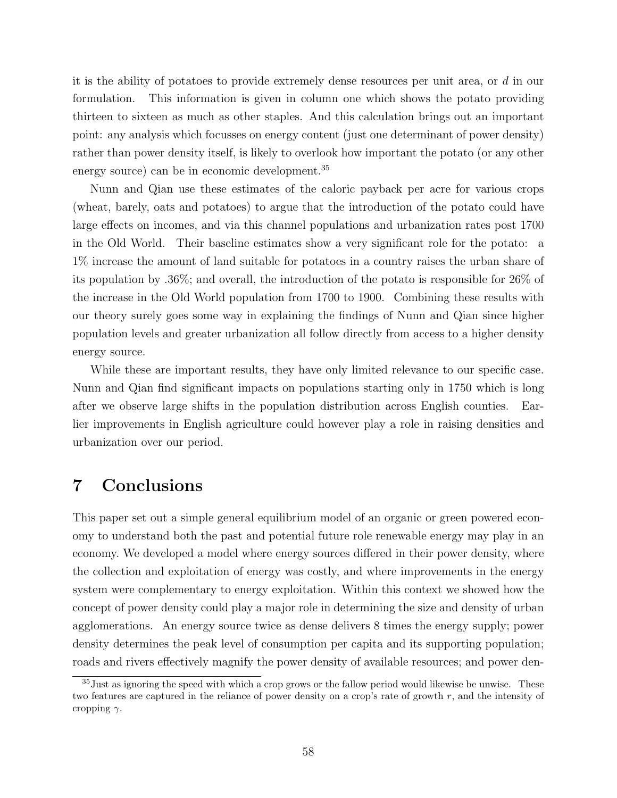it is the ability of potatoes to provide extremely dense resources per unit area, or d in our formulation. This information is given in column one which shows the potato providing thirteen to sixteen as much as other staples. And this calculation brings out an important point: any analysis which focusses on energy content (just one determinant of power density) rather than power density itself, is likely to overlook how important the potato (or any other energy source) can be in economic development.<sup>35</sup>

Nunn and Qian use these estimates of the caloric payback per acre for various crops (wheat, barely, oats and potatoes) to argue that the introduction of the potato could have large effects on incomes, and via this channel populations and urbanization rates post 1700 in the Old World. Their baseline estimates show a very significant role for the potato: a 1% increase the amount of land suitable for potatoes in a country raises the urban share of its population by .36%; and overall, the introduction of the potato is responsible for 26% of the increase in the Old World population from 1700 to 1900. Combining these results with our theory surely goes some way in explaining the findings of Nunn and Qian since higher population levels and greater urbanization all follow directly from access to a higher density energy source.

While these are important results, they have only limited relevance to our specific case. Nunn and Qian find significant impacts on populations starting only in 1750 which is long after we observe large shifts in the population distribution across English counties. Earlier improvements in English agriculture could however play a role in raising densities and urbanization over our period.

# 7 Conclusions

This paper set out a simple general equilibrium model of an organic or green powered economy to understand both the past and potential future role renewable energy may play in an economy. We developed a model where energy sources differed in their power density, where the collection and exploitation of energy was costly, and where improvements in the energy system were complementary to energy exploitation. Within this context we showed how the concept of power density could play a major role in determining the size and density of urban agglomerations. An energy source twice as dense delivers 8 times the energy supply; power density determines the peak level of consumption per capita and its supporting population; roads and rivers effectively magnify the power density of available resources; and power den-

<sup>&</sup>lt;sup>35</sup> Just as ignoring the speed with which a crop grows or the fallow period would likewise be unwise. These two features are captured in the reliance of power density on a crop's rate of growth r, and the intensity of cropping  $\gamma$ .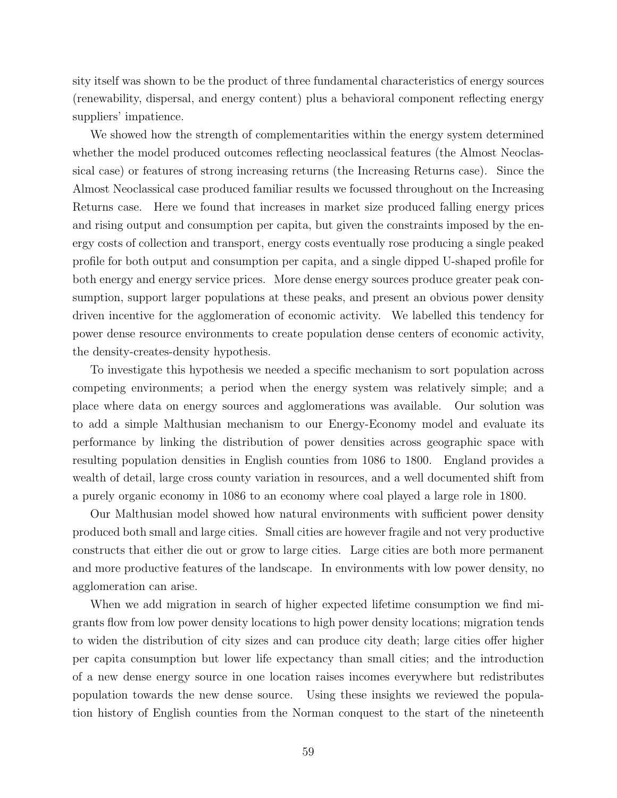sity itself was shown to be the product of three fundamental characteristics of energy sources (renewability, dispersal, and energy content) plus a behavioral component reflecting energy suppliers' impatience.

We showed how the strength of complementarities within the energy system determined whether the model produced outcomes reflecting neoclassical features (the Almost Neoclassical case) or features of strong increasing returns (the Increasing Returns case). Since the Almost Neoclassical case produced familiar results we focussed throughout on the Increasing Returns case. Here we found that increases in market size produced falling energy prices and rising output and consumption per capita, but given the constraints imposed by the energy costs of collection and transport, energy costs eventually rose producing a single peaked profile for both output and consumption per capita, and a single dipped U-shaped profile for both energy and energy service prices. More dense energy sources produce greater peak consumption, support larger populations at these peaks, and present an obvious power density driven incentive for the agglomeration of economic activity. We labelled this tendency for power dense resource environments to create population dense centers of economic activity, the density-creates-density hypothesis.

To investigate this hypothesis we needed a specific mechanism to sort population across competing environments; a period when the energy system was relatively simple; and a place where data on energy sources and agglomerations was available. Our solution was to add a simple Malthusian mechanism to our Energy-Economy model and evaluate its performance by linking the distribution of power densities across geographic space with resulting population densities in English counties from 1086 to 1800. England provides a wealth of detail, large cross county variation in resources, and a well documented shift from a purely organic economy in 1086 to an economy where coal played a large role in 1800.

Our Malthusian model showed how natural environments with sufficient power density produced both small and large cities. Small cities are however fragile and not very productive constructs that either die out or grow to large cities. Large cities are both more permanent and more productive features of the landscape. In environments with low power density, no agglomeration can arise.

When we add migration in search of higher expected lifetime consumption we find migrants flow from low power density locations to high power density locations; migration tends to widen the distribution of city sizes and can produce city death; large cities offer higher per capita consumption but lower life expectancy than small cities; and the introduction of a new dense energy source in one location raises incomes everywhere but redistributes population towards the new dense source. Using these insights we reviewed the population history of English counties from the Norman conquest to the start of the nineteenth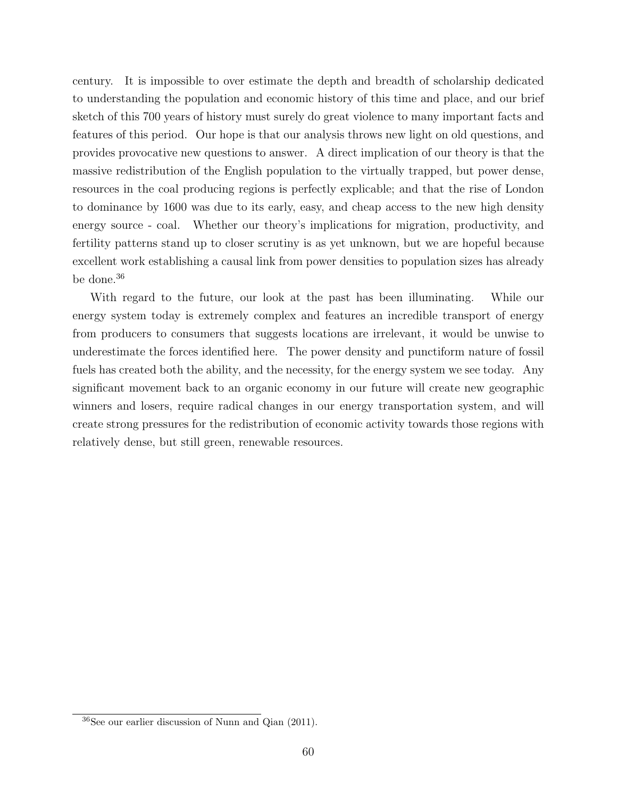century. It is impossible to over estimate the depth and breadth of scholarship dedicated to understanding the population and economic history of this time and place, and our brief sketch of this 700 years of history must surely do great violence to many important facts and features of this period. Our hope is that our analysis throws new light on old questions, and provides provocative new questions to answer. A direct implication of our theory is that the massive redistribution of the English population to the virtually trapped, but power dense, resources in the coal producing regions is perfectly explicable; and that the rise of London to dominance by 1600 was due to its early, easy, and cheap access to the new high density energy source - coal. Whether our theory's implications for migration, productivity, and fertility patterns stand up to closer scrutiny is as yet unknown, but we are hopeful because excellent work establishing a causal link from power densities to population sizes has already be done.<sup>36</sup>

With regard to the future, our look at the past has been illuminating. While our energy system today is extremely complex and features an incredible transport of energy from producers to consumers that suggests locations are irrelevant, it would be unwise to underestimate the forces identified here. The power density and punctiform nature of fossil fuels has created both the ability, and the necessity, for the energy system we see today. Any significant movement back to an organic economy in our future will create new geographic winners and losers, require radical changes in our energy transportation system, and will create strong pressures for the redistribution of economic activity towards those regions with relatively dense, but still green, renewable resources.

<sup>36</sup>See our earlier discussion of Nunn and Qian (2011).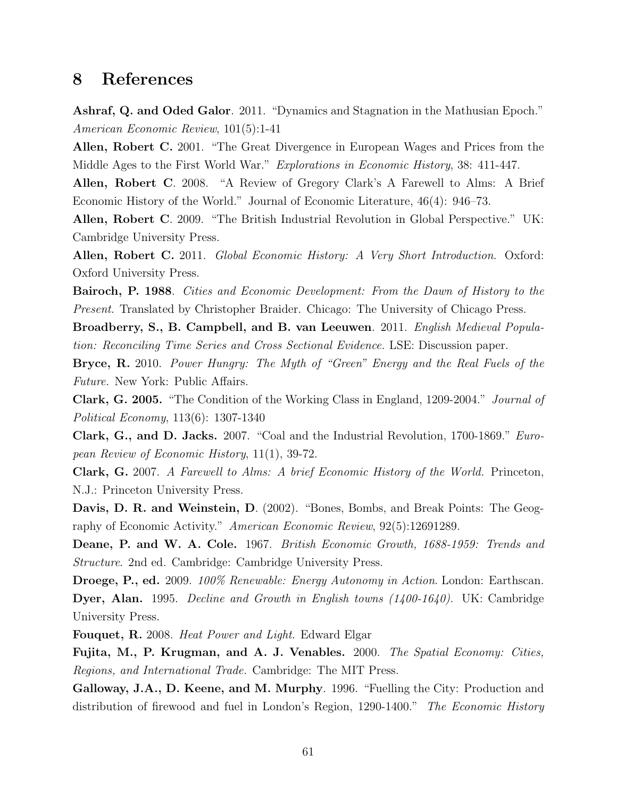# 8 References

Ashraf, Q. and Oded Galor. 2011. "Dynamics and Stagnation in the Mathusian Epoch." American Economic Review, 101(5):1-41

Allen, Robert C. 2001. "The Great Divergence in European Wages and Prices from the Middle Ages to the First World War." Explorations in Economic History, 38: 411-447.

Allen, Robert C. 2008. "A Review of Gregory Clark's A Farewell to Alms: A Brief Economic History of the World." Journal of Economic Literature, 46(4): 946–73.

Allen, Robert C. 2009. "The British Industrial Revolution in Global Perspective." UK: Cambridge University Press.

Allen, Robert C. 2011. Global Economic History: A Very Short Introduction. Oxford: Oxford University Press.

Bairoch, P. 1988. Cities and Economic Development: From the Dawn of History to the Present. Translated by Christopher Braider. Chicago: The University of Chicago Press.

Broadberry, S., B. Campbell, and B. van Leeuwen. 2011. English Medieval Population: Reconciling Time Series and Cross Sectional Evidence. LSE: Discussion paper.

Bryce, R. 2010. Power Hungry: The Myth of "Green" Energy and the Real Fuels of the Future. New York: Public Affairs.

Clark, G. 2005. "The Condition of the Working Class in England, 1209-2004." Journal of Political Economy, 113(6): 1307-1340

Clark, G., and D. Jacks. 2007. "Coal and the Industrial Revolution, 1700-1869." European Review of Economic History, 11(1), 39-72.

Clark, G. 2007. A Farewell to Alms: A brief Economic History of the World. Princeton, N.J.: Princeton University Press.

Davis, D. R. and Weinstein, D. (2002). "Bones, Bombs, and Break Points: The Geography of Economic Activity." American Economic Review, 92(5):12691289.

Deane, P. and W. A. Cole. 1967. British Economic Growth, 1688-1959: Trends and Structure. 2nd ed. Cambridge: Cambridge University Press.

Droege, P., ed. 2009. 100% Renewable: Energy Autonomy in Action. London: Earthscan. Dyer, Alan. 1995. *Decline and Growth in English towns (1400-1640)*. UK: Cambridge University Press.

Fouquet, R. 2008. Heat Power and Light. Edward Elgar

Fujita, M., P. Krugman, and A. J. Venables. 2000. The Spatial Economy: Cities, Regions, and International Trade. Cambridge: The MIT Press.

Galloway, J.A., D. Keene, and M. Murphy. 1996. "Fuelling the City: Production and distribution of firewood and fuel in London's Region, 1290-1400." The Economic History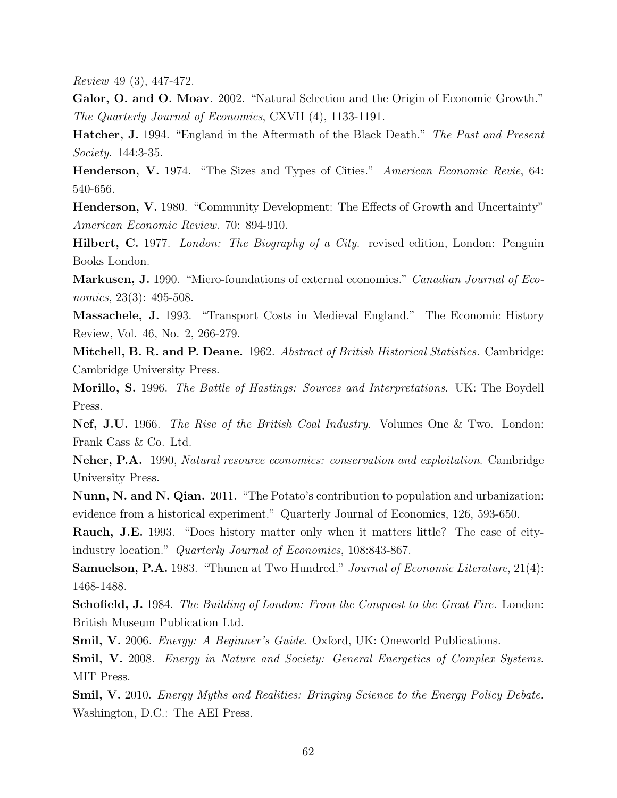Review 49 (3), 447-472.

Galor, O. and O. Moav. 2002. "Natural Selection and the Origin of Economic Growth." The Quarterly Journal of Economics, CXVII (4), 1133-1191.

Hatcher, J. 1994. "England in the Aftermath of the Black Death." The Past and Present Society. 144:3-35.

Henderson, V. 1974. "The Sizes and Types of Cities." American Economic Revie, 64: 540-656.

Henderson, V. 1980. "Community Development: The Effects of Growth and Uncertainty" American Economic Review. 70: 894-910.

Hilbert, C. 1977. London: The Biography of a City. revised edition, London: Penguin Books London.

Markusen, J. 1990. "Micro-foundations of external economies." *Canadian Journal of Eco*nomics, 23(3): 495-508.

Massachele, J. 1993. "Transport Costs in Medieval England." The Economic History Review, Vol. 46, No. 2, 266-279.

Mitchell, B. R. and P. Deane. 1962. Abstract of British Historical Statistics. Cambridge: Cambridge University Press.

Morillo, S. 1996. The Battle of Hastings: Sources and Interpretations. UK: The Boydell Press.

Nef, J.U. 1966. The Rise of the British Coal Industry. Volumes One & Two. London: Frank Cass & Co. Ltd.

Neher, P.A. 1990, Natural resource economics: conservation and exploitation. Cambridge University Press.

Nunn, N. and N. Qian. 2011. "The Potato's contribution to population and urbanization: evidence from a historical experiment." Quarterly Journal of Economics, 126, 593-650.

Rauch, J.E. 1993. "Does history matter only when it matters little? The case of cityindustry location." Quarterly Journal of Economics, 108:843-867.

Samuelson, P.A. 1983. "Thunen at Two Hundred." Journal of Economic Literature, 21(4): 1468-1488.

Schofield, J. 1984. The Building of London: From the Conquest to the Great Fire. London: British Museum Publication Ltd.

Smil, V. 2006. Energy: A Beginner's Guide. Oxford, UK: Oneworld Publications.

Smil, V. 2008. Energy in Nature and Society: General Energetics of Complex Systems. MIT Press.

Smil, V. 2010. Energy Myths and Realities: Bringing Science to the Energy Policy Debate. Washington, D.C.: The AEI Press.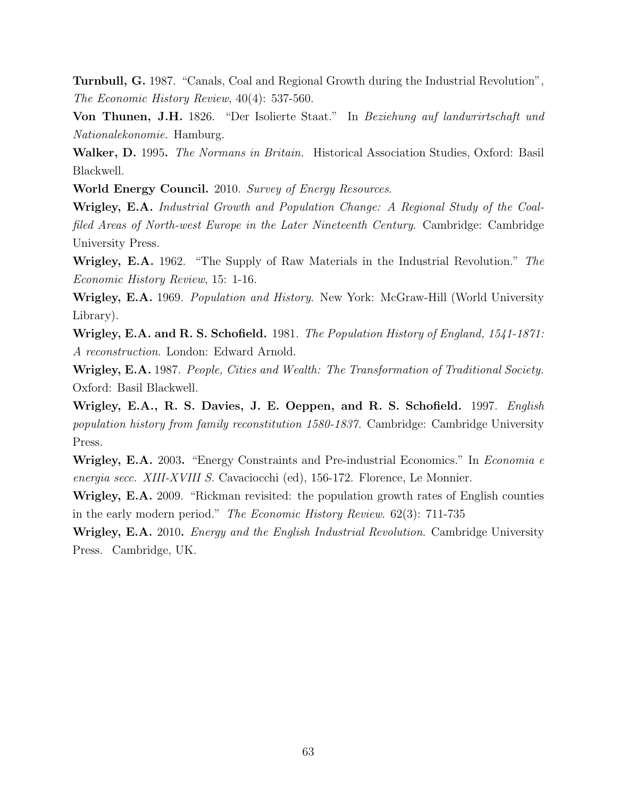Turnbull, G. 1987. "Canals, Coal and Regional Growth during the Industrial Revolution", The Economic History Review, 40(4): 537-560.

Von Thunen, J.H. 1826. "Der Isolierte Staat." In Beziehung auf landwrirtschaft und Nationalekonomie. Hamburg.

Walker, D. 1995. *The Normans in Britain*. Historical Association Studies, Oxford: Basil Blackwell.

World Energy Council. 2010. Survey of Energy Resources.

Wrigley, E.A. Industrial Growth and Population Change: A Regional Study of the Coalfiled Areas of North-west Europe in the Later Nineteenth Century. Cambridge: Cambridge University Press.

Wrigley, E.A. 1962. "The Supply of Raw Materials in the Industrial Revolution." The Economic History Review, 15: 1-16.

Wrigley, E.A. 1969. Population and History. New York: McGraw-Hill (World University Library).

Wrigley, E.A. and R. S. Schofield. 1981. The Population History of England, 1541-1871: A reconstruction. London: Edward Arnold.

Wrigley, E.A. 1987. People, Cities and Wealth: The Transformation of Traditional Society. Oxford: Basil Blackwell.

Wrigley, E.A., R. S. Davies, J. E. Oeppen, and R. S. Schofield. 1997. English population history from family reconstitution 1580-1837. Cambridge: Cambridge University Press.

Wrigley, E.A. 2003. "Energy Constraints and Pre-industrial Economics." In *Economia e* energia secc. XIII-XVIII S. Cavaciocchi (ed), 156-172. Florence, Le Monnier.

Wrigley, E.A. 2009. "Rickman revisited: the population growth rates of English counties in the early modern period." The Economic History Review. 62(3): 711-735

Wrigley, E.A. 2010. *Energy and the English Industrial Revolution*. Cambridge University Press. Cambridge, UK.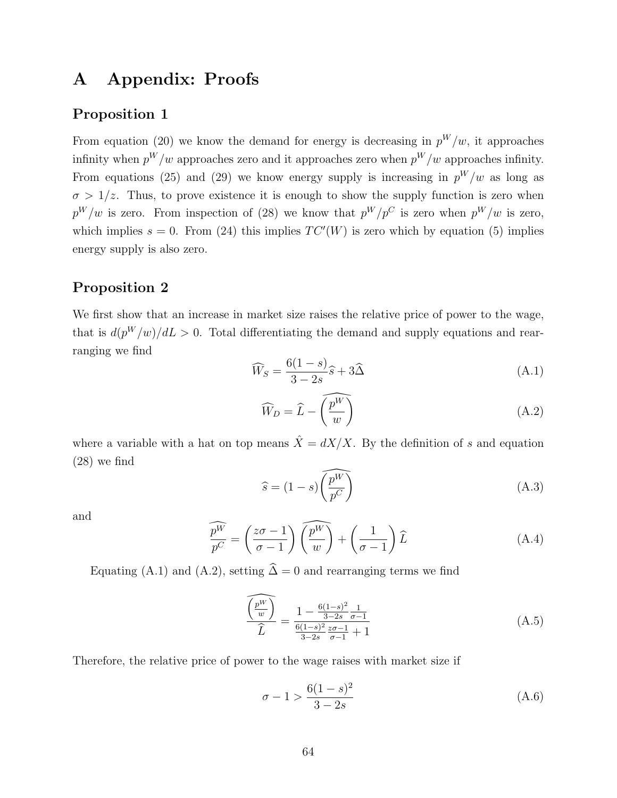# A Appendix: Proofs

## Proposition 1

From equation (20) we know the demand for energy is decreasing in  $p^W/w$ , it approaches infinity when  $p^W/w$  approaches zero and it approaches zero when  $p^W/w$  approaches infinity. From equations (25) and (29) we know energy supply is increasing in  $p^W/w$  as long as  $\sigma > 1/z$ . Thus, to prove existence it is enough to show the supply function is zero when  $p^W/w$  is zero. From inspection of (28) we know that  $p^W/p^C$  is zero when  $p^W/w$  is zero, which implies  $s = 0$ . From (24) this implies  $TC'(W)$  is zero which by equation (5) implies energy supply is also zero.

## Proposition 2

We first show that an increase in market size raises the relative price of power to the wage, that is  $d(p^W/w)/dL > 0$ . Total differentiating the demand and supply equations and rearranging we find

$$
\widehat{W}_S = \frac{6(1-s)}{3-2s}\widehat{s} + 3\widehat{\Delta}
$$
\n(A.1)

$$
\widehat{W}_D = \widehat{L} - \widehat{\left(\frac{p^W}{w}\right)}\tag{A.2}
$$

where a variable with a hat on top means  $\hat{X} = dX/X$ . By the definition of s and equation (28) we find

$$
\widehat{s} = (1 - s) \widehat{\left(\frac{p^W}{p^C}\right)} \tag{A.3}
$$

and

$$
\widehat{\frac{p^W}{p^C}} = \left(\frac{z\sigma - 1}{\sigma - 1}\right)\widehat{\left(\frac{p^W}{w}\right)} + \left(\frac{1}{\sigma - 1}\right)\widehat{L}
$$
\n(A.4)

Equating (A.1) and (A.2), setting  $\hat{\Delta} = 0$  and rearranging terms we find

$$
\frac{\widehat{\binom{p^W}{w}}}{\widehat{L}} = \frac{1 - \frac{6(1-s)^2}{3-2s} \frac{1}{\sigma - 1}}{\frac{6(1-s)^2}{3-2s} \frac{z\sigma - 1}{\sigma - 1} + 1} \tag{A.5}
$$

Therefore, the relative price of power to the wage raises with market size if

$$
\sigma - 1 > \frac{6(1 - s)^2}{3 - 2s} \tag{A.6}
$$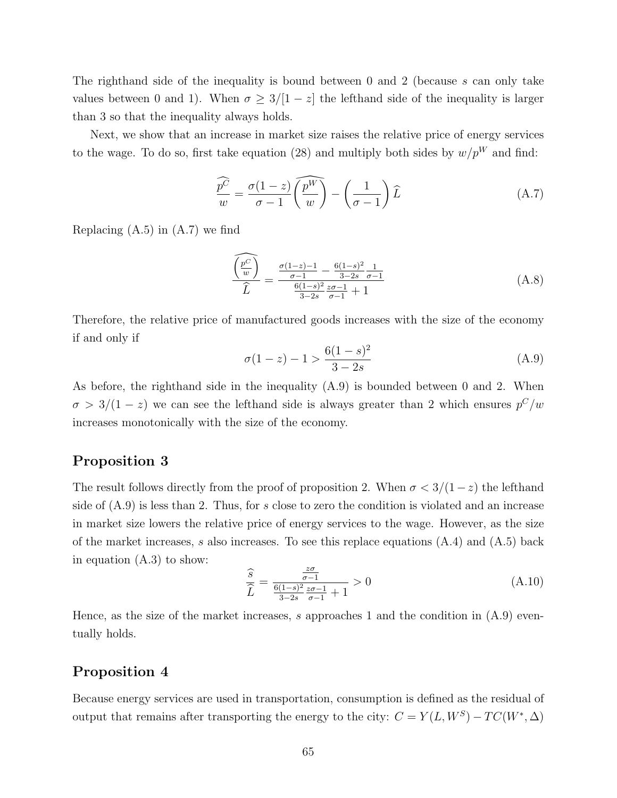The righthand side of the inequality is bound between 0 and 2 (because s can only take values between 0 and 1). When  $\sigma \geq 3/[1-z]$  the lefthand side of the inequality is larger than 3 so that the inequality always holds.

Next, we show that an increase in market size raises the relative price of energy services to the wage. To do so, first take equation (28) and multiply both sides by  $w/p^W$  and find:

$$
\widehat{\frac{p^C}{w}} = \frac{\sigma(1-z)}{\sigma-1} \widehat{\left(\frac{p^W}{w}\right)} - \left(\frac{1}{\sigma-1}\right) \widehat{L}
$$
\n(A.7)

Replacing (A.5) in (A.7) we find

$$
\frac{\widehat{\binom{p}{w}}}{\widehat{L}} = \frac{\frac{\sigma(1-z)-1}{\sigma-1} - \frac{6(1-s)^2}{3-2s} \frac{1}{\sigma-1}}{\frac{6(1-s)^2}{3-2s} \frac{z\sigma-1}{\sigma-1} + 1}
$$
\n(A.8)

Therefore, the relative price of manufactured goods increases with the size of the economy if and only if

$$
\sigma(1-z) - 1 > \frac{6(1-s)^2}{3-2s} \tag{A.9}
$$

As before, the righthand side in the inequality (A.9) is bounded between 0 and 2. When  $\sigma > 3/(1-z)$  we can see the lefthand side is always greater than 2 which ensures  $p^{C}/w$ increases monotonically with the size of the economy.

## Proposition 3

The result follows directly from the proof of proposition 2. When  $\sigma < 3/(1-z)$  the lefthand side of  $(A.9)$  is less than 2. Thus, for s close to zero the condition is violated and an increase in market size lowers the relative price of energy services to the wage. However, as the size of the market increases, s also increases. To see this replace equations  $(A.4)$  and  $(A.5)$  back in equation (A.3) to show:

$$
\frac{\hat{s}}{\hat{L}} = \frac{\frac{z\sigma}{\sigma - 1}}{\frac{6(1-s)^2}{3-2s}\frac{z\sigma - 1}{\sigma - 1} + 1} > 0
$$
\n(A.10)

Hence, as the size of the market increases, s approaches 1 and the condition in  $(A.9)$  eventually holds.

## Proposition 4

Because energy services are used in transportation, consumption is defined as the residual of output that remains after transporting the energy to the city:  $C = Y(L, W^S) - TC(W^*, \Delta)$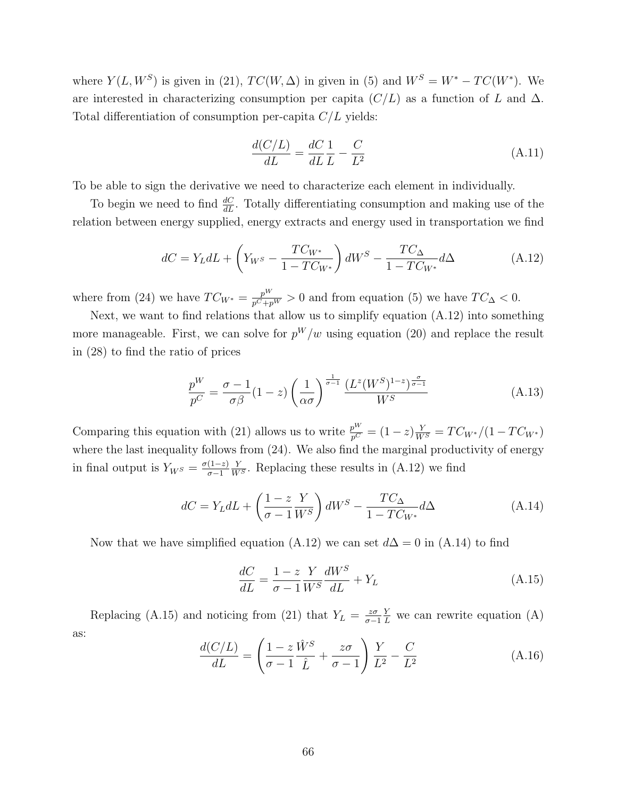where  $Y(L, W^S)$  is given in (21),  $TC(W, \Delta)$  in given in (5) and  $W^S = W^* - TC(W^*)$ . We are interested in characterizing consumption per capita  $(C/L)$  as a function of L and  $\Delta$ . Total differentiation of consumption per-capita  $C/L$  yields:

$$
\frac{d(C/L)}{dL} = \frac{dC}{dL}\frac{1}{L} - \frac{C}{L^2}
$$
\n(A.11)

To be able to sign the derivative we need to characterize each element in individually.

To begin we need to find  $\frac{dC}{dL}$ . Totally differentiating consumption and making use of the relation between energy supplied, energy extracts and energy used in transportation we find

$$
dC = Y_L dL + \left(Y_{W^S} - \frac{TC_{W^*}}{1 - TC_{W^*}}\right) dW^S - \frac{TC_{\Delta}}{1 - TC_{W^*}} d\Delta \tag{A.12}
$$

where from (24) we have  $TC_{W^*} = \frac{p^W}{p^C + p^W} > 0$  and from equation (5) we have  $TC_{\Delta} < 0$ .

Next, we want to find relations that allow us to simplify equation (A.12) into something more manageable. First, we can solve for  $p^W/w$  using equation (20) and replace the result in (28) to find the ratio of prices

$$
\frac{p^W}{p^C} = \frac{\sigma - 1}{\sigma \beta} (1 - z) \left(\frac{1}{\alpha \sigma}\right)^{\frac{1}{\sigma - 1}} \frac{\left(L^z (W^S)^{1-z}\right)^{\frac{\sigma}{\sigma - 1}}}{W^S}
$$
(A.13)

Comparing this equation with (21) allows us to write  $\frac{p^W}{p^C} = (1-z)\frac{Y}{W^S} = TC_{W^*}/(1-TC_{W^*})$ where the last inequality follows from  $(24)$ . We also find the marginal productivity of energy in final output is  $Y_{W^S} = \frac{\sigma(1-z)}{\sigma-1}$ σ−1  $\frac{Y}{W^S}$ . Replacing these results in (A.12) we find

$$
dC = Y_L dL + \left(\frac{1-z}{\sigma - 1} \frac{Y}{W^S}\right) dW^S - \frac{TC_\Delta}{1 - TC_{W^*}} d\Delta \tag{A.14}
$$

Now that we have simplified equation (A.12) we can set  $d\Delta = 0$  in (A.14) to find

$$
\frac{dC}{dL} = \frac{1-z}{\sigma - 1} \frac{Y}{W^S} \frac{dW^S}{dL} + Y_L
$$
\n(A.15)

Replacing (A.15) and noticing from (21) that  $Y_L = \frac{z\sigma}{\sigma}$ σ−1  $\frac{Y}{L}$  we can rewrite equation (A) as:

$$
\frac{d(C/L)}{dL} = \left(\frac{1-z}{\sigma-1}\frac{\hat{W}^S}{\hat{L}} + \frac{z\sigma}{\sigma-1}\right)\frac{Y}{L^2} - \frac{C}{L^2}
$$
(A.16)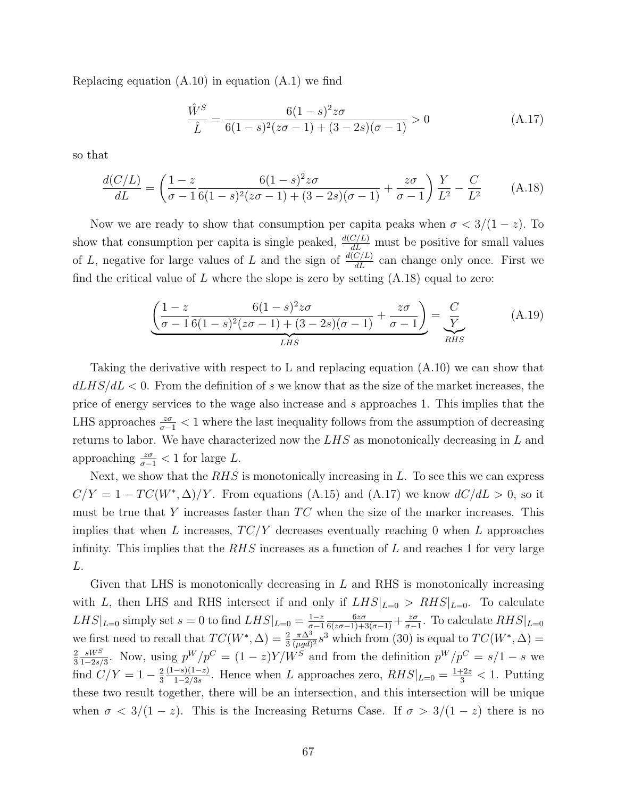Replacing equation  $(A.10)$  in equation  $(A.1)$  we find

$$
\frac{\hat{W}^S}{\hat{L}} = \frac{6(1-s)^2 z \sigma}{6(1-s)^2 (z\sigma - 1) + (3-2s)(\sigma - 1)} > 0
$$
\n(A.17)

so that

$$
\frac{d(C/L)}{dL} = \left(\frac{1-z}{\sigma-1} \frac{6(1-s)^2 z \sigma}{6(1-s)^2 (z\sigma-1) + (3-2s)(\sigma-1)} + \frac{z\sigma}{\sigma-1}\right) \frac{Y}{L^2} - \frac{C}{L^2}
$$
(A.18)

Now we are ready to show that consumption per capita peaks when  $\sigma < 3/(1-z)$ . To show that consumption per capita is single peaked,  $\frac{d(C/L)}{dL}$  must be positive for small values of L, negative for large values of L and the sign of  $\frac{d(C/L)}{dL}$  can change only once. First we find the critical value of L where the slope is zero by setting  $(A.18)$  equal to zero:

$$
\underbrace{\left(\frac{1-z}{\sigma-1}\frac{6(1-s)^2z\sigma}{6(1-s)^2(z\sigma-1)+(3-2s)(\sigma-1)}+\frac{z\sigma}{\sigma-1}\right)}_{LHS}=\underbrace{\frac{C}{Y}}_{RHS}
$$
(A.19)

Taking the derivative with respect to L and replacing equation (A.10) we can show that  $dLHS/dL < 0$ . From the definition of s we know that as the size of the market increases, the price of energy services to the wage also increase and s approaches 1. This implies that the LHS approaches  $\frac{z\sigma}{\sigma-1}$  < 1 where the last inequality follows from the assumption of decreasing returns to labor. We have characterized now the LHS as monotonically decreasing in L and approaching  $\frac{z\sigma}{\sigma-1} < 1$  for large L.

Next, we show that the  $RHS$  is monotonically increasing in  $L$ . To see this we can express  $C/Y = 1 - TC(W^*, \Delta)/Y$ . From equations (A.15) and (A.17) we know  $dC/dL > 0$ , so it must be true that Y increases faster than  $TC$  when the size of the marker increases. This implies that when L increases,  $TC/Y$  decreases eventually reaching 0 when L approaches infinity. This implies that the  $RHS$  increases as a function of  $L$  and reaches 1 for very large L.

Given that LHS is monotonically decreasing in  $L$  and RHS is monotonically increasing with L, then LHS and RHS intersect if and only if  $LHS|_{L=0} > RHS|_{L=0}$ . To calculate  $LHS|_{L=0}$  simply set  $s=0$  to find  $LHS|_{L=0} = \frac{1-z}{\sigma-1}$ σ−1  $\frac{6z\sigma}{6(z\sigma-1)+3(\sigma-1)}+\frac{z\sigma}{\sigma-1}$  $\frac{z\sigma}{\sigma-1}$ . To calculate  $RHS|_{L=0}$ we first need to recall that  $TC(W^*, \Delta) = \frac{2}{3}$  $\pi\Delta^3$  $\frac{\pi \Delta^3}{(\mu gd)^2} s^3$  which from (30) is equal to  $TC(W^*, \Delta) =$ 2 3  $sW^S$  $\frac{sW^S}{1-2s/3}$ . Now, using  $p^W/p^C = (1-z)Y/W^S$  and from the definition  $p^W/p^C = s/1-s$  we find  $C/Y = 1 - \frac{2}{3}$ 3  $(1-s)(1-z)$  $\frac{-s(1-z)}{1-2/3s}$ . Hence when L approaches zero,  $RHS|_{L=0} = \frac{1+2z}{3} < 1$ . Putting these two result together, there will be an intersection, and this intersection will be unique when  $\sigma < 3/(1-z)$ . This is the Increasing Returns Case. If  $\sigma > 3/(1-z)$  there is no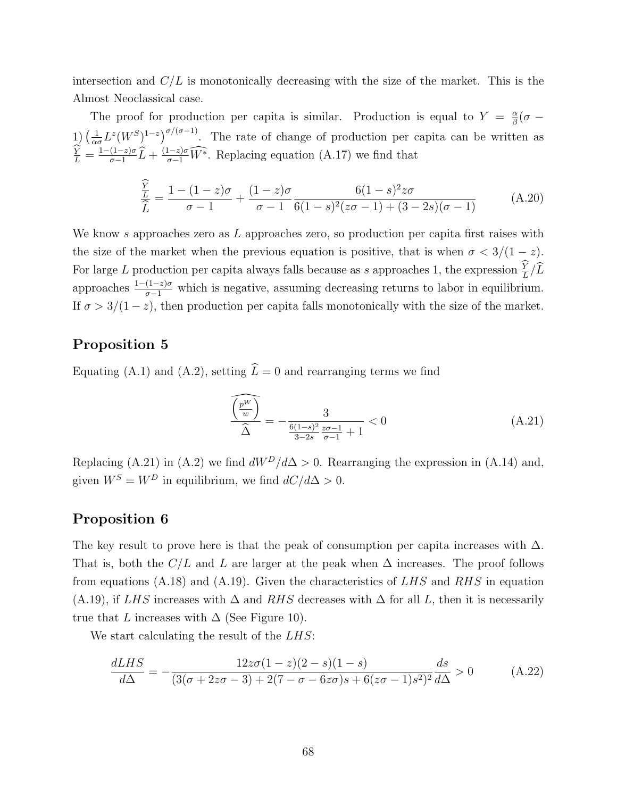intersection and  $C/L$  is monotonically decreasing with the size of the market. This is the Almost Neoclassical case.

The proof for production per capita is similar. Production is equal to  $Y = \frac{\alpha}{\beta}$  $\frac{\alpha}{\beta}(\sigma$   $-$ 1)  $\left(\frac{1}{\alpha}\right)$  $\frac{1}{\alpha \sigma} L^z (W^S)^{1-z}$   $\int^{\sigma/(\sigma-1)}$ . The rate of change of production per capita can be written as  $\frac{\dot{Y}}{L} = \frac{1-(1-z)\sigma}{\sigma-1}$  $\frac{(1-z)\sigma}{\sigma-1}\widehat{L} + \frac{(1-z)\sigma}{\sigma-1}\widehat{W^*}$ . Replacing equation (A.17) we find that

$$
\frac{\frac{\widehat{Y}}{L}}{\widehat{L}} = \frac{1 - (1 - z)\sigma}{\sigma - 1} + \frac{(1 - z)\sigma}{\sigma - 1} \frac{6(1 - s)^2 z\sigma}{6(1 - s)^2 (z\sigma - 1) + (3 - 2s)(\sigma - 1)}
$$
(A.20)

We know  $s$  approaches zero as  $L$  approaches zero, so production per capita first raises with the size of the market when the previous equation is positive, that is when  $\sigma < 3/(1-z)$ . For large L production per capita always falls because as s approaches 1, the expression  $\frac{Y}{L}/\hat{L}$ approaches  $\frac{1-(1-z)\sigma}{\sigma-1}$  which is negative, assuming decreasing returns to labor in equilibrium. If  $\sigma > 3/(1-z)$ , then production per capita falls monotonically with the size of the market.

## Proposition 5

Equating (A.1) and (A.2), setting  $\hat{L} = 0$  and rearranging terms we find

$$
\frac{\widehat{\binom{p^W}{w}}}{\widehat{\Delta}} = -\frac{3}{\frac{6(1-s)^2}{3-2s} \frac{z\sigma - 1}{\sigma - 1} + 1} < 0 \tag{A.21}
$$

Replacing (A.21) in (A.2) we find  $dW^D/d\Delta > 0$ . Rearranging the expression in (A.14) and, given  $W^S = W^D$  in equilibrium, we find  $dC/d\Delta > 0$ .

### Proposition 6

The key result to prove here is that the peak of consumption per capita increases with  $\Delta$ . That is, both the  $C/L$  and L are larger at the peak when  $\Delta$  increases. The proof follows from equations  $(A.18)$  and  $(A.19)$ . Given the characteristics of LHS and RHS in equation (A.19), if LHS increases with  $\Delta$  and RHS decreases with  $\Delta$  for all L, then it is necessarily true that L increases with  $\Delta$  (See Figure 10).

We start calculating the result of the *LHS*:

$$
\frac{dLHS}{d\Delta} = -\frac{12z\sigma(1-z)(2-s)(1-s)}{(3(\sigma+2z\sigma-3)+2(7-\sigma-6z\sigma)s+6(z\sigma-1)s^2)^2}\frac{ds}{d\Delta} > 0
$$
 (A.22)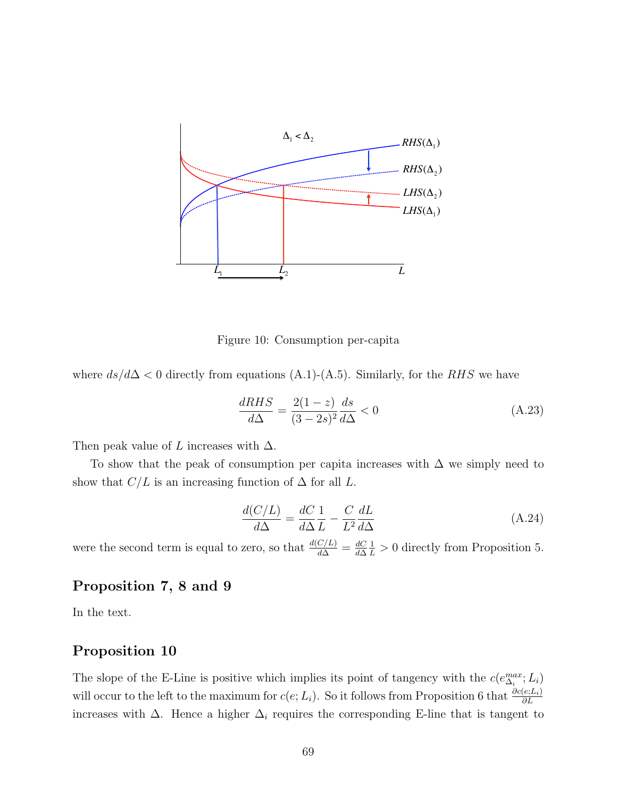

Figure 10: Consumption per-capita

where  $ds/d\Delta < 0$  directly from equations (A.1)-(A.5). Similarly, for the RHS we have

$$
\frac{dRHS}{d\Delta} = \frac{2(1-z)}{(3-2s)^2} \frac{ds}{d\Delta} < 0 \tag{A.23}
$$

Then peak value of L increases with  $\Delta$ .

To show that the peak of consumption per capita increases with  $\Delta$  we simply need to show that  $C/L$  is an increasing function of  $\Delta$  for all L.

$$
\frac{d(C/L)}{d\Delta} = \frac{dC}{d\Delta} \frac{1}{L} - \frac{C}{L^2} \frac{dL}{d\Delta} \tag{A.24}
$$

were the second term is equal to zero, so that  $\frac{d(C/L)}{d\Delta} = \frac{dC}{d\Delta}$ d∆  $\frac{1}{L} > 0$  directly from Proposition 5.

## Proposition 7, 8 and 9

In the text.

## Proposition 10

The slope of the E-Line is positive which implies its point of tangency with the  $c(e_{\Delta_i}^{max}; L_i)$ will occur to the left to the maximum for  $c(e; L_i)$ . So it follows from Proposition 6 that  $\frac{\partial c(e; L_i)}{\partial L}$ increases with  $\Delta$ . Hence a higher  $\Delta_i$  requires the corresponding E-line that is tangent to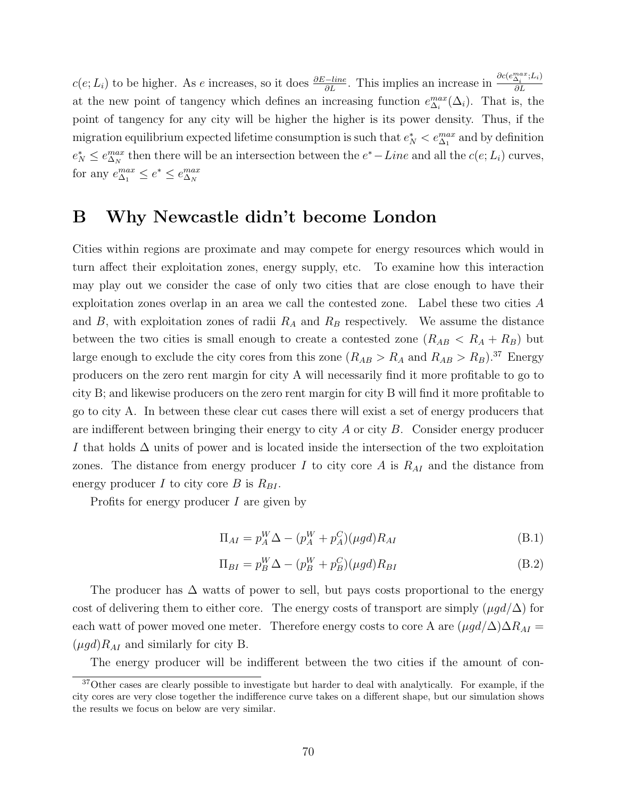$c(e; L_i)$  to be higher. As e increases, so it does  $\frac{\partial E - line}{\partial L}$ . This implies an increase in  $\frac{\partial c(e_{\Delta_i}^{max}; L_i)}{\partial L}$ ∂L at the new point of tangency which defines an increasing function  $e_{\Delta_i}^{max}(\Delta_i)$ . That is, the point of tangency for any city will be higher the higher is its power density. Thus, if the migration equilibrium expected lifetime consumption is such that  $e_N^* < e_{\Delta_1}^{max}$  and by definition  $e_N^* \leq e_{\Delta_N}^{max}$  then there will be an intersection between the  $e^*$  – Line and all the  $c(e; L_i)$  curves, for any  $e_{\Delta_1}^{max} \leq e^* \leq e_{\Delta_N}^{max}$ 

# B Why Newcastle didn't become London

Cities within regions are proximate and may compete for energy resources which would in turn affect their exploitation zones, energy supply, etc. To examine how this interaction may play out we consider the case of only two cities that are close enough to have their exploitation zones overlap in an area we call the contested zone. Label these two cities A and B, with exploitation zones of radii  $R_A$  and  $R_B$  respectively. We assume the distance between the two cities is small enough to create a contested zone  $(R_{AB} < R_A + R_B)$  but large enough to exclude the city cores from this zone  $(R_{AB} > R_A$  and  $R_{AB} > R_B)$ .<sup>37</sup> Energy producers on the zero rent margin for city A will necessarily find it more profitable to go to city B; and likewise producers on the zero rent margin for city B will find it more profitable to go to city A. In between these clear cut cases there will exist a set of energy producers that are indifferent between bringing their energy to city  $A$  or city  $B$ . Consider energy producer I that holds  $\Delta$  units of power and is located inside the intersection of the two exploitation zones. The distance from energy producer  $I$  to city core  $A$  is  $R_{AI}$  and the distance from energy producer I to city core B is  $R_{BI}$ .

Profits for energy producer I are given by

$$
\Pi_{AI} = p_A^W \Delta - (p_A^W + p_A^C)(\mu gd) R_{AI}
$$
\n(B.1)

$$
\Pi_{BI} = p_B^W \Delta - (p_B^W + p_B^C)(\mu gd)R_{BI}
$$
\n(B.2)

The producer has  $\Delta$  watts of power to sell, but pays costs proportional to the energy cost of delivering them to either core. The energy costs of transport are simply  $(\mu gd/\Delta)$  for each watt of power moved one meter. Therefore energy costs to core A are  $(\mu gd/\Delta)\Delta R_{AI} =$  $(\mu gd)R_{AI}$  and similarly for city B.

The energy producer will be indifferent between the two cities if the amount of con-

<sup>37</sup>Other cases are clearly possible to investigate but harder to deal with analytically. For example, if the city cores are very close together the indifference curve takes on a different shape, but our simulation shows the results we focus on below are very similar.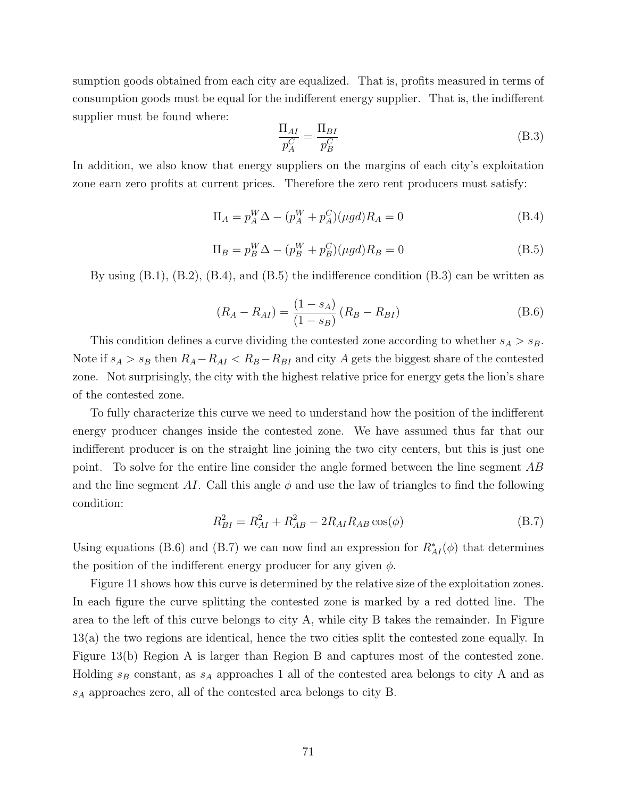sumption goods obtained from each city are equalized. That is, profits measured in terms of consumption goods must be equal for the indifferent energy supplier. That is, the indifferent supplier must be found where:

$$
\frac{\Pi_{AI}}{p_A^C} = \frac{\Pi_{BI}}{p_B^C}
$$
\n(B.3)

In addition, we also know that energy suppliers on the margins of each city's exploitation zone earn zero profits at current prices. Therefore the zero rent producers must satisfy:

$$
\Pi_A = p_A^W \Delta - (p_A^W + p_A^C)(\mu gd)R_A = 0
$$
\n(B.4)

$$
\Pi_B = p_B^W \Delta - (p_B^W + p_B^C)(\mu gd)R_B = 0
$$
\n(B.5)

By using  $(B.1)$ ,  $(B.2)$ ,  $(B.4)$ , and  $(B.5)$  the indifference condition  $(B.3)$  can be written as

$$
(R_A - R_{AI}) = \frac{(1 - s_A)}{(1 - s_B)} (R_B - R_{BI})
$$
\n(B.6)

This condition defines a curve dividing the contested zone according to whether  $s_A > s_B$ . Note if  $s_A > s_B$  then  $R_A - R_{AI} < R_B - R_{BI}$  and city A gets the biggest share of the contested zone. Not surprisingly, the city with the highest relative price for energy gets the lion's share of the contested zone.

To fully characterize this curve we need to understand how the position of the indifferent energy producer changes inside the contested zone. We have assumed thus far that our indifferent producer is on the straight line joining the two city centers, but this is just one point. To solve for the entire line consider the angle formed between the line segment AB and the line segment AI. Call this angle  $\phi$  and use the law of triangles to find the following condition:

$$
R_{BI}^2 = R_{AI}^2 + R_{AB}^2 - 2R_{AI}R_{AB}\cos(\phi)
$$
 (B.7)

Using equations (B.6) and (B.7) we can now find an expression for  $R_{AI}^*(\phi)$  that determines the position of the indifferent energy producer for any given  $\phi$ .

Figure 11 shows how this curve is determined by the relative size of the exploitation zones. In each figure the curve splitting the contested zone is marked by a red dotted line. The area to the left of this curve belongs to city A, while city B takes the remainder. In Figure 13(a) the two regions are identical, hence the two cities split the contested zone equally. In Figure 13(b) Region A is larger than Region B and captures most of the contested zone. Holding  $s_B$  constant, as  $s_A$  approaches 1 all of the contested area belongs to city A and as  $s_A$  approaches zero, all of the contested area belongs to city B.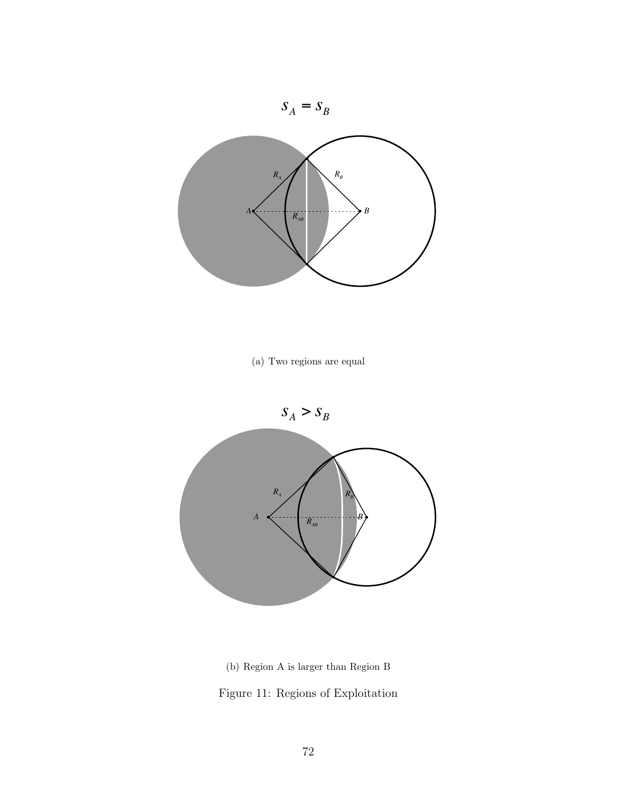

(a) Two regions are equal



(b) Region A is larger than Region B Figure 11: Regions of Exploitation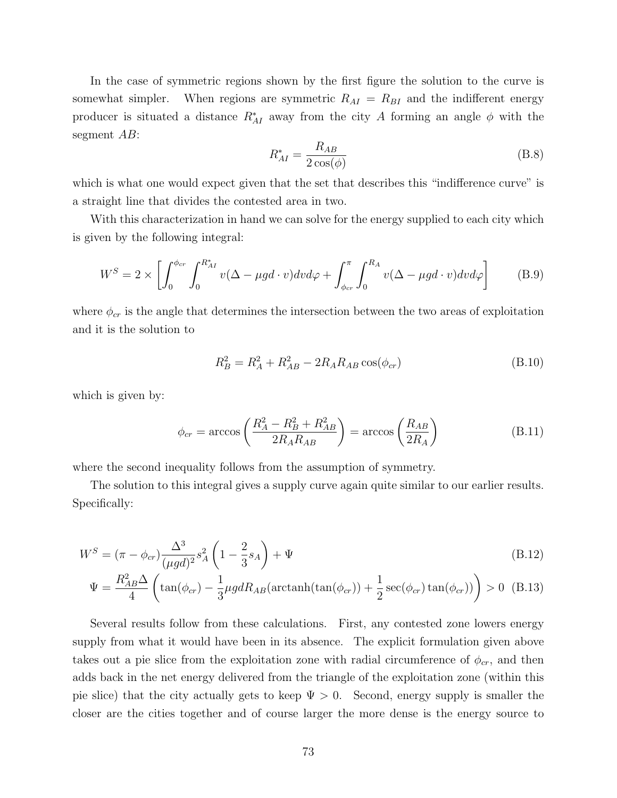In the case of symmetric regions shown by the first figure the solution to the curve is somewhat simpler. When regions are symmetric  $R_{AI} = R_{BI}$  and the indifferent energy producer is situated a distance  $R_{AI}^*$  away from the city A forming an angle  $\phi$  with the segment AB:

$$
R_{AI}^{*} = \frac{R_{AB}}{2\cos(\phi)}
$$
 (B.8)

which is what one would expect given that the set that describes this "indifference curve" is a straight line that divides the contested area in two.

With this characterization in hand we can solve for the energy supplied to each city which is given by the following integral:

$$
W^{S} = 2 \times \left[ \int_{0}^{\phi_{cr}} \int_{0}^{R_{AI}^{*}} v(\Delta - \mu g d \cdot v) dv d\varphi + \int_{\phi_{cr}}^{\pi} \int_{0}^{R_{A}} v(\Delta - \mu g d \cdot v) dv d\varphi \right]
$$
(B.9)

where  $\phi_{cr}$  is the angle that determines the intersection between the two areas of exploitation and it is the solution to

$$
R_B^2 = R_A^2 + R_{AB}^2 - 2R_A R_{AB} \cos(\phi_{cr})
$$
 (B.10)

which is given by:

$$
\phi_{cr} = \arccos\left(\frac{R_A^2 - R_B^2 + R_{AB}^2}{2R_A R_{AB}}\right) = \arccos\left(\frac{R_{AB}}{2R_A}\right) \tag{B.11}
$$

where the second inequality follows from the assumption of symmetry.

The solution to this integral gives a supply curve again quite similar to our earlier results. Specifically:

$$
W^{S} = (\pi - \phi_{cr}) \frac{\Delta^3}{(\mu g d)^2} s_A^2 \left( 1 - \frac{2}{3} s_A \right) + \Psi
$$
\n(B.12)

$$
\Psi = \frac{R_{AB}^2 \Delta}{4} \left( \tan(\phi_{cr}) - \frac{1}{3} \mu g dR_{AB} (\text{arctanh}(\tan(\phi_{cr})) + \frac{1}{2} \sec(\phi_{cr}) \tan(\phi_{cr})) \right) > 0 \quad (B.13)
$$

Several results follow from these calculations. First, any contested zone lowers energy supply from what it would have been in its absence. The explicit formulation given above takes out a pie slice from the exploitation zone with radial circumference of  $\phi_{cr}$ , and then adds back in the net energy delivered from the triangle of the exploitation zone (within this pie slice) that the city actually gets to keep  $\Psi > 0$ . Second, energy supply is smaller the closer are the cities together and of course larger the more dense is the energy source to